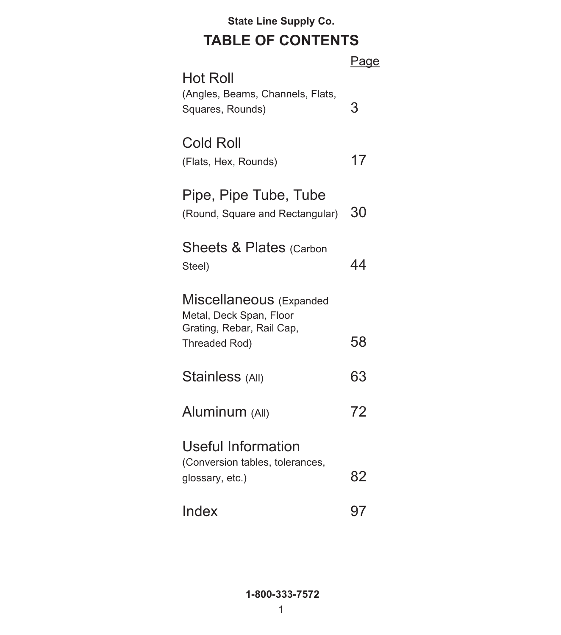**State Line Supply Co.**

### **TABLE OF CONTENTS**

| <b>Hot Roll</b>                                          | <u>Page</u> |
|----------------------------------------------------------|-------------|
| (Angles, Beams, Channels, Flats,<br>Squares, Rounds)     | 3           |
| <b>Cold Roll</b><br>(Flats, Hex, Rounds)                 | 17          |
| Pipe, Pipe Tube, Tube<br>(Round, Square and Rectangular) | 30          |
| <b>Sheets &amp; Plates (Carbon</b><br>Steel)             | 44          |
| Miscellaneous (Expanded<br>Metal, Deck Span, Floor       |             |
| Grating, Rebar, Rail Cap,<br>Threaded Rod)               | 58          |
| Stainless (All)                                          | 63          |
| Aluminum (All)                                           | 72          |
| <b>Useful Information</b>                                |             |
| (Conversion tables, tolerances,<br>glossary, etc.)       | 82          |
| Index                                                    | 97          |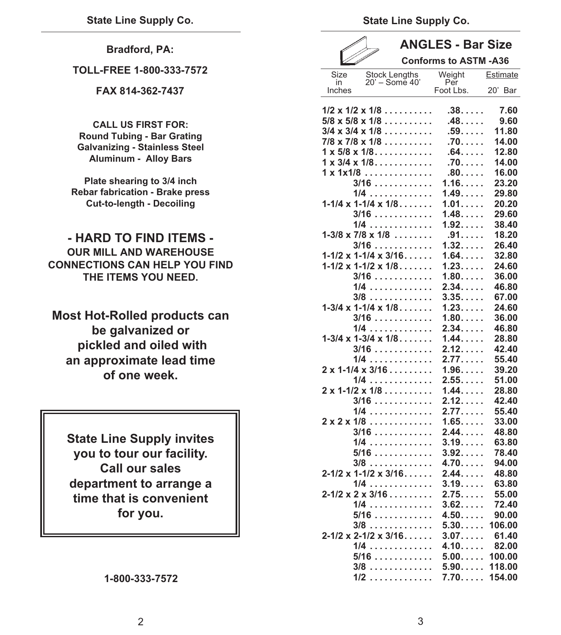**Bradford, PA:** 

**TOLL-FREE 1-800-333-7572** 

**FAX 814-362-7437** 

**CALL US FIRST FOR: Round Tubing - Bar Grating Galvanizing - Stainless Steel Aluminum - Alloy Bars**

**Plate shearing to 3/4 inch Rebar fabrication - Brake press Cut-to-length - Decoiling**

**- HARD TO FIND ITEMS - OUR MILL AND WAREHOUSE CONNECTIONS CAN HELP YOU FIND THE ITEMS YOU NEED.**

**Most Hot-Rolled products can be galvanized or pickled and oiled with an approximate lead time of one week.**

**State Line Supply invites you to tour our facility. Call our sales department to arrange a time that is convenient for you.** 

### **1-800-333-7572**

**State Line Supply Co.**

| o |  |
|---|--|

### **ANGLES - Bar Size**   $\epsilon$   $\epsilon$   $\lambda$   $\lambda$ <sup> $\lambda$ </sup>

| <u>VIII p</u> |                                                                                 | <b>CONTORMS TO AST M-A36</b> |              |
|---------------|---------------------------------------------------------------------------------|------------------------------|--------------|
| Size<br>in    | <b>Stock Lengths</b><br>20' - Some 40'                                          | Weight<br>Per                | Estimate     |
| Inches        |                                                                                 | Foot Lbs.                    | 20' Bar      |
|               | $1/2 \times 1/2 \times 1/8 \ldots$<br>$5/8 \times 5/8 \times 1/8 \ldots \ldots$ | .38.<br>$.48. \ldots$ .      | 7.60<br>9.60 |
|               | $3/4 \times 3/4 \times 1/8 \ldots \ldots$                                       | $.59. \ldots$                | 11.80        |
|               | $7/8 \times 7/8 \times 1/8 \ldots \ldots$                                       | .70.                         | 14.00        |
|               | $1 \times 5/8 \times 1/8 \ldots \ldots \ldots$                                  | $.64. \ldots$                | 12.80        |
|               | $1 \times 3/4 \times 1/8$                                                       | .70                          | 14.00        |
|               | $1 \times 1 \times 1/8$                                                         | $.80.$                       | 16.00        |
|               | $3/16$                                                                          | 1.16                         | 23.20        |
|               | $1/4$                                                                           | 1.49                         | 29.80        |
|               | $1-1/4 \times 1-1/4 \times 1/8$                                                 | 1.01                         | 20.20        |
|               | $3/16$                                                                          | 1.48                         | 29.60        |
|               | 1/4                                                                             | 1.92                         | 38.40        |
|               | $1-3/8 \times 7/8 \times 1/8 \ldots$                                            | .91.                         | 18.20        |
|               | $3/16$                                                                          | 1.32                         | 26.40        |
|               | $1-1/2 \times 1-1/4 \times 3/16$                                                | 1.64                         | 32.80        |
|               | $1-1/2 \times 1-1/2 \times 1/8$                                                 | 1.23                         | 24.60        |
|               | $3/16$                                                                          | 1.80                         | 36.00        |
|               | 1/4                                                                             | 2.34                         | 46.80        |
|               | 3/8                                                                             | 3.35                         | 67.00        |
|               | $1-3/4 \times 1-1/4 \times 1/8$                                                 | 1.23                         | 24.60        |
|               | $3/16$                                                                          | 1.80                         | 36.00        |
|               | 1/4                                                                             | 2.34                         | 46.80        |
|               | $1-3/4 \times 1-3/4 \times 1/8$                                                 | $1.44. \ldots$               | 28.80        |
|               | $3/16$                                                                          | 2.12                         | 42.40        |
|               | $1/4$                                                                           | 2.77                         | 55.40        |
|               | $2 \times 1 - 1/4 \times 3/16 \ldots$                                           | 1.96                         | 39.20        |
|               | $1/4$                                                                           | 2.55                         | 51.00        |
|               | $2 \times 1 - 1/2 \times 1/8 \ldots \ldots$                                     | 1.44                         | 28.80        |
|               | $3/16$                                                                          | 2.12                         | 42.40        |
|               | $1/4$                                                                           | 2.77                         | 55.40        |
|               | $2 \times 2 \times 1/8$                                                         | 1.65                         | 33.00        |
|               | $3/16$                                                                          | 2.44                         | 48.80        |
|               | 1/4                                                                             | 3.19                         | 63.80        |
|               | 5/16                                                                            | 3.92                         | 78.40        |
|               | $3/8$                                                                           | 4.70                         | 94.00        |
|               | $2 - 1/2 \times 1 - 1/2 \times 3/16$                                            | 2.44                         | 48.80        |
|               | $1/4$                                                                           | 3.19                         | 63.80        |
|               | $2 - 1/2 \times 2 \times 3/16$                                                  | $2.75$ .                     | 55.00        |
|               | $1/4$                                                                           | $3.62. \ldots$ .             | 72.40        |
|               | $5/16$                                                                          | 4.50                         | 90.00        |
|               | $3/8$                                                                           | 5.30                         | 106.00       |
|               | $2 - 1/2 \times 2 - 1/2 \times 3/16$                                            | 3.07                         | 61.40        |
|               | $1/4$                                                                           | $4.10. \ldots$               | 82.00        |
|               | 5/16                                                                            | 5.00                         | 100.00       |
|               | 3/8                                                                             | 5.90                         | 118.00       |
|               | $1/2$                                                                           | 7.70                         | 154.00       |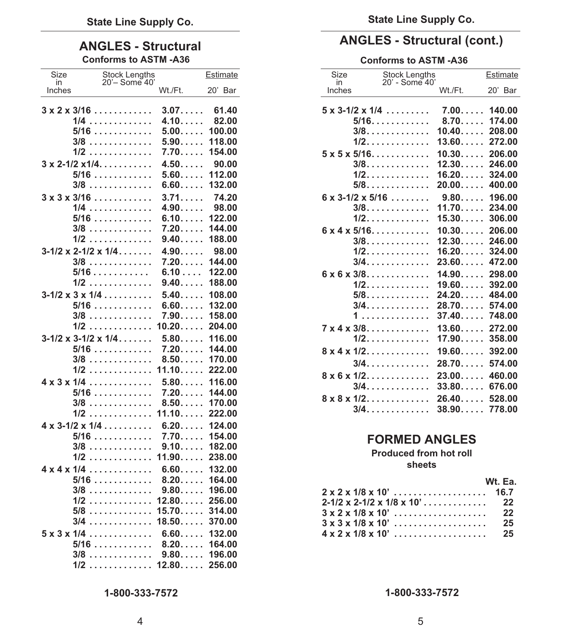## **Conforms to ASTM -A36 Conforms to ASTM -A36**

| Size         | Stock Lengths<br>20'- Some 40'          |                  | Estimate         |
|--------------|-----------------------------------------|------------------|------------------|
| in<br>Inches |                                         | Wt./Ft.          | 20' Bar          |
|              |                                         |                  |                  |
|              | $3 \times 2 \times 3/16$                | $3.07. \ldots$   | 61.40            |
|              | 1/4                                     | 4.10             | 82.00            |
|              | 5/16                                    | $5.00. \ldots$ . | 100.00           |
|              | 3/8                                     | 5.90             | 118.00           |
|              | $1/2$                                   | $7.70$ .         | 154.00           |
|              | $3 \times 2 - 1/2 \times 1/4$           | 4.50             | 90.00            |
|              | $5/16$                                  | 5.60             | 112.00           |
|              | $3/8$                                   | 6.60             | 132.00           |
|              | $3 \times 3 \times 3/16$                | 3.71             | 74.20            |
|              | $1/4$                                   | 4.90             | 98.00            |
|              | $5/16$                                  | 6.10             | 122.00           |
|              | $3/8$                                   | 7.20             | 144.00           |
|              | 1/2                                     | 9.40             | 188.00           |
|              | $3-1/2 \times 2-1/2 \times 1/4$         | 4.90             | 98.00            |
|              | 3/8                                     | 7.20             | 144.00           |
|              | $5/16$                                  | 6.10             | 122.00           |
|              | $1/2$                                   | 9.40             | 188.00           |
|              | $3-1/2 \times 3 \times 1/4 \ldots$      | 5.40             | 108.00           |
|              | $5/16$                                  | 6.60             | 132.00           |
|              | 3/8<br>$1/2$                            | 7.90<br>10.20    | 158.00<br>204.00 |
|              |                                         |                  |                  |
|              | $3-1/2 \times 3-1/2 \times 1/4$<br>5/16 | 5.80<br>7.20     | 116.00<br>144.00 |
|              | 3/8                                     | 8.50             | 170.00           |
|              | $1/2$                                   | 11.10            | 222.00           |
|              | $4 \times 3 \times 1/4$                 | 5.80             | 116.00           |
|              | 5/16                                    | $7.20$           | 144.00           |
|              | 3/8                                     | 8.50             | 170.00           |
|              | $1/2$                                   | 11.10            | 222.00           |
|              | $4 \times 3 - 1/2 \times 1/4$           | 6.20             | 124.00           |
|              | $5/16$                                  | 7.70             | 154.00           |
|              | 3/8                                     | 9.10             | 182.00           |
|              | $1/2$                                   | 11.90            | 238.00           |
|              | $4 \times 4 \times 1/4$                 | 6.60             | 132.00           |
|              | $5/16$                                  | 8.20             | 164.00           |
|              | $3/8$                                   | 9.80             | 196.00           |
| 1/2          | .                                       | 12.80            | 256.00           |
|              | 5/8                                     | 15.70            | 314.00           |
|              | 3/4                                     | 18.50            | 370.00           |
|              | $5 \times 3 \times 1/4$                 | 6.60             | 132.00           |
|              | 5/16                                    | 8.20             | 164.00           |
|              | 3/8                                     | $9.80\dots$      | 196.00           |
|              | $1/2$                                   | 12.80            | 256.00           |

### **ANGLES - Structural (cont.) ANGLES - Structural**

| Size<br>in                     | <b>Stock Lengths</b><br>20' - Some 40' |                                  | Estimate                             |
|--------------------------------|----------------------------------------|----------------------------------|--------------------------------------|
| Inches                         |                                        | Wt./Ft.                          | 20' Bar                              |
| $5 \times 3 - 1/2 \times 1/4$  | $5/16$<br>$3/8.$<br>1/2.               | 7.00<br>8.70<br>10.40<br>13.60   | 140.00<br>174.00<br>208.00<br>272.00 |
| $5 \times 5 \times 5/16$       | $3/8.$<br>1/2.<br>$5/8.$               | 10.30<br>12.30<br>16.20<br>20.00 | 206.00<br>246.00<br>324.00<br>400.00 |
| $6 \times 3 - 1/2 \times 5/16$ | $3/8.$<br>1/2.                         | 9.80<br>11.70<br>15.30           | 196.00<br>234.00<br>306.00           |
| $6 \times 4 \times 5/16$       | $3/8.$<br>$1/2.$<br>3/4.               | 10.30<br>12.30<br>16.20<br>23.60 | 206.00<br>246.00<br>324.00<br>472.00 |
| $6 \times 6 \times 3/8$        | $1/2$ .<br>$5/8.$<br>3/4.              | 14.90<br>19.60<br>24.20<br>28.70 | 298.00<br>392.00<br>484.00<br>574.00 |
| $7 \times 4 \times 3/8$        | 1<br>$1/2.$                            | 37.40<br>13.60<br>17.90          | 748.00<br>272.00<br>358.00           |
| $8 \times 4 \times 1/2$        | 3/4.                                   | 19.60<br>28.70                   | 392.00<br>574.00                     |
| $8 \times 6 \times 1/2$        | $3/4$ .                                | 23.00<br>33.80                   | 460.00<br>676.00                     |
| $8 \times 8 \times 1/2$        | 3/4.                                   | 26.40<br>38.90                   | 528.00<br>778.00                     |

### **FORMED ANGLES**

### **Produced from hot roll sheets**

### **Wt. Ea.**

| $2 - 1/2 \times 2 - 1/2 \times 1/8 \times 10' \ldots \ldots \ldots$ 22 |  |
|------------------------------------------------------------------------|--|
|                                                                        |  |
|                                                                        |  |
|                                                                        |  |

**1-800-333-7572**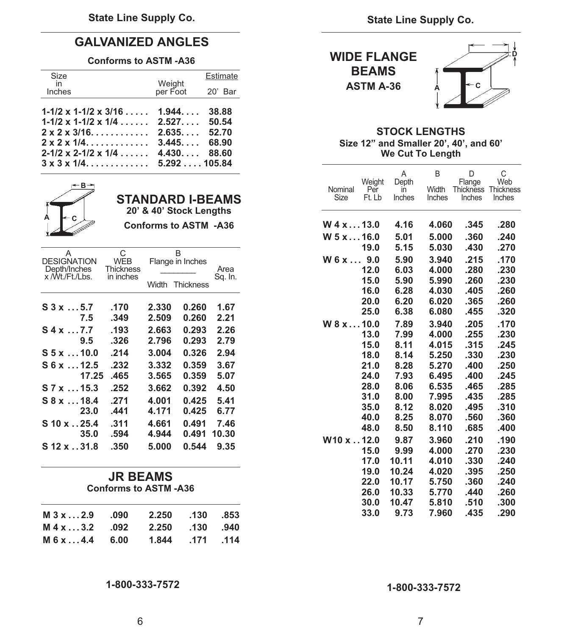### **GALVANIZED ANGLES**

### **Conforms to ASTM -A36**

| <b>BEAMS</b>    | Estimate |                                      |                                                     | Size<br>in |
|-----------------|----------|--------------------------------------|-----------------------------------------------------|------------|
| <b>ASTM A-3</b> |          | Weight<br>weight<br>per Foot 20' Bar |                                                     | Inches     |
|                 |          |                                      | $1-1/2 \times 1-1/2 \times 3/16 \ldots$ 1.944 38.88 |            |
| <b>STC</b>      |          |                                      | $1-1/2 \times 1-1/2 \times 1/4$ 2.527 50.54         |            |
| Size 12" and    |          |                                      |                                                     |            |
| We              |          |                                      | $2 - 1/2 \times 2 - 1/2 \times 1/4$ 4.430 88.60     |            |
|                 |          |                                      |                                                     |            |

| А<br><b>DESIGNATION</b><br>Depth/Inches | С<br><b>WEB</b><br><b>Thickness</b> |                | B<br>Flange in Inches | Area          |
|-----------------------------------------|-------------------------------------|----------------|-----------------------|---------------|
| x /Wt./Ft./Lbs.                         | in inches                           | Width          | <b>Thickness</b>      | Sq. In.       |
| S3x5.7<br>7.5                           | .170<br>.349                        | 2.330<br>2.509 | 0.260<br>0.260        | 1.67<br>2.21  |
| S4x7.7<br>9.5                           | .193<br>.326                        | 2.663<br>2.796 | 0.293<br>0.293        | 2.26<br>2.79  |
| $S5 x$ 10.0                             | .214                                | 3.004          | 0.326                 | 2.94          |
| S6x12.5<br>17.25                        | .232<br>.465                        | 3.332<br>3.565 | 0.359<br>0.359        | 3.67<br>5.07  |
| S 7 x  15.3                             | .252                                | 3.662          | 0.392                 | 4.50          |
| S 8 x  18.4                             | .271                                | 4.001          | 0.425                 | 5.41          |
| 23.0                                    | .441                                | 4.171          | 0.425                 | 6.77          |
| S 10 x 25.4<br>35.0                     | .311<br>.594                        | 4.661<br>4.944 | 0.491<br>0.491        | 7.46<br>10.30 |
| S 12 x 31.8                             | .350                                | 5.000          | 0.544                 | 9.35          |

| $M3x2.9$ .090 2.250          |                 | .130 .853 |  |
|------------------------------|-----------------|-----------|--|
|                              |                 |           |  |
| M 4 x  3.2 092 2.250 130 940 |                 |           |  |
|                              |                 |           |  |
| M6x4.4 6.00                  | 1.844 .171 .114 |           |  |
|                              |                 |           |  |

**1-800-333-7572 1-800-333-7572** 



### **2 STOCK LENGTHS 2 Size 12" and Smaller 20', 40', and 60' 20-12 We Cut To Length**

|                                 |       |                               |                                                    |                  |                 |                 |                         |                                      | B               | D                                    | $\mathsf{C}$               |
|---------------------------------|-------|-------------------------------|----------------------------------------------------|------------------|-----------------|-----------------|-------------------------|--------------------------------------|-----------------|--------------------------------------|----------------------------|
|                                 | ←B→   |                               | <b>STANDARD I-BEAMS</b><br>20' & 40' Stock Lengths |                  |                 | Nominal<br>Size | Weight<br>Per<br>Ft. Lb | A<br>Depth<br>$\mathsf{I}$<br>Inches | Width<br>Inches | Flange<br><b>Thickness</b><br>Inches | Web<br>Thickness<br>Inches |
| A                               |       |                               | <b>Conforms to ASTM -A36</b>                       |                  |                 | $W$ 4 x $$ 13.0 |                         | 4.16                                 | 4.060           | .345                                 | .280                       |
|                                 |       |                               |                                                    |                  |                 | $W$ 5 x 16.0    |                         | 5.01                                 | 5.000           | .360                                 | .240                       |
| Α                               |       | C                             |                                                    | B                |                 |                 | 19.0                    | 5.15                                 | 5.030           | .430                                 | .270                       |
| <b>DESIGNATION</b>              |       | <b>WEB</b>                    |                                                    | Flange in Inches |                 | $W_6x9.0$       |                         | 5.90                                 | 3.940           | .215                                 | .170                       |
| Depth/Inches<br>x /Wt./Ft./Lbs. |       | <b>Thickness</b><br>in inches |                                                    |                  | Area<br>Sq. In. |                 | 12.0                    | 6.03                                 | 4.000           | .280                                 | .230                       |
|                                 |       |                               |                                                    | Width Thickness  |                 |                 | 15.0                    | 5.90                                 | 5.990           | .260                                 | .230                       |
|                                 |       |                               |                                                    |                  |                 |                 | 16.0                    | 6.28                                 | 4.030           | .405                                 | .260                       |
| S3x5.7                          |       | .170                          | 2.330                                              | 0.260            | 1.67            |                 | 20.0                    | 6.20                                 | 6.020           | .365                                 | .260                       |
|                                 | 7.5   | .349                          | 2.509                                              | 0.260            | 2.21            |                 | 25.0                    | 6.38                                 | 6.080           | .455                                 | .320                       |
| S4x7.7                          |       | .193                          | 2.663                                              | 0.293            | 2.26            | W8x10.0         |                         | 7.89                                 | 3.940           | .205                                 | .170                       |
|                                 | 9.5   | .326                          | 2.796                                              | 0.293            | 2.79            |                 | 13.0                    | 7.99                                 | 4.000           | .255                                 | .230                       |
| S 5 x 10.0                      |       | .214                          | 3.004                                              | 0.326            | 2.94            |                 | 15.0<br>18.0            | 8.11<br>8.14                         | 4.015<br>5.250  | .315<br>.330                         | .245<br>.230               |
| S6x12.5                         |       | .232                          | 3.332                                              | 0.359            | 3.67            |                 | 21.0                    | 8.28                                 | 5.270           | .400                                 | .250                       |
|                                 | 17.25 | .465                          | 3.565                                              | 0.359            | 5.07            |                 | 24.0                    | 7.93                                 | 6.495           | .400                                 | .245                       |
| S 7 x  15.3                     |       | .252                          | 3.662                                              | 0.392            | 4.50            |                 | 28.0                    | 8.06                                 | 6.535           | .465                                 | .285                       |
| S 8 x 18.4                      |       | .271                          | 4.001                                              | 0.425            | 5.41            |                 | 31.0                    | 8.00                                 | 7.995           | .435                                 | .285                       |
|                                 | 23.0  | .441                          | 4.171                                              | 0.425            | 6.77            |                 | 35.0                    | 8.12                                 | 8.020           | .495                                 | .310                       |
|                                 |       |                               |                                                    |                  |                 |                 | 40.0                    | 8.25                                 | 8.070           | .560                                 | .360                       |
| $S$ 10 x $.25.4$                |       | .311                          | 4.661<br>4.944                                     | 0.491            | 7.46            |                 | 48.0                    | 8.50                                 | 8.110           | .685                                 | .400                       |
|                                 | 35.0  | .594                          |                                                    | 0.491 10.30      |                 | W10 x 12.0      |                         | 9.87                                 | 3.960           | .210                                 | .190                       |
| S 12 x 31.8                     |       | .350                          | 5.000                                              | 0.544            | 9.35            |                 | 15.0                    | 9.99                                 | 4.000           | .270                                 | .230                       |
|                                 |       |                               |                                                    |                  |                 |                 | 17.0                    | 10.11                                | 4.010           | .330                                 | .240                       |
|                                 |       | <b>JR BEAMS</b>               |                                                    |                  |                 |                 | 19.0                    | 10.24                                | 4.020           | .395                                 | .250                       |
|                                 |       | <b>Conforms to ASTM-A36</b>   |                                                    |                  |                 |                 | 22.0                    | 10.17                                | 5.750           | .360                                 | .240                       |
|                                 |       |                               |                                                    |                  |                 |                 | 26.0                    | 10.33                                | 5.770           | .440                                 | .260                       |
|                                 |       |                               |                                                    |                  |                 |                 | 30.0                    | 10.47                                | 5.810           | .510                                 | .300                       |
| M 2v                            | າ ດ   | nan                           | 2.250                                              | 130              | 953             |                 | 33.0                    | 9.73                                 | 7.960           | .435                                 | .290                       |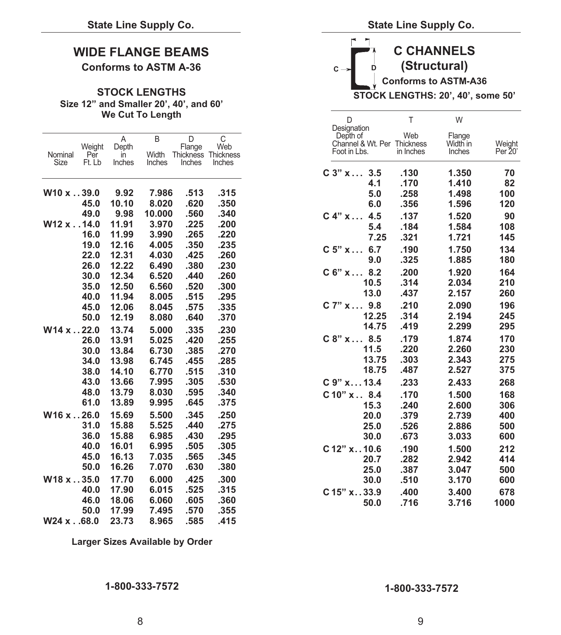### **WIDE FLANGE BEAMS**

### **Conforms to ASTM A-36**

### **Size 12" and Smaller 20', 40', and 60' We Cut To Length**

| Nominal<br>Size | Weight<br>Per<br>Ft. Lb | Α<br>Depth<br>in<br>Inches | B<br>Width<br>Inches | D<br>Flange<br>Inches | C<br>Web<br>Thickness Thickness<br>Inches | Depth of<br>Channel & Wt. Per Thickness<br>Foot in Lbs. | Web<br>in Inches | Flange<br>Width in<br>Inches | Weight<br>Per 20 |
|-----------------|-------------------------|----------------------------|----------------------|-----------------------|-------------------------------------------|---------------------------------------------------------|------------------|------------------------------|------------------|
|                 |                         |                            |                      |                       |                                           | $C_3$ " $x$<br>3.5                                      | .130             | 1.350                        | 70               |
|                 |                         |                            |                      |                       |                                           | 4.1                                                     | .170             | 1.410                        | 82               |
| W10x39.0        |                         | 9.92                       | 7.986                | .513                  | .315                                      | 5.0                                                     | .258             | 1.498                        | 100              |
|                 | 45.0                    | 10.10                      | 8.020                | .620                  | .350                                      | 6.0                                                     | .356             | 1.596                        | 120              |
|                 | 49.0                    | 9.98                       | 10.000               | .560                  | .340                                      | C 4" x<br>4.5                                           | .137             | 1.520                        | 90               |
| $W12x$ 14.0     |                         | 11.91                      | 3.970                | .225                  | .200                                      | 5.4                                                     | .184             | 1.584                        | 108              |
|                 | 16.0                    | 11.99                      | 3.990                | .265                  | .220                                      | 7.25                                                    | .321             | 1.721                        | 145              |
|                 | 19.0                    | 12.16                      | 4.005                | .350                  | .235                                      | $C_5$ " $x$<br>6.7                                      | .190             | 1.750                        | 134              |
|                 | 22.0                    | 12.31                      | 4.030                | .425                  | .260                                      | 9.0                                                     | .325             | 1.885                        | 180              |
|                 | 26.0<br>30.0            | 12.22<br>12.34             | 6.490<br>6.520       | .380<br>.440          | .230<br>.260                              | C 6" x 8.2                                              | .200             | 1.920                        | 164              |
|                 | 35.0                    | 12.50                      | 6.560                | .520                  | .300                                      | 10.5                                                    | .314             | 2.034                        | 210              |
|                 | 40.0                    | 11.94                      | 8.005                | .515                  | .295                                      | 13.0                                                    | .437             | 2.157                        | 260              |
|                 | 45.0                    | 12.06                      | 8.045                | .575                  | .335                                      | C 7" x 9.8                                              | .210             | 2.090                        | 196              |
|                 | 50.0                    | 12.19                      | 8.080                | .640                  | .370                                      | 12.25                                                   | .314             | 2.194                        | 245              |
| W14x22.0        |                         | 13.74                      | 5.000                | .335                  | .230                                      | 14.75                                                   | .419             | 2.299                        | 295              |
|                 | 26.0                    | 13.91                      | 5.025                | .420                  | .255                                      | C 8" x 8.5                                              | .179             | 1.874                        | 170              |
|                 | 30.0                    | 13.84                      | 6.730                | .385                  | .270                                      | 11.5                                                    | .220             | 2.260                        | 230              |
|                 | 34.0                    | 13.98                      | 6.745                | .455                  | .285                                      | 13.75                                                   | .303             | 2.343                        | 275              |
|                 | 38.0                    | 14.10                      | 6.770                | .515                  | .310                                      | 18.75                                                   | .487             | 2.527                        | 375              |
|                 | 43.0                    | 13.66                      | 7.995                | .305                  | .530                                      | C 9" x 13.4                                             | .233             | 2.433                        | 268              |
|                 | 48.0                    | 13.79                      | 8.030                | .595                  | .340                                      | C 10" x 8.4                                             | .170             | 1.500                        | 168              |
|                 | 61.0                    | 13.89                      | 9.995                | .645                  | .375                                      | 15.3                                                    | .240             | 2.600                        | 306              |
| W16x26.0        |                         | 15.69                      | 5.500                | .345                  | .250                                      | 20.0                                                    | .379             | 2.739                        | 400              |
|                 | 31.0                    | 15.88                      | 5.525                | .440                  | .275                                      | 25.0                                                    | .526             | 2.886                        | 500              |
|                 | 36.0                    | 15.88                      | 6.985                | .430                  | .295                                      | 30.0                                                    | .673             | 3.033                        | 600              |
|                 | 40.0                    | 16.01                      | 6.995                | .505                  | .305                                      | C 12" x 10.6                                            | .190             | 1.500                        | 212              |
|                 | 45.0                    | 16.13                      | 7.035                | .565                  | .345                                      | 20.7                                                    | .282             | 2.942                        | 414              |
|                 | 50.0                    | 16.26                      | 7.070                | .630                  | .380                                      | 25.0                                                    | .387             | 3.047                        | 500              |
| W18x35.0        |                         | 17.70                      | 6.000                | .425                  | .300                                      | 30.0                                                    | .510             | 3.170                        | 600              |
|                 | 40.0                    | 17.90                      | 6.015                | .525                  | .315                                      | C 15" x33.9                                             | .400             | 3.400                        | 678              |
|                 | 46.0                    | 18.06                      | 6.060                | .605                  | .360                                      | 50.0                                                    | .716             | 3.716                        | 1000             |
|                 | 50.0                    | 17.99                      | 7.495                | .570                  | .355                                      |                                                         |                  |                              |                  |
| W24 x68.0       |                         | 23.73                      | 8.965                | .585                  | .415                                      |                                                         |                  |                              |                  |

### **W C CHANNELS**   $C \rightarrow$  **D** (Structural) **Conforms to ASTM-A36 STOCK LENGTHS** STOCK LENGTHS: 20', 40', some 50'

|                 |                         |                            | <b>We Cut To Length</b> |                                    |                                            |
|-----------------|-------------------------|----------------------------|-------------------------|------------------------------------|--------------------------------------------|
| Nominal<br>Size | Weight<br>Per<br>Ft. Lb | A<br>Depth<br>in<br>Inches | B<br>Width<br>Inches    | D<br>Flange<br>Thickness<br>Inches | $\mathsf{C}$<br>Web<br>Thickness<br>Inches |
|                 |                         |                            |                         |                                    |                                            |
|                 |                         |                            |                         |                                    |                                            |
| V10 x 39.0      |                         | 9.92                       | 7.986                   | .513                               | .315                                       |
|                 | 45.0                    | 10.10                      | 8.020                   | .620                               | .350                                       |
|                 | 49.0                    | 9.98                       | 10.000                  | .560                               | .340                                       |
| V12 x 14.0      |                         | 11.91                      | 3.970                   | .225                               | .200                                       |
|                 | 16.0                    | 11.99                      | 3.990                   | .265                               | .220                                       |
|                 | 19.0                    | 12.16                      | 4.005                   | .350                               | .235                                       |
|                 | 22.0                    | 12.31                      | 4.030                   | .425                               | .260                                       |
|                 | 26.0                    | 12.22                      | 6.490                   | .380                               | .230                                       |
|                 | 30.0                    | 12.34                      | 6.520                   | .440                               | .260                                       |
|                 | 35.0                    | 12.50                      | 6.560                   | .520                               | .300                                       |
|                 | 40.0                    | 11.94                      | 8.005                   | .515                               | .295                                       |
|                 | 45.0                    | 12.06                      | 8.045                   | .575                               | .335                                       |
|                 | 50.0                    | 12.19                      | 8.080                   | .640                               | .370                                       |
| V14x22.0        |                         | 13.74                      | 5.000                   | .335                               | .230                                       |
|                 | 26.0                    | 13.91                      | 5.025                   | .420                               | .255                                       |
|                 | 30.0                    | 13.84                      | 6.730                   | .385                               | .270                                       |
|                 | 34.0                    | 13.98                      | 6.745                   | .455                               | .285                                       |
|                 | 38.0                    | 14.10                      | 6.770                   | .515                               | .310                                       |
|                 | 43.0                    | 13.66                      | 7.995                   | .305                               | .530                                       |
|                 | 48.0                    | 13.79                      | 8.030                   | .595                               | .340                                       |
|                 | 61.0                    | 13.89                      | 9.995                   | .645                               | .375                                       |
| V16x26.0        |                         | 15.69                      | 5.500                   | .345                               | .250                                       |
|                 | 31.0                    | 15.88                      | 5.525                   | .440                               | .275                                       |
|                 | 36.0                    | 15.88                      | 6.985                   | .430                               | .295                                       |
|                 | 40.0                    | 16.01                      | 6.995                   | .505                               | .305                                       |
|                 | 45.0                    | 16.13                      | 7.035                   | .565                               | .345                                       |
|                 | 50.0                    | 16.26                      | 7.070                   | .630                               | .380                                       |
| V18x35.0        |                         | 17.70                      | 6.000                   | .425                               | .300                                       |
|                 | 40.0                    | 17.90                      | 6.015                   | .525                               | .315                                       |
|                 | 46.0                    | 18.06                      | 6.060                   | .605                               | .360                                       |

**Larger Sizes Available by Order**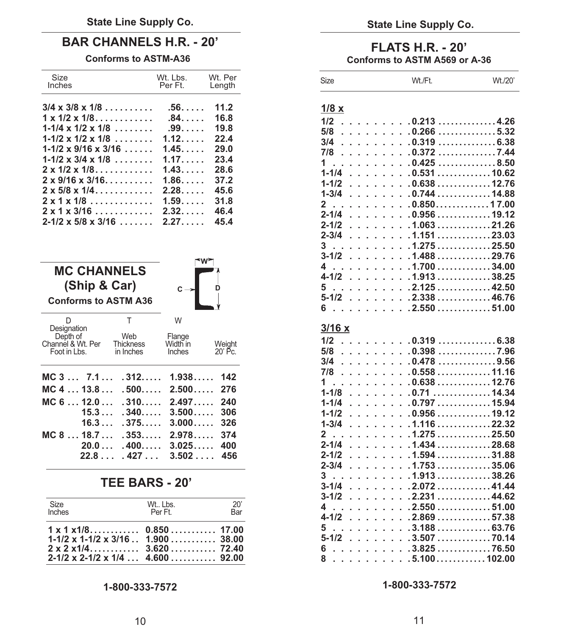### **BAR CHANNELS H.R. - 20'**

### **Conforms to ASTM-A36**

| Size<br>Inches                                               | Wt. Lbs.<br>Per Ft.     | Wt. Per<br>Length |
|--------------------------------------------------------------|-------------------------|-------------------|
| $3/4 \times 3/8 \times 1/8$                                  | $.56.$                  | 11.2              |
| $1 \times 1/2 \times 1/8$<br>$1 - 1/4 \times 1/2 \times 1/8$ | $.84.$<br>$.99. \ldots$ | 16.8<br>19.8      |
| $1 - 1/2 \times 1/2 \times 1/8$                              | 1.12                    | 22.4              |
| $1 - 1/2 \times 9/16 \times 3/16 \ldots$                     | 1.45                    | 29.0              |
| $1 - 1/2 \times 3/4 \times 1/8$                              | 1.17                    | 23.4              |
| $2 \times 1/2 \times 1/8$                                    | 1.43                    | 28.6              |
| $2 \times 9/16 \times 3/16$                                  | 1.86                    | 37.2              |
| $2 \times 5/8 \times 1/4$                                    | 2.28                    | 45.6              |
| $2 \times 1 \times 1/8$                                      | 1.59                    | 31.8              |
| $2 \times 1 \times 3/16$                                     | 2.32                    | 46.4              |
| $2 - 1/2 \times 5/8 \times 3/16$                             | 2.27                    | 45.4              |



### **TEE BARS - 20'**

| <b>Size</b>                                                                                                 | Wt., Lbs. | 20' |
|-------------------------------------------------------------------------------------------------------------|-----------|-----|
| Inches                                                                                                      | Per Ft.   | Bar |
| $1-1/2 \times 1-1/2 \times 3/16$ $1.900$ 38.00<br>$2-1/2 \times 2-1/2 \times 1/4 \ldots 4.600 \ldots 92.00$ |           |     |

### **FLATS H.R. - 20' Conforms to ASTM A569 or A-36**

| <b>Size</b>                                                          | Wt./Ft.              | Wt./20' |
|----------------------------------------------------------------------|----------------------|---------|
| 1/8x                                                                 |                      |         |
| 1/2<br>l,                                                            | $\ldots$ 0.213 4.26  |         |
| 5/8<br>.<br>l,                                                       | $.0.266$ 5.32<br>ä.  |         |
| 3/4<br>.<br>l.                                                       | $.0.319$ 6.38<br>J.  |         |
| 7/8<br>.<br>l,                                                       | .0.3727.44<br>L.     |         |
| $1 \quad$<br>.<br>l,                                                 | $.0.425$ 8.50        |         |
| $1 - 1/4$<br>.                                                       | $.0.531$ 10.62<br>L. |         |
| $1 - 1/2$<br>$\sim$<br>$\mathbf{1}$ and $\mathbf{1}$                 | $.0.638$ 12.76<br>l. |         |
| $1 - 3/4$                                                            | $.0.744$ 14.88       |         |
| L.<br>$\mathbf{1}$ and $\mathbf{1}$ and $\mathbf{1}$<br>l.           | l.                   |         |
| $2$<br>$\mathbf{r}$ and $\mathbf{r}$<br>l,                           | $.0.850$ 17.00<br>L. |         |
| $2 - 1/4$<br>L.<br>ana ana am                                        | $.0.956$ 19.12<br>L. |         |
| $2 - 1/2$<br>L.                                                      | $.1.063$ 21.26<br>L. |         |
| $2 - 3/4$<br>L.<br>L.<br>1.111                                       | $.1.151$ 23.03<br>L. |         |
| 3<br>$\mathbf{1}$ , $\mathbf{1}$ , $\mathbf{1}$ , $\mathbf{1}$<br>ä, | $.1.275$ 25.50<br>L. |         |
| $3 - 1/2$<br>l,                                                      | . 1.488 29.76        |         |
| 4.<br>L.<br>J.                                                       | $\ldots$ 1.700 34.00 |         |
| 4-1/2<br>l,                                                          | $1.913$ 38.25        |         |
| 5.                                                                   | . 2.125 42.50        |         |
| $5 - 1/2$                                                            | $\ldots$ 2.338 46.76 |         |
| 6. .<br>.                                                            | $.2.550$ 51.00       |         |
| 3/16x                                                                |                      |         |
| 1/2<br>l.                                                            | . 0.319 6.38         |         |
| 5/8<br>.                                                             | $. 0.398 \ldots7.96$ |         |
| 3/4<br>.<br>l,                                                       | $.0.478$ 9.56<br>L.  |         |
| 7/8<br>L.                                                            | 1.7.7.7.7.7.0.558    |         |
| $1$ .<br>and a state                                                 | $.0.638$ 12.76<br>L. |         |
| l,<br>L.<br>$1 - 1/8$<br>L.<br>.                                     | .0.7114.34           |         |
|                                                                      |                      |         |
| $1 - 1/4$<br>L.<br>.                                                 | . 0.797 15.94        |         |
| $1 - 1/2$                                                            | $.0.956$ 19.12<br>J. |         |
| $1 - 3/4$<br>.                                                       | $.1.116$ 22.32       |         |
| $2$<br>$\mathbf{r}$ . The set of $\mathbf{r}$<br>l,                  | $.1.275$ 25.50<br>J. |         |
| $2 - 1/4$<br>L.<br>L.<br>a a sala                                    | $.1.434$ 28.68<br>J. |         |
| $2 - 1/2$<br>l,                                                      | $.1.594$ 31.88<br>L. |         |
| $2 - 3/4$<br>L.<br>.                                                 | $.1.753$ 35.06       |         |
| 3.<br>1.111<br>L,<br>í,                                              | $.1.913$ 38.26<br>L. |         |
| $3 - 1/4$<br>l,<br>$\mathbf{1}$ and $\mathbf{1}$<br>l,               | $.2.072$ 41.44<br>J. |         |
| $3 - 1/2$<br>.                                                       | $.2.231$ 44.62       |         |
| 4. .<br>1.111<br>L.<br>l.                                            | $.2.550$ 51.00<br>L. |         |
| $4 - 1/2$                                                            | . 2.869 57.38        |         |
| 5<br>.                                                               | $.3.188$ 63.76       |         |
| $5 - 1/2$<br>.                                                       | $.3.507$ 70.14<br>L. |         |
| $6 \ldots$<br>.                                                      | $.3.825$ 76.50<br>L. |         |
|                                                                      | $\ldots$ 5.100102.00 |         |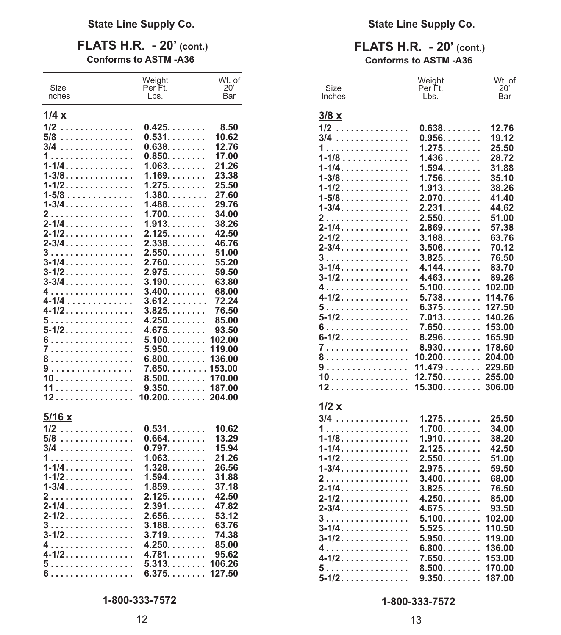| Size<br>Inches | Weight<br>Per Ft.<br>Lbs. | Wt. of<br>20'<br>Bar | Size<br>Inches | Weight<br>Per Ft.<br>Lbs.           | Wt. of<br>20'<br>Bar |
|----------------|---------------------------|----------------------|----------------|-------------------------------------|----------------------|
| 1/4x           |                           |                      | 3/8x           |                                     |                      |
| $1/2$          | 0.425                     | 8.50                 | $1/2$          | 0.638                               | 12.76                |
| 5/8            | 0.531.                    | 10.62                | 3/4            | $0.956$                             | 19.12                |
| $3/4$          | $0.638. \ldots \ldots$ .  | 12.76                |                | 1.275.                              | 25.50                |
| 1.             | $0.850. \ldots \ldots$ .  | 17.00                | 1.             | 1.436                               | 28.72                |
| <u>1-1/4.</u>  | $1.063. \ldots \ldots$ .  | 21.26                | $1 - 1/8$      |                                     | 31.88                |
| 1-3/8.         | 1.169.                    | 23.38                | $1 - 1/4$      | $1.594. \ldots \ldots$              |                      |
| $1 - 1/2$      | 1.275                     | 25.50                | $1 - 3/8$      | $1.756$                             | 35.10                |
| $1 - 5/8$      | $1.380. \ldots \ldots$    | 27.60                | $1 - 1/2$      | 1.913                               | 38.26                |
| $1 - 3/4$      | $1.488. \ldots \ldots$    | 29.76                | $1 - 5/8$      | 2.070                               | 41.40                |
| 2.             | $1.700. \ldots \ldots$    | 34.00                | $1 - 3/4$      | 2.231.                              | 44.62                |
| $2 - 1/4$      | 1.913.                    | 38.26                | 2              | $2.550. \ldots \ldots$ .            | 51.00                |
| $2 - 1/2$      | 2.125                     | 42.50                | 2-1/4.         | $2.869$                             | 57.38                |
| 2-3/4.         | 2.338.                    | 46.76                | $2 - 1/2$      | $3.188$                             | 63.76                |
| 3.             | 2.550.                    | 51.00                | 2-3/4.         | $3.506. \dots \dots$                | 70.12                |
| 3-1/4.         | 2.760.                    | 55.20                | 3.             | 3.825                               | 76.50                |
| $3 - 1/2$      | 2.975                     | 59.50                | $3 - 1/4$      | 4.144.                              | 83.70                |
| 3-3/4.         | 3.190.                    | 63.80                | 3-1/2.         | 4.463                               | 89.26                |
| 4.             | 3.400.                    | 68.00                | 4.             | $5.100$                             | 102.00               |
| 4-1/4          | 3.612.                    | 72.24                | 4-1/2.         | 5.738. 114.76                       |                      |
| 4-1/2.         | $3.825. \ldots \ldots$ .  | 76.50                | 5.             | 6.375. 127.50                       |                      |
| 5.             | 4.250                     | 85.00                | $5 - 1/2$      | 7.013. 140.26                       |                      |
| $5 - 1/2$      | 4.675.                    | 93.50                | 6.             | 7.650. 153.00                       |                      |
| 6.             | $5.100$ 102.00            |                      | 6-1/2.         | $8.296$ 165.90                      |                      |
| 7              | 5.950. 119.00             |                      | 7              | $8.930$ 178.60                      |                      |
| 8.             | $6.800 \ldots 136.00$     |                      | 8              | 10.200 204.00                       |                      |
| 9.             | 7.650153.00               |                      | 9              | 11.479                              | 229.60               |
| 10             | $8.500$ 170.00            |                      | 10             | $12.750$ 255.00                     |                      |
| 11             | $9.350$ 187.00            |                      | 12.            | $15.300$ 306.00                     |                      |
| 12.            | $10.200$ 204.00           |                      |                |                                     |                      |
|                |                           |                      | 1/2 x          |                                     |                      |
| 5/16x          |                           |                      |                |                                     |                      |
|                |                           |                      | $3/4$          | 1.275                               | 25.50                |
| 1/2            | 0.531                     | 10.62                | 1.             | $1.700. \ldots \ldots$ .            | 34.00                |
| 5/8            | 0.664.                    | 13.29                | $1 - 1/8$      | $1.910. \ldots \ldots$ .            | 38.20                |
| 3/4            | 0.797                     | 15.94                | $1 - 1/4$      | 2.125                               | 42.50                |
| 1.             | 1.063.                    | 21.26                | 1-1/2.         | $2.550. \ldots \ldots$ .            | 51.00                |
| $1 - 1/4$      | 1.328                     | 26.56                | $1 - 3/4$      | 2.975                               | 59.50                |
| 1-1/2.         | $1.594. \ldots \ldots$    | 31.88                | 2.             | 3.400.                              | 68.00                |
| $1 - 3/4$      | $1.859. \ldots \ldots$ .  | 37.18                | 2-1/4.         | $3.825. \ldots \ldots$ .            | 76.50                |
| 2.             | 2.125.                    | 42.50                | 2-1/2.         | 4.250.                              | 85.00                |
| $2 - 1/4$      | 2.391.                    | 47.82                | $2 - 3/4$      | 4.675                               | 93.50                |
| $2 - 1/2$      | 2.656.                    | 53.12                | 3.             | $5.100. \ldots \ldots \ . \ 102.00$ |                      |
| 3.             | 3.188.                    | 63.76                | $3 - 1/4$      | $5.525$ 110.50                      |                      |
| $3 - 1/2$      | 3.719                     | 74.38                | 3-1/2.         |                                     |                      |
| 4.             | 4.250.                    | 85.00                | 4.             | $6.800$ 136.00                      |                      |
| 4-1/2.         | 4.781.                    | 95.62                | 4-1/2.         | 7.650153.00                         |                      |
| 5              | $5.313 \ldots 106.26$     |                      | 5.             | $8.500$ 170.00                      |                      |
| 6.             | 6.375127.50               |                      |                |                                     |                      |

### FLATS H.R. - 20' (cont.)<br>
Conforms to ASTM -A36<br>
Conforms to ASTM -A36 **Conforms to ASTM -A36 Conforms to ASTM -A36**

| Size<br>Inches       | Weight<br>Per Ft.<br>Lbs.         | Wt. of<br>$20^{\circ}$<br>Bar | Size<br>Inches         | Weight<br>Per Ft.<br>Lbs.        | Wt. of<br>20'<br>Bar |
|----------------------|-----------------------------------|-------------------------------|------------------------|----------------------------------|----------------------|
|                      |                                   |                               |                        |                                  |                      |
| <u>1/4 x</u>         |                                   |                               | 3/8x                   |                                  |                      |
| $1/2$                | $0.425$                           | 8.50                          | <u> 1/2</u>            | $0.638$                          | 12.76                |
| 5/8                  | 0.531                             | 10.62                         | 3/4                    | $0.956. \ldots \ldots$ .         | 19.12                |
| 3/4                  | $0.638$                           | 12.76                         | 1.                     | 1.275                            | 25.50                |
| 1.<br>$1 - 1/4$      | $0.850. \ldots \ldots$ .          | 17.00<br>21.26                | $1 - 1/8$              | 1.436                            | 28.72                |
| $1 - 3/8$            | 1.063<br>$1.169. \ldots \ldots$   | 23.38                         | 1-1/4.                 | $1.594. \ldots \ldots$           | 31.88                |
| 1-1/2.               | 1.275                             | 25.50                         | $1 - 3/8$<br>$1 - 1/2$ | $1.756. \ldots \ldots$<br>1.913  | 35.10<br>38.26       |
| $1 - 5/8$            | 1.380                             | 27.60                         | $1 - 5/8$              | 2.070.                           | 41.40                |
| $1 - 3/4$            | 1.488.                            | 29.76                         | $1 - 3/4$              | 2.231.                           | 44.62                |
| 2                    | 1.700                             | 34.00                         | 2.                     | 2.550.                           | 51.00                |
| <mark>2-1</mark> /4. | 1.913.                            | 38.26                         | $2 - 1/4$              | $2.869$                          | 57.38                |
| 2-1/2.               | $2.125. \ldots \ldots$            | 42.50                         | $2 - 1/2$              | $3.188$ .                        | 63.76                |
| 2-3/4.               | 2.338                             | 46.76                         | $2 - 3/4$              | $3.506.$                         | 70.12                |
| 3.<br>3-1/4.         | 2.550<br>2.760.                   | 51.00<br>55.20                | 3                      | 3.825                            | 76.50                |
| 3-1/2.               | 2.975.                            | 59.50                         | $3 - 1/4$              | 4.144                            | 83.70                |
| 3-3/4.               | 3.190                             | 63.80                         | 3-1/2.                 | 4.463.                           | 89.26                |
| 4                    | 3.400.                            | 68.00                         | 4.                     | $5.100$ 102.00                   |                      |
| 4-1/4                | 3.612.                            | 72.24                         | $4 - 1/2$              | 5.738114.76                      |                      |
| 4-1/2.               | 3.825                             | 76.50                         | 5.                     | 6.375 127.50                     |                      |
| 5.                   | 4.250.                            | 85.00                         | 5-1/2.                 | $7.013$                          | 140.26               |
| 5-1/2.               | 4.675.                            | 93.50                         | 6.<br>$6 - 1/2$        | $7.650$ 153.00<br>$8.296$ 165.90 |                      |
| 6                    | $5.100$ 102.00                    |                               | 7.                     | $8.930$ 178.60                   |                      |
| 7                    | 5.950. 119.00                     |                               | 8.                     | $10.200$ 204.00                  |                      |
| 8<br>9               | $6.800$ 136.00<br>7.650153.00     |                               | 9                      | 11.479229.60                     |                      |
| 10                   | $8.500$ 170.00                    |                               | 10.                    | 12.750 255.00                    |                      |
| 11                   |                                   |                               | 12.                    | $15.300$ 306.00                  |                      |
| 12.                  | $10.200$ 204.00                   |                               |                        |                                  |                      |
|                      |                                   |                               | 1/2x                   |                                  |                      |
| <u>5/16 x</u>        |                                   |                               | 3/4                    | 1.275                            | 25.50                |
| 1/2                  | 0.531                             | 10.62                         | 1                      | 1.700                            | 34.00                |
| 5/8                  | $0.664$                           | 13.29                         | $1 - 1/8$              | $1.910$                          | 38.20                |
| 3/4                  | $0.797. \ldots \ldots$            | 15.94                         | $1 - 1/4$              | 2.125                            | 42.50                |
| 1.                   | 1.063.                            | 21.26                         | $1 - 1/2$              | 2.550                            | 51.00                |
| $1 - 1/4$            | 1.328                             | 26.56                         | $1 - 3/4$              | $2.975. \ldots \ldots$           | 59.50                |
| <u>1-1/2.</u>        | 1.594.                            | 31.88<br>37.18                | 2.                     | $3.400. \ldots \ldots$           | 68.00                |
| $1 - 3/4$<br>2       | $1.859. \ldots \ldots$ .<br>2.125 | 42.50                         | 2-1/4.                 | 3.825                            | 76.50                |
| 2-1/4.               | 2.391.                            | 47.82                         | $2 - 1/2$              | 4.250                            | 85.00                |
| 2-1/2.               | 2.656.                            | 53.12                         | $2 - 3/4$              | 4.675.<br>$5.100$ 102.00         | 93.50                |
| 3                    | 3.188.                            | 63.76                         | 3.<br>$3 - 1/4$        | 5.525                            | 110.50               |
| 3-1/2.               | $3.719. \ldots \ldots$            | 74.38                         | $3 - 1/2$              | $5.950$ 119.00                   |                      |
| 4                    | 4.250.                            | 85.00                         | 4.                     | $6.800$ 136.00                   |                      |
| 4-1/2.               | 4.781.                            | 95.62                         | 4-1/2.                 | $7.650 \ldots 153.00$            |                      |
| 5                    | 5.313. 106.26                     |                               | 5.                     | $8.500$ 170.00                   |                      |
| 6.                   | 6.375127.50                       |                               | 5-1/2.                 | $9.350$ 187.00                   |                      |
|                      |                                   |                               |                        |                                  |                      |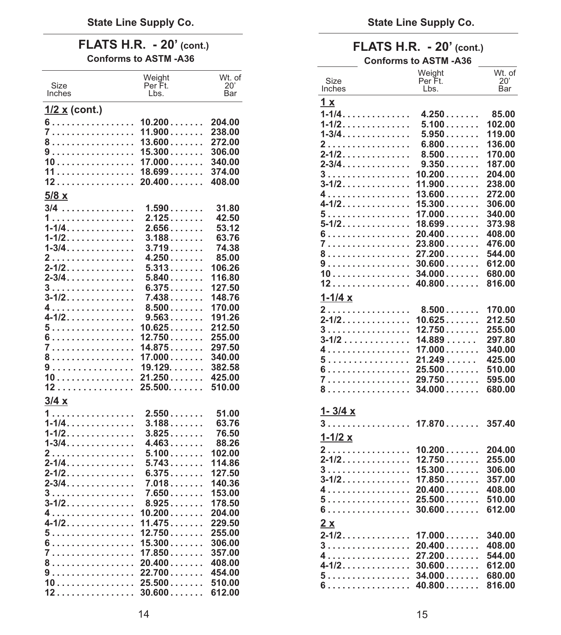## **FLATS H.R. - 20'** (cont.) **FLATS H.R. - 20'** (cont.) **FLATS H.R. - 20'** (cont.) **Conforms to ASTM -A36**

|                      | Weight                                         | Wt. of |                                                                   | Weight          | Wt. of           |
|----------------------|------------------------------------------------|--------|-------------------------------------------------------------------|-----------------|------------------|
| Size                 | Per Ft.                                        | 20'    | Size<br>Inches                                                    | Per Ft.<br>Lbs. | 20'<br>Bar       |
| Inches               | Lbs.                                           | Bar    |                                                                   |                 |                  |
| <u>1/2 x</u> (cont.) |                                                |        | 1 x                                                               |                 |                  |
|                      | 6. 10.200                                      | 204.00 | $1 - 1/4$                                                         | 4.250           | 85.00            |
|                      | 7. 11.900                                      | 238.00 | 1-1/2.                                                            | 5.100           | 102.00           |
|                      | 8. 13.600                                      | 272.00 | $1 - 3/4$                                                         | 5.950           | 119.00           |
|                      | 9 15.300                                       | 306.00 | 2.                                                                | 6.800           | 136.00           |
|                      | 10. 17.000                                     | 340.00 | 2-1/2.                                                            | 8.500           | 170.00           |
|                      | 11 18.699                                      | 374.00 | $2 - 3/4$                                                         | 9.350           | 187.00           |
|                      | $12 \ldots  \ldots 20.400 \ldots$              | 408.00 | $3 \ldots \ldots \ldots \ldots \ldots 10.200 \ldots$              |                 | 204.00           |
|                      |                                                |        |                                                                   |                 | 238.00           |
| 5/8x                 |                                                |        |                                                                   |                 | 272.00           |
| $3/4$                | 1.590                                          | 31.80  | $4-1/2$ , , , , , , , , , , , , , , 15.300 , , , , , , ,          |                 | 306.00           |
| 1                    | 2.125                                          | 42.50  | $5 \ldots  \ldots  \ldots 17.000 \ldots$                          |                 | 340.00           |
| $1 - 1/4$            | $2.656$                                        | 53.12  |                                                                   |                 | 373.98           |
| $1 - 1/2$            | 3.188                                          | 63.76  | 7 23.800                                                          |                 | 408.00<br>476.00 |
| $1 - 3/4$            | 3.719                                          | 74.38  |                                                                   |                 | 544.00           |
| 2.                   | 4.250                                          | 85.00  | 8. 27.200<br>$9 \ldots \ldots \ldots \ldots \ldots 30.600 \ldots$ |                 | 612.00           |
| $2 - 1/2$            | 5.313                                          | 106.26 |                                                                   |                 | 680.00           |
| $2 - 3/4$            | 5.840                                          | 116.80 |                                                                   |                 | 816.00           |
| 3.                   | 6.375                                          | 127.50 |                                                                   |                 |                  |
| $3 - 1/2$            | $7.438$                                        | 148.76 | $1 - 1/4x$                                                        |                 |                  |
| 4.                   | 8.500                                          | 170.00 | 2.                                                                | $8.500$         | 170.00           |
| 4-1/2.               | 9.563                                          | 191.26 | 2-1/2. 10.625                                                     |                 | 212.50           |
|                      | 5. 10.625.                                     | 212.50 | $3 \ldots \ldots \ldots \ldots \ldots 12.750 \ldots$              |                 | 255.00           |
|                      | 6. 12.750                                      | 255.00 | $3-1/2$ 14.889                                                    |                 | 297.80           |
|                      | 7 14.875                                       | 297.50 | 4. 17.000                                                         |                 | 340.00           |
|                      | 8. 17.000                                      | 340.00 | $5 \ldots  \ldots 21.249 \ldots$                                  |                 | 425.00           |
|                      | 9 19.129.                                      | 382.58 |                                                                   |                 | 510.00           |
|                      |                                                | 425.00 | 7. 29.750                                                         |                 | 595.00           |
|                      | $12 \ldots \ldots \ldots \ldots 25.500 \ldots$ | 510.00 | 8. 34.000                                                         |                 | 680.00           |
| 3/4x                 |                                                |        |                                                                   |                 |                  |
| 1.                   | 2.550                                          | 51.00  | $1 - 3/4x$                                                        |                 |                  |
| <u>1-1/4.</u>        | $3.188$                                        | 63.76  | $3 \ldots  \ldots 17.870 \ldots$                                  |                 | 357.40           |
| 1-1/2.               | 3.825                                          | 76.50  |                                                                   |                 |                  |
| $1 - 3/4$            | 4.463                                          | 88.26  | $1 - 1/2 x$                                                       |                 |                  |
| 2.                   | 5.100                                          | 102.00 | 2. 10.200                                                         |                 | 204.00           |
| $2 - 1/4$            | 5.743                                          | 114.86 | $2 - 1/2$ , , , , , , , , , , , , , , 12.750, , , , , , , ,       |                 | 255.00           |
| $2 - 1/2$            | 6.375                                          | 127.50 | $3 \ldots \ldots \ldots \ldots \ldots 15.300 \ldots$              |                 | 306.00           |
| $2 - 3/4$            | 7.018                                          | 140.36 |                                                                   |                 | 357.00           |
| 3                    | 7.650                                          | 153.00 |                                                                   |                 | 408.00           |
| $3 - 1/2$            | 8.925                                          | 178.50 | $5 \ldots  \ldots  \ 25.500 \ldots$                               |                 | 510.00           |
|                      | 4. 10.200                                      | 204.00 |                                                                   |                 | 612.00           |
|                      | 4-1/2. 11.475                                  | 229.50 | 2x                                                                |                 |                  |
|                      |                                                | 255.00 |                                                                   |                 | 340.00           |
|                      |                                                | 306.00 | $3 \ldots \ldots \ldots \ldots \ldots 20.400 \ldots$              |                 | 408.00           |
|                      | 7 17.850                                       | 357.00 | 4. 27.200                                                         |                 | 544.00           |
|                      | 8. 20.400                                      | 408.00 |                                                                   |                 | 612.00           |
|                      |                                                | 454.00 | $5 \ldots  \ldots  \ 34.000 \ldots$                               |                 | 680.00           |
|                      |                                                | 510.00 |                                                                   |                 | 816.00           |
|                      |                                                | 612.00 |                                                                   |                 |                  |

### **Conforms to ASTM -A36 Conforms to ASTM -A36**

|                      | Weight                | Wt. of |                                                            | Weight          | Wt. of              |
|----------------------|-----------------------|--------|------------------------------------------------------------|-----------------|---------------------|
| Size                 | Per Ft.               | 20'    | Size<br>Inches                                             | Per Ft.<br>Lbs. | $20^{\circ}$<br>Bar |
| Inches               | Lbs.                  | Bar    |                                                            |                 |                     |
| <u>1/2 x</u> (cont.) |                       |        | 1x                                                         |                 |                     |
|                      |                       |        | $1 - 1/4$                                                  | 4.250           | 85.00               |
| 6                    | 10.200                | 204.00 | 1-1/2.                                                     | $5.100$         | 102.00              |
| 7.                   | 11.900                | 238.00 | $1 - 3/4$                                                  | 5.950           | 119.00              |
| 8.                   | 13.600                | 272.00 | 2.                                                         | 6.800           | 136.00              |
| 9 15.300             |                       | 306.00 | $2 - 1/2$                                                  | $8.500$         | 170.00              |
| 10. 17.000           |                       | 340.00 | $2 - 3/4$                                                  | 9.350           | 187.00              |
| 11 18.699            |                       | 374.00 | 3.                                                         | 10.200          | 204.00              |
| 12 20.400            |                       | 408.00 | 3-1/2.                                                     | 11.900          | 238.00              |
| $5/8 \times$         |                       |        | 4.                                                         | 13.600          | 272.00              |
|                      |                       |        | $4 - 1/2$                                                  | 15.300          | 306.00              |
| 3/4                  | $1.590\ldots\ldots$ . | 31.80  | 5.                                                         | 17.000          | 340.00              |
| 1.                   | 2.125                 | 42.50  | $5 - 1/2$                                                  | 18.699          | 373.98              |
| 1-1/4.               | $2.656$               | 53.12  | 6.                                                         | 20.400          | 408.00              |
| 1-1/2.               | 3.188                 | 63.76  | 7 23.800                                                   |                 | 476.00              |
| 1-3/4.               | 3.719                 | 74.38  | 8.                                                         | 27.200          | 544.00              |
| 2                    | 4.250                 | 85.00  |                                                            |                 |                     |
| 2-1/2.               | 5.313                 | 106.26 | 9                                                          | 30.600          | 612.00              |
| 2-3/4.               | $5.840$               | 116.80 |                                                            |                 | 680.00              |
| 3                    | 6.375                 | 127.50 | 12.                                                        | 40.800          | 816.00              |
| 3-1/2.               | $7.438$               | 148.76 | $1 - 1/4x$                                                 |                 |                     |
| 4                    | $8.500$               | 170.00 | 2.                                                         | $8.500$         | 170.00              |
| 4-1/2.               | $9.563$               | 191.26 | $2 - 1/2$                                                  | 10.625          | 212.50              |
| 5.                   | 10.625                | 212.50 | 3.                                                         | 12.750          | 255.00              |
| 6                    | 12.750                | 255.00 |                                                            | 14.889          | 297.80              |
| 7 14.875             |                       | 297.50 | 3-1/2                                                      |                 |                     |
| 8 17.000             |                       | 340.00 | 4. 17.000                                                  |                 | 340.00              |
| 9                    | 19.129                | 382.58 | 5                                                          | 21.249          | 425.00              |
| 10 21.250            |                       | 425.00 |                                                            |                 | 510.00              |
| 12                   | 25.500                | 510.00 | 7. 29.750.                                                 |                 | 595.00              |
|                      |                       |        | 8.                                                         | 34.000          | 680.00              |
| $3/4 \times$         |                       |        |                                                            |                 |                     |
| 1.                   | 2.550                 | 51.00  | $1 - 3/4x$                                                 |                 |                     |
| 1-1/4.               | $3.188\ldots\ldots$   | 63.76  | .<br>3                                                     | 17.870          | 357.40              |
| 1-1/2.               | $3.825$               | 76.50  | $1 - 1/2x$                                                 |                 |                     |
| 1-3/4.               | 4.463                 | 88.26  |                                                            |                 |                     |
| 2                    | 5.100                 | 102.00 | 2.                                                         | 10.200          | 204.00              |
| 2-1/4.               | 5.743                 | 114.86 | 2-1/2.                                                     | 12.750          | 255.00              |
| 2-1/2.               | 6.375                 | 127.50 | 3                                                          | 15.300          | 306.00              |
| 2-3/4.               | $7.018$               | 140.36 | 3-1/2.                                                     | 17.850          | 357.00              |
| 3                    | 7.650                 | 153.00 |                                                            |                 | 408.00              |
| 3-1/2.               | 8.925                 | 178.50 | 5. 25.500                                                  |                 | 510.00              |
| 4                    | 10.200                | 204.00 | 6.                                                         | 30.600          | 612.00              |
| 4-1/2.               | 11.475                | 229.50 |                                                            |                 |                     |
|                      |                       |        | 2x                                                         |                 |                     |
| 5. 12.750            |                       | 255.00 | $2 - 1/2$                                                  | 17.000          | 340.00              |
| 6 15.300             |                       | 306.00 | 3                                                          | 20.400          | 408.00              |
| 7 17.850             |                       | 357.00 | 4. 27.200                                                  |                 | 544.00              |
| 8 20.400             |                       | 408.00 |                                                            |                 | 612.00              |
| 9 22.700             |                       | 454.00 | $5 \ldots \ldots \ldots \ldots \quad 34.000 \ldots \ldots$ |                 | 680.00              |
| 10 25.500            |                       | 510.00 | 6. 40.800                                                  |                 | 816.00              |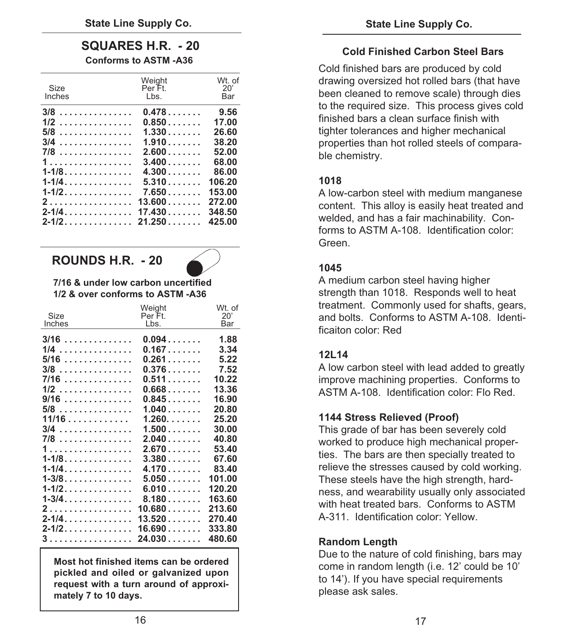### **SQUARES H.R. - 20 Conforms to ASTM -A36**

| Size<br>Inches  | Weight<br>Per Ft.<br>Lbs. | Wt. of<br>20'<br>Bar |
|-----------------|---------------------------|----------------------|
| $3/8$           | 0.478                     | 9.56                 |
| 1/2             | 0.850                     | 17.00                |
| 5/8             | 1.330                     | 26.60                |
| .<br>3/4<br>7/8 | 1.910<br>2.600            | 38.20<br>52.00       |
| 1               | 3.400                     | 68.00                |
| 1-1/8.          | 4.300                     | 86.00                |
| 1-1/4.          | 5.310                     | 106.20               |
| $1 - 1/2$       | 7.650                     | 153.00               |
| 2.              | 13.600                    | 272.00               |
| $2 - 1/4$       | 17.430                    | 348.50               |
| $2 - 1/2$       | 21.250                    | 425.00               |

### **ROUNDS H.R. - 20**



### **7/16 & under low carbon uncertified 1/2 & over conforms to ASTM -A36**

|                | Weight            | Wt. of     |
|----------------|-------------------|------------|
| Size<br>Inches | Per Ft.<br>Lbs.   | 20'<br>Bar |
|                |                   |            |
| $3/16$         | 0.094             | 1.88       |
| 1/4<br>.       | 0.167             | 3.34       |
| 5/16           | 0.261             | 5.22       |
| 3/8            | $0.376$           | 7.52       |
| 7/16           | 0.511             | 10.22      |
| $1/2$          | $0.668$           | 13.36      |
| 9/16           | 0.845             | 16.90      |
| 5/8            | 1.040             | 20.80      |
| $11/16$        | 1.260             | 25.20      |
| 3/4<br>.       | 1.500             | 30.00      |
| 7/8            | 2.040             | 40.80      |
| 1              | 2.670             | 53.40      |
| $1 - 1/8$      | $3.380\dots\dots$ | 67.60      |
| $1 - 1/4$      | $4.170$           | 83.40      |
| $1 - 3/8$      | 5.050             | 101.00     |
| $1 - 1/2$      | $6.010$           | 120.20     |
| 1-3/4.         | $8.180$           | 163.60     |
| 2.             | 10.680            | 213.60     |
| $2 - 1/4$      | $13.520$          | 270.40     |
| $2 - 1/2$      | 16.690            | 333.80     |
| 3              | $24.030$          | 480.60     |
|                |                   |            |

**Most hot finished items can be ordered pickled and oiled or galvanized upon request with a turn around of approximately 7 to 10 days.** 

### **Cold Finished Carbon Steel Bars**

Cold finished bars are produced by cold drawing oversized hot rolled bars (that have been cleaned to remove scale) through dies to the required size. This process gives cold finished bars a clean surface finish with tighter tolerances and higher mechanical properties than hot rolled steels of comparable chemistry.

### **1018**

A low-carbon steel with medium manganese content. This alloy is easily heat treated and welded, and has a fair machinability. Conforms to ASTM A-108. Identification color: Green.

### **1045**

A medium carbon steel having higher strength than 1018. Responds well to heat treatment. Commonly used for shafts, gears, and bolts. Conforms to ASTM A-108. Identificaiton color: Red

### **12L14**

A low carbon steel with lead added to greatly improve machining properties. Conforms to ASTM A-108. Identification color: Flo Red.

### **1144 Stress Relieved (Proof)**

This grade of bar has been severely cold worked to produce high mechanical properties. The bars are then specially treated to relieve the stresses caused by cold working. These steels have the high strength, hardness, and wearability usually only associated with heat treated bars. Conforms to ASTM A-311. Identification color: Yellow.

### **Random Length**

Due to the nature of cold finishing, bars may come in random length (i.e. 12' could be 10' to 14'). If you have special requirements please ask sales.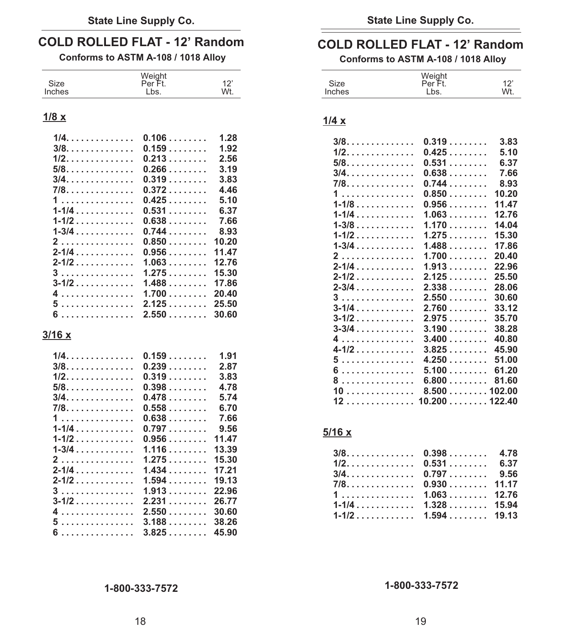| .<br>א∠וכ | $\sim$<br>- | ∡וכ | $\overline{\phantom{a}}$<br>. . | $\sim$<br>. . |
|-----------|-------------|-----|---------------------------------|---------------|
| Inches    | Wt.         | יםו | he<br>-05                       | Wt.           |

| 1/4.      | $0.106$                             | 1.28  |
|-----------|-------------------------------------|-------|
| $3/8.$    | 0.159                               | 1.92  |
| $1/2$ .   | 0.213                               | 2.56  |
| 5/8.      | $0.266$                             | 3.19  |
| $3/4.$    | 0.319                               | 3.83  |
| 7/8.      | 0.372                               | 4.46  |
| 1         | 0.425                               | 5.10  |
| $1 - 1/4$ | 0.531                               | 6.37  |
| $1 - 1/2$ | 0.638                               | 7.66  |
| $1 - 3/4$ | 0.744                               | 8.93  |
| 2.        | 0.850                               | 10.20 |
| $2 - 1/4$ | $0.956$                             | 11.47 |
| $2 - 1/2$ | 1.063                               | 12.76 |
| 3         | 1.275                               | 15.30 |
| $3 - 1/2$ | 1.488                               | 17.86 |
| 4.        | 1.700                               | 20.40 |
| 5.        | 2.125                               | 25.50 |
| c         | $\Omega$ . The contract of $\Omega$ | ኃስ ሮስ |

| $3/4$ 0.478<br>$7/8$ 0.558 | 2.87<br>3.83<br>4.78<br>5.74<br>6.70                               | $8 \dots  \dots 6.800 \dots 81.60$                                                                                                                                  |
|----------------------------|--------------------------------------------------------------------|---------------------------------------------------------------------------------------------------------------------------------------------------------------------|
| $1-1/4$ 0.797              | 7.66<br>9.56<br>$4 \ldots \ldots \ldots \ldots \ldots$ 2.550 30.60 | 5/16 x<br>$3/8$ 0.398 4.78<br>$1/2$ 0.531 6.37<br>$3/4$ 0.797 9.56<br>$7/8$ 0.930 11.17<br>$1, \ldots, \ldots, \ldots, 1.063, \ldots, 12.76$<br>$1-1/2$ 1.594 19.13 |

## **COLD ROLLED FLAT - 12' Random COLD ROLLED FLAT - 12' Random**<br>Conforms to ASTM A-108 / 1018 Alloy Conforms to ASTM A-108 / 1018 Alloy

**Conforms to ASTM A-108 / 1018 Alloy Conforms to ASTM A-108 / 1018 Alloy** 

| Size  | $1 - u$     | ╺                    | ⊃ו∠כ |      | . . |
|-------|-------------|----------------------|------|------|-----|
| าches | 'n١<br>∟∪∪. | W۱<br>. <b>. .</b> . | ne.  | ∟ມຣ⊹ | Wt. |

### **1/8 x 1/4 x**

| 1/4.                                                       | 0.106 | 1.28  | $3/8.$              | 0.319         | 3.83  |
|------------------------------------------------------------|-------|-------|---------------------|---------------|-------|
| $3/8.$                                                     | 0.159 | 1.92  | $1/2.$              | 0.425         | 5.10  |
|                                                            |       | 2.56  | $5/8.$              | 0.531         | 6.37  |
|                                                            |       | 3.19  | 3/4.                | 0.638         | 7.66  |
| $3/4$ 0.319                                                |       | 3.83  | 7/8.                | 0.744         | 8.93  |
|                                                            |       | 4.46  | 1.                  | $0.850$ 10.20 |       |
| $1 \ldots \ldots \ldots \ldots \ldots 0.425 \ldots \ldots$ |       | 5.10  | $1 - 1/8$           | $0.956$ 11.47 |       |
| $1 - 1/4$                                                  | 0.531 | 6.37  | $1 - 1/4$           | $1.063$ 12.76 |       |
| $1 - 1/2$                                                  | 0.638 | 7.66  | $1 - 3/8$           | $1.170$ 14.04 |       |
| $1-3/4$ 0.744                                              |       | 8.93  |                     |               |       |
| $2$ 0.850                                                  |       | 10.20 |                     |               |       |
|                                                            |       | 11.47 | $1 - 3/4$           | $1.488$ 17.86 |       |
|                                                            |       | 12.76 | 2.                  | $1.700$ 20.40 |       |
| 3                                                          | 1.275 | 15.30 | $2 - 1/4$           | $1.913$ 22.96 |       |
|                                                            |       | 17.86 | $2 - 1/2$           | $2.125$ 25.50 |       |
| 4. 1.700.                                                  |       | 20.40 | $2-3/4$ 2.338 28.06 |               |       |
|                                                            |       |       | 3                   | 2.550         | 30.60 |
| $5 \ldots \ldots \ldots \ldots \ldots$ 2.125 25.50         |       |       | $3 - 1/4$           | 2.760         | 33.12 |
|                                                            |       |       |                     |               |       |
|                                                            |       |       | $3 - 3/4$           | $3.190$ 38.28 |       |
| <u>3/16 x</u>                                              |       |       | 4                   | $3.400$ 40.80 |       |
|                                                            |       |       | $4 - 1/2$           | $3.825$ 45.90 |       |
|                                                            |       | 1.91  | 5.                  | 4.250         | 51.00 |
|                                                            |       | 2.87  | 6.                  | $5.100$ 61.20 |       |
|                                                            |       | 3.83  | 8.                  | $6.800$ 81.60 |       |
|                                                            |       | 4.78  | $10$ 8.500102.00    |               |       |
| $3/4$ 0.478                                                |       | 5.74  |                     |               |       |
|                                                            |       |       |                     |               |       |

| $1 \ldots \ldots \ldots \ldots \ldots 1.063 \ldots \ldots 12.76$ |  |
|------------------------------------------------------------------|--|
|                                                                  |  |
|                                                                  |  |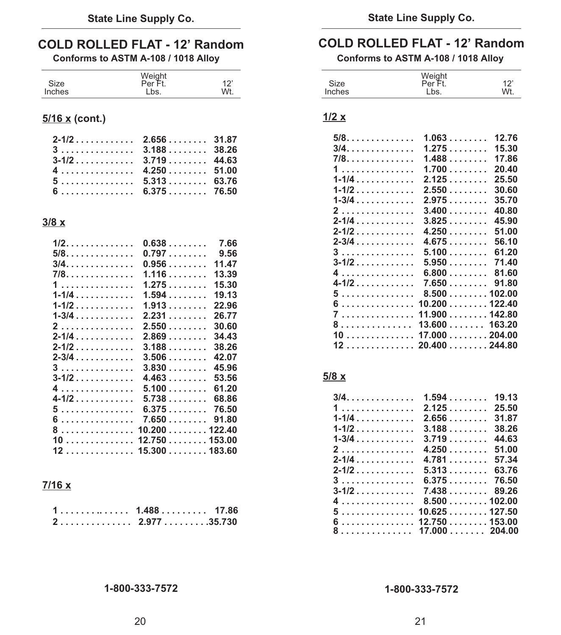## **COLD ROLLED FLAT - 12' Random COLD ROLLED FLAT - 12' Random Conforms to ASTM A-108 / 1018 Alloy**

| Size          | Weight<br>Per Ft. | 1つ  |
|---------------|-------------------|-----|
| <b>Inches</b> | Lbs.              | Wt. |

### **5/16 x (cont.)**

| $3 \ldots  \ldots 3.188 \ldots 38.26$                                 |  |
|-----------------------------------------------------------------------|--|
|                                                                       |  |
| $4 \ldots \ldots \ldots \ldots \quad 4.250 \ldots \ldots \quad 51.00$ |  |
| $5 \ldots \ldots \ldots \ldots 5.313 \ldots \ldots 63.76$             |  |
|                                                                       |  |

### **3/8 x**

| 1/2.      | 0.638           | 7.66  |
|-----------|-----------------|-------|
| $5/8.$    | 0.797           | 9.56  |
| $3/4$     | 0.956           | 11.47 |
| 7/8.      | $1.116$         | 13.39 |
| 1         | 1.275           | 15.30 |
| $1 - 1/4$ | 1.594           | 19.13 |
| 1-1/2     | 1.913           | 22.96 |
| $1 - 3/4$ | 2.231           | 26.77 |
| 2         | 2.550           | 30.60 |
| $2 - 1/4$ | $2.869$         | 34.43 |
| $2 - 1/2$ | $3.188$         | 38.26 |
| 2-3/4     | $3.506$         | 42.07 |
| 3         | $3.830$         | 45.96 |
| $3 - 1/2$ | 4.463           | 53.56 |
| 4.        | $5.100$         | 61.20 |
| 4-1/2     | 5.738           | 68.86 |
| 5.        | 6.375           | 76.50 |
| .<br>6    | 7.650           | 91.80 |
| 8         | 10.200122.40    |       |
| 10        | 12.750153.00    |       |
| 12        | $15.300$ 183.60 |       |

### **7/16 x**

|  |  |  |  |  |  |  | $1, \ldots, \ldots, \ldots, 1.488, \ldots, \ldots, 17.86$ |  |
|--|--|--|--|--|--|--|-----------------------------------------------------------|--|
|  |  |  |  |  |  |  | $2 \ldots \ldots \ldots \ldots \ldots$ 2.977 35.730       |  |

Conforms to ASTM A-108 / 1018 Alloy

|        | Weight  |     |
|--------|---------|-----|
| Size   | Per Ft. | 12' |
| Inches | Lbs.    | Wt. |

### **1/2 x**

| $1.063$ | 12.76                                                                                             |
|---------|---------------------------------------------------------------------------------------------------|
| 1.275   | 15.30                                                                                             |
| 1.488   | 17.86                                                                                             |
| 1.700   | 20.40                                                                                             |
| 2.125   | 25.50                                                                                             |
| 2.550   | 30.60                                                                                             |
| 2.975   | 35.70                                                                                             |
| $3.400$ | 40.80                                                                                             |
| 3.825   | 45.90                                                                                             |
| 4.250   | 51.00                                                                                             |
| 4.675   | 56.10                                                                                             |
| 5.100   | 61.20                                                                                             |
| 5.950   | 71.40                                                                                             |
| 6.800   | 81.60                                                                                             |
| 7.650   | 91.80                                                                                             |
|         |                                                                                                   |
|         |                                                                                                   |
|         |                                                                                                   |
|         |                                                                                                   |
|         |                                                                                                   |
|         |                                                                                                   |
|         | 8.500 102.00<br>10.200 122.40<br>11.900 142.80<br>13.600 163.20<br>17.000 204.00<br>20.400 244.80 |

### **5/8 x**

| 3/4.                                                                                                                                                                                                                           | 1.594               | 19.13 |
|--------------------------------------------------------------------------------------------------------------------------------------------------------------------------------------------------------------------------------|---------------------|-------|
| 1                                                                                                                                                                                                                              | 2.125               | 25.50 |
| $1 - 1/4$ . The set of the set of the set of the set of the set of the set of the set of the set of the set of the set of the set of the set of the set of the set of the set of the set of the set of the set of the set of t | 2.656               | 31.87 |
| $1 - 1/2$                                                                                                                                                                                                                      | $3.188\ldots\ldots$ | 38.26 |
| $1 - 3/4$                                                                                                                                                                                                                      | 3.719               | 44.63 |
| 2.                                                                                                                                                                                                                             | 4.250               | 51.00 |
| $2 - 1/4$                                                                                                                                                                                                                      | 4.781               | 57.34 |
| $2 - 1/2$                                                                                                                                                                                                                      | 5.313               | 63.76 |
| 3.                                                                                                                                                                                                                             | 6.375               | 76.50 |
| $3 - 1/2$                                                                                                                                                                                                                      | 7.43889.26          |       |
| 4                                                                                                                                                                                                                              | 8.500102.00         |       |
| 5.                                                                                                                                                                                                                             | 10.625127.50        |       |
| 6                                                                                                                                                                                                                              | $12.750$ $153.00$   |       |
| 8.                                                                                                                                                                                                                             | 17.000204.00        |       |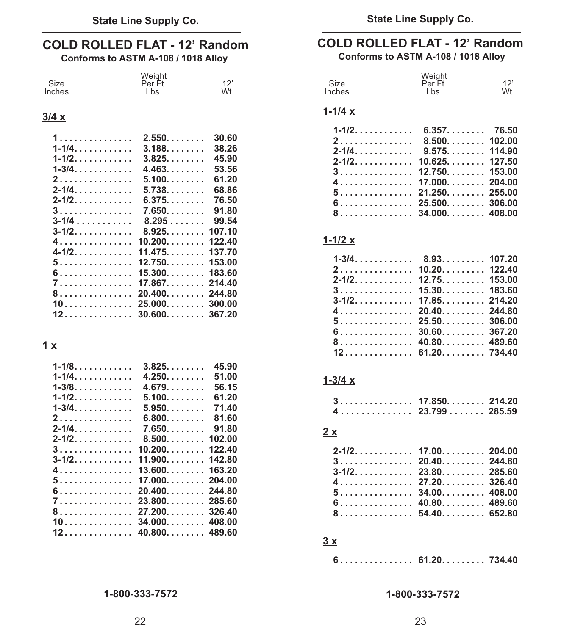### **COLD ROLLED FLAT - 12' Random**

**Conforms to ASTM A-108 / 1018 Alloy** 

| Size          | Weight<br>Per |  |
|---------------|---------------|--|
| <b>Inches</b> |               |  |

### **3/4 x**

| 1.                                | 2.550                     | 30.60  |
|-----------------------------------|---------------------------|--------|
| $1 - 1/4$                         | $3.188$                   | 38.26  |
| 1-1/2.                            | 3.825                     | 45.90  |
| 1-3/4.                            | 4.463                     | 53.56  |
| 2.                                | $5.100.$                  | 61.20  |
| $2 - 1/4$ .                       | 5.738.                    | 68.86  |
| $2 - 1/2$ , , , , , , , , , , , , | 6.375.                    | 76.50  |
| 3.                                | $7.650$                   | 91.80  |
| $3 - 1/4$                         | 8.295                     | 99.54  |
| $3 - 1/2$ .                       | 8.925                     | 107.10 |
| 4.                                | $10.200.$                 | 122.40 |
| $4 - 1/2$                         | 11.475                    | 137.70 |
| 5.                                | $12.750. \ldots \ldots$ . | 153.00 |
| 6.                                | $15.300$                  | 183.60 |
| 7.                                | 17.867.                   | 214.40 |
| 8.                                | 20.400                    | 244.80 |
| 10.                               | 25.000                    | 300.00 |
| 12.                               | 30.600                    | 367.20 |

### **1 x**

| $1 - 1/8$   | 3.825   | 45.90  |
|-------------|---------|--------|
| $1-1/4$     | 4.250   | 51.00  |
| $1 - 3/8$ . | 4.679   | 56.15  |
| $1 - 1/2$ . | 5.100   | 61.20  |
| $1 - 3/4$   | 5.950   | 71.40  |
| 2.          | 6.800   | 81.60  |
| $2 - 1/4$ . | $7.650$ | 91.80  |
| $2 - 1/2$ . | 8.500   | 102.00 |
| 3.          | 10.200  | 122.40 |
| $3 - 1/2$   | 11.900  | 142.80 |
| 4.          | 13.600  | 163.20 |
| 5.          | 17.000  | 204.00 |
| 6.          | 20.400  | 244.80 |
| 7.          | 23.800  | 285.60 |
| 8.          | 27.200  | 326.40 |
| 10.         | 34.000  | 408.00 |
| 12          | 40.800  | 489.60 |

**State Line Supply Co. State Line Supply Co.**

## **COLD ROLLED FLAT - 12' Random**

| Conforms to ASTM A-108 / 1018 Alloy |  |
|-------------------------------------|--|
|-------------------------------------|--|

| Size<br>Inches                                      | Weight<br>Per Ft.<br>Lbs. | 12'<br>Wt. |
|-----------------------------------------------------|---------------------------|------------|
| $1 - 1/4x$                                          |                           |            |
| $1 - 1/2$ .                                         | $6.357$ 76.50             |            |
| 2.                                                  | $8.500$ 102.00            |            |
| $2 - 1/4$ .                                         | 9.575114.90               |            |
| $2 - 1/2$ .                                         | 10.625127.50              |            |
| 3.                                                  | $12.750$ 153.00           |            |
| 4.                                                  | $17.000$ 204.00           |            |
| 5.                                                  | $21.250$ 255.00           |            |
| $\ldots \ldots \ldots \ldots \ldots$ 25.500. 306.00 |                           |            |

**8 ............... 34.000........ 408.00**

### **1-1/2 x**

| $2, \ldots, \ldots, \ldots, 10.20, \ldots, \ldots, 122.40$        |  |
|-------------------------------------------------------------------|--|
|                                                                   |  |
|                                                                   |  |
|                                                                   |  |
| $4 \ldots \ldots \ldots \ldots \ldots 20.40 \ldots \ldots 244.80$ |  |
|                                                                   |  |
|                                                                   |  |
| 8 40.80 489.60                                                    |  |
|                                                                   |  |

### **1-3/4 x**

| $3 \ldots  \ldots 17.850 \ldots 214.20$ |  |
|-----------------------------------------|--|
|                                         |  |

### **2 x**

| $2 - 1/2$ , , , , , , , , , , , , 17.00, , , , , , , , , 204.00   |  |
|-------------------------------------------------------------------|--|
| $3 \ldots  \ldots 20.40 \ldots 244.80$                            |  |
| $3-1/2$ , , , , , , , , , , , , 23.80, , , , , , , , , 285.60     |  |
| $4 \ldots \ldots \ldots \ldots \ldots 27.20 \ldots \ldots 326.40$ |  |
|                                                                   |  |
|                                                                   |  |
| 8. 54.40. 652.80                                                  |  |

### **3 x**

|  |  |  |  |  |  |  |  | 6. 61.20. 734.40 |  |
|--|--|--|--|--|--|--|--|------------------|--|
|  |  |  |  |  |  |  |  |                  |  |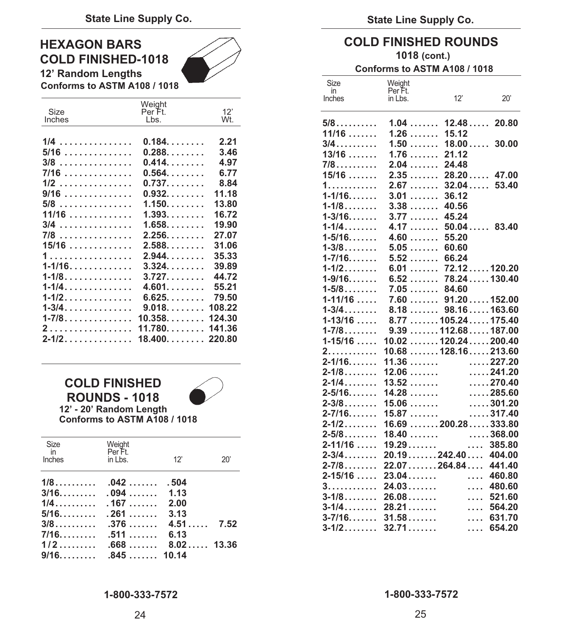### **HEXAGON BARS COLD FINISHED-1018**

**12' Random Lengths** 



**Conforms to ASTM A108 / 1018** 

|            | Weight                 |        |
|------------|------------------------|--------|
| Size       | Per Ft.                | 12'    |
| Inches     | Lbs.                   | Wt.    |
|            |                        |        |
| 1/4<br>.   | 0.184                  | 2.21   |
| $5/16$     | $0.288$                | 3.46   |
| $3/8$      | 0.414                  | 4.97   |
| 7/16       | $0.564$                | 6.77   |
| 1/2        | $0.737$                | 8.84   |
| 9/16       | $0.932$                | 11.18  |
| $5/8$      | $1.150$                | 13.80  |
| 11/16      | $1.393. \ldots \ldots$ | 16.72  |
| 3/4<br>.   | $1.658$                | 19.90  |
| 7/8        | 2.256                  | 27.07  |
| 15/16      | $2.588$                | 31.06  |
| 1          | 2.944                  | 35.33  |
| $1 - 1/16$ | 3.324                  | 39.89  |
| $1 - 1/8$  | 3.727                  | 44.72  |
| $1 - 1/4$  | 4.601                  | 55.21  |
| 1-1/2.     | 6.625                  | 79.50  |
| $1 - 3/4$  | $9.018$                | 108.22 |
| 1-7/8.     | $10.358$               | 124.30 |
| 2          | 11.780                 | 141.36 |
| $2 - 1/2$  | 18.400.                | 220.80 |
|            |                        |        |

### **COLD FINISHED ROUNDS - 1018 12' - 20' Random Length**



**Conforms to ASTM A108 / 1018** 

| Size Weight<br>in Per Ft.<br>Inches | $\mathsf{in}$ Lbs. $\qquad \qquad$ 12' | 20' |
|-------------------------------------|----------------------------------------|-----|
|                                     |                                        |     |
|                                     |                                        |     |
|                                     |                                        |     |

### **COLD FINISHED ROUNDS 1018 (cont.)**

### **Conforms to ASTM A108 / 1018**

| Size              | Weight               |                  |                   |
|-------------------|----------------------|------------------|-------------------|
| in<br>Inches      | Per Ft.<br>in Lbs.   | 12'              | 20'               |
|                   |                      |                  |                   |
| $5/8$             | 1.04                 | 12.48            | 20.80             |
| 11/16             | 1.26                 | 15.12            |                   |
| $3/4$             | 1.50                 | 18.00            | 30.00             |
| 13/16             | 1.76                 | 21.12            |                   |
| $7/8$             | 2.04                 | 24.48            |                   |
| $15/16$           | 2.35<br>.            | $28.20$ 47.00    |                   |
| 1.                | 2.67<br>.            | $32.04\ldots$    | 53.40             |
| $1 - 1/16$        | 3.01<br>.            | 36.12            |                   |
| $1 - 1/8$         | 3.38<br>.            | 40.56            |                   |
| $1 - 3/16$        | 3.77<br>.            | 45.24            |                   |
| $1 - 1/4$         | 4.17<br>.            | $50.04$ 83.40    |                   |
| $1 - 5/16$        | 4.60<br>.            | 55.20            |                   |
| $1 - 3/8$         | $5.05$               | 60.60            |                   |
| $1 - 7/16$        | 5.52                 | 66.24            |                   |
| $1 - 1/2$         | $6.01\dots\dots$     | 72.12120.20      |                   |
| $1 - 9/16$        | 6.52                 | 78.24130.40      |                   |
| $1 - 5/8$         | 7.05                 | 84.60            |                   |
| $1 - 11/16$       | $7.60$ 91.20152.00   |                  |                   |
| $1 - 3/4$         | .<br>8.18            | 98.16163.60      |                   |
| $1 - 13/16$       | 8.77105.24175.40     |                  |                   |
| $1 - 7/8$         | 9.39112.68187.00     |                  |                   |
| $1 - 15/16$       | 10.02120.24200.40    |                  |                   |
| 2.                | $10.68$ 128.16213.60 |                  |                   |
| $2 - 1/16$        | 11.36                |                  | $\ldots$ . 227.20 |
| $2 - 1/8$         | 12.06                |                  | $\ldots$ . 241.20 |
| $2 - 1/4$         | 13.52                |                  | $\ldots$ . 270.40 |
| $2 - 5/16$        | 14.28                |                  | $\ldots$ . 285.60 |
| $2 - 3/8$         | 15.06                |                  | $\ldots$ . 301.20 |
| $2 - 7/16$        | 15.87                |                  | $\ldots$ .317.40  |
| $2 - 1/2$         | $16.69$ 200.28333.80 |                  |                   |
| $2 - 5/8$         | 18.40                |                  | $\ldots$ . 368.00 |
| $2 - 11/16$       | 19.29                | .                | 385.80            |
| $2 - 3/4$         | 20.19242.40404.00    |                  |                   |
| $2 - 7/8$         | 22.07264.84441.40    |                  |                   |
| $2 - 15/16$<br>3. | 23.04<br>24.03       | $\cdots$         | 460.80<br>480.60  |
| $3 - 1/8$         | 26.08                | 1.11<br>$\cdots$ | 521.60            |
| $3 - 1/4$         | 28.21                |                  | 564.20            |
| $3 - 7/16$        | 31.58                | $\cdots$<br>.    | 631.70            |
| $3 - 1/2$         | 32.71                | .                | 654.20            |
|                   |                      |                  |                   |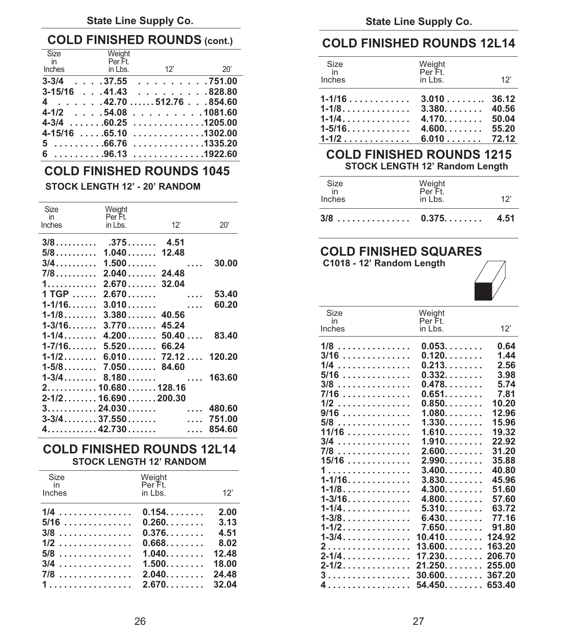### **State Line Supply Co. State Line Supply Co.**

### **COLD FINISHED ROUNDS (cont.) COLD FINISHED ROUNDS 12L14**

| Size                                 | Weight                                                                                                                                           |      |               |                           |     |
|--------------------------------------|--------------------------------------------------------------------------------------------------------------------------------------------------|------|---------------|---------------------------|-----|
| $\overline{m}$<br>Inches in Lbs. 12' | Per Ft.                                                                                                                                          | -20' | Size<br>in    | Weight<br>Per Ft.         |     |
|                                      | $3-3/4$ 37.55 751.00                                                                                                                             |      | <b>Inches</b> | in Lbs.                   | 12' |
|                                      | $3-15/16$ 41.43 828.80<br>$4 \dots 42.70 \dots 512.76 \dots 854.60$<br>$4-1/2$ 54.08 1081.60<br>$4-3/4$ 60.25 1205.00<br>$4-15/16$ 65.10 1302.00 |      |               |                           |     |
|                                      | $5$ 66.76 1335.20                                                                                                                                |      |               | $1-1/2$ 6.010 72.12       |     |
|                                      | $6$ 96.13 1922.60                                                                                                                                |      |               | COLD FINISHED ROUNDS 1215 |     |

### **STOCK LENGTH 12' Random Length COLD FINISHED ROUNDS 1045**

### STOCK LENGTH 12' - 20' RANDOM

| Size<br>in<br>Inches            | Weight<br>Per Ft.<br>in Lbs. | 12'                        | 20'    |
|---------------------------------|------------------------------|----------------------------|--------|
|                                 |                              |                            |        |
| $5/8$ 1.040 12.48               |                              |                            |        |
|                                 |                              |                            |        |
| 7/8…………                         |                              | $2.040$ 24.48              |        |
| 1.                              |                              | $2.670$ 32.04              |        |
| 1 TGP                           |                              | 2.670                      | 53.40  |
| $1 - 1/16$ .                    |                              | $3.010\dots\dots$          | 60.20  |
| $1 - 1/8$                       |                              | $3.380$ $40.56$            |        |
| 1-3/16.                         |                              | $3.770$ $45.24$            |        |
|                                 |                              | $1-1/4$ 4.200 50.40 83.40  |        |
| $1-7/16$ 5.520 66.24            |                              |                            |        |
|                                 |                              | $1-1/2$ 6.010 72.12 120.20 |        |
| $1-5/8$ 7.050 84.60             |                              |                            |        |
|                                 |                              |                            |        |
| $2.\dots\dots10.680\dots128.16$ |                              |                            |        |
| $2 - 1/2$ 16.690 200.30         |                              |                            |        |
|                                 |                              |                            |        |
| $3 - 3/4$ 37.550                |                              |                            | 751.00 |
|                                 |                              | $4.\dots 42.730\dots $     | 854.60 |

### **300.00 FINISHED ROUNDS 12L14 STOCK LENGTH 12' RANDOM**

| Size<br>in<br>Inches | Weight<br>Per Ft.<br>in Lbs.                  | 12'   |
|----------------------|-----------------------------------------------|-------|
| $1/4$                | 0.154                                         | 2.00  |
| $5/16$               | 0.260                                         | 3.13  |
| $3/8$                | 0.376                                         | 4.51  |
| $1/2$                | 0.668                                         | 8.02  |
| $5/8$                | 1.040                                         | 12.48 |
| $3/4$                | 1.500                                         | 18.00 |
| 7/8                  | 2.040                                         | 24.48 |
|                      | $1 \ldots \ldots \ldots \ldots \ldots$ 2.670. | 32.04 |

| Size<br>in<br>Inches | Weight<br>Per Ft.<br>in Lbs. | 12'   |
|----------------------|------------------------------|-------|
|                      |                              |       |
| 1-1/4.               | 4.170                        | 50.04 |
| 1-5/16.              | $4.600$ 55.20                |       |
|                      |                              |       |

## **6 . . . . . . . . . .96.13 . . . . . . . . . . . . . .1922.60 COLD FINISHED ROUNDS 1215**

|                    | <b>STOCK LENGTH 12' - 20' RANDOM</b>       |     |     | Size<br>Inches | Neiaht<br>Per F<br>in Lbs. |      |
|--------------------|--------------------------------------------|-----|-----|----------------|----------------------------|------|
| ize<br>in<br>shoo. | Weight<br>Per Ft.<br>$\ln \ln \frac{1}{2}$ | 12' | יחר | $3/8$ 0.375    |                            | 4.51 |

### **5/8.......... 1.040 ....... 12.48 COLD FINISHED SQUARES**

**3/4.......... 1.500 ....... .... 30.00 C1018 - 12' Random Length**



| Size      | Weight                                                             |                                                                                                                                                                                                                                                                                                                                                                                                     |
|-----------|--------------------------------------------------------------------|-----------------------------------------------------------------------------------------------------------------------------------------------------------------------------------------------------------------------------------------------------------------------------------------------------------------------------------------------------------------------------------------------------|
| in        |                                                                    |                                                                                                                                                                                                                                                                                                                                                                                                     |
|           |                                                                    | 12'                                                                                                                                                                                                                                                                                                                                                                                                 |
|           |                                                                    | 0.64                                                                                                                                                                                                                                                                                                                                                                                                |
|           |                                                                    | 1.44                                                                                                                                                                                                                                                                                                                                                                                                |
|           |                                                                    | 2.56                                                                                                                                                                                                                                                                                                                                                                                                |
|           |                                                                    | 3.98                                                                                                                                                                                                                                                                                                                                                                                                |
|           |                                                                    |                                                                                                                                                                                                                                                                                                                                                                                                     |
|           |                                                                    | 5.74                                                                                                                                                                                                                                                                                                                                                                                                |
|           |                                                                    | 7.81                                                                                                                                                                                                                                                                                                                                                                                                |
|           |                                                                    | 10.20                                                                                                                                                                                                                                                                                                                                                                                               |
|           |                                                                    | 12.96<br>15.96                                                                                                                                                                                                                                                                                                                                                                                      |
|           |                                                                    | 19.32                                                                                                                                                                                                                                                                                                                                                                                               |
|           |                                                                    | 22.92                                                                                                                                                                                                                                                                                                                                                                                               |
|           |                                                                    | 31.20                                                                                                                                                                                                                                                                                                                                                                                               |
|           |                                                                    | 35.88                                                                                                                                                                                                                                                                                                                                                                                               |
|           |                                                                    | 40.80                                                                                                                                                                                                                                                                                                                                                                                               |
|           |                                                                    | 45.96                                                                                                                                                                                                                                                                                                                                                                                               |
|           |                                                                    | 51.60                                                                                                                                                                                                                                                                                                                                                                                               |
|           |                                                                    | 57.60                                                                                                                                                                                                                                                                                                                                                                                               |
|           |                                                                    | 63.72                                                                                                                                                                                                                                                                                                                                                                                               |
|           |                                                                    | 77.16                                                                                                                                                                                                                                                                                                                                                                                               |
|           |                                                                    |                                                                                                                                                                                                                                                                                                                                                                                                     |
|           |                                                                    |                                                                                                                                                                                                                                                                                                                                                                                                     |
| $1 - 1/2$ | 7.650                                                              | 91.80                                                                                                                                                                                                                                                                                                                                                                                               |
|           |                                                                    | 124.92                                                                                                                                                                                                                                                                                                                                                                                              |
|           | 2 13.600                                                           | 163.20                                                                                                                                                                                                                                                                                                                                                                                              |
|           |                                                                    | 206.70                                                                                                                                                                                                                                                                                                                                                                                              |
|           |                                                                    | 255.00                                                                                                                                                                                                                                                                                                                                                                                              |
|           | $3 \ldots \ldots \ldots \ldots \ldots \ldots 30.600 \ldots \ldots$ | 367.20                                                                                                                                                                                                                                                                                                                                                                                              |
|           | Inches                                                             | Per Ft.<br>in Lbs.<br>0.053<br>$1/8$<br>0.120<br>$3/16$<br>0.213<br>$1/4$<br>$5/16$<br>0.332<br>$0.478$<br>$3/8$<br>$7/16$<br>0.651<br>0.850<br>$1/2$<br>$9/16$<br>1.080<br>$5/8$<br>1.330<br>$11/16$<br>1.610<br>$3/4$<br>1.910<br>2.600<br>7/8<br>2.990<br>$15/16$<br>3.400<br>1.<br>$1 - 1/16$<br>3.830<br>4.300<br>$1 - 1/8$<br>$1 - 3/16$<br>4.800<br>$1 - 1/4$<br>5.310<br>6.430<br>$1 - 3/8$ |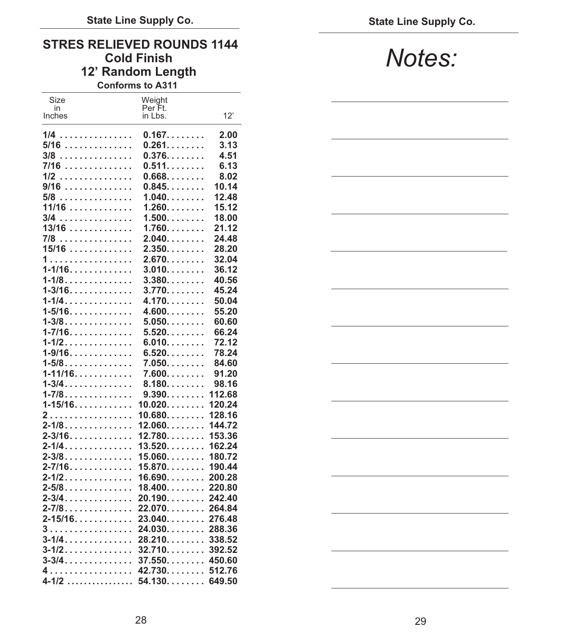## **STRES RELIEVED ROUNDS 1144 12' Random Length**

**Conforms to A311** 

| Size        | Weight             |        |
|-------------|--------------------|--------|
| in          | Per Ft.<br>in Lbs. | 12'    |
| Inches      |                    |        |
| .<br>1/4    | 0.167              | 2.00   |
| $5/16$      | 0.261              | 3.13   |
|             | $0.376$            | 4.51   |
| 3/8         |                    |        |
| 7/16        | 0.511              | 6.13   |
| 1/2<br>.    | $0.668$            | 8.02   |
| 9/16<br>.   | 0.845              | 10.14  |
| 5/8<br>.    | 1.040              | 12.48  |
| 11/16       | 1.260              | 15.12  |
| 3/4<br>.    | 1.500              | 18.00  |
| $13/16$     | 1.760              | 21.12  |
| 7/8<br>.    | 2.040              | 24.48  |
| $15/16$     | 2.350              | 28.20  |
| 1.          | $2.670$            | 32.04  |
| $1 - 1/16$  | 3.010              | 36.12  |
| $1 - 1/8$   | 3.380              | 40.56  |
| $1 - 3/16$  | 3.770              | 45.24  |
| $1 - 1/4$   | 4.170              | 50.04  |
| 1-5/16.     | 4.600              | 55.20  |
| $1 - 3/8$   | $5.050$            | 60.60  |
| $1 - 7/16$  | 5.520              | 66.24  |
| $1 - 1/2$   | 6.010              | 72.12  |
| $1 - 9/16$  | 6.520              | 78.24  |
| $1 - 5/8$   | $7.050$            | 84.60  |
| $1 - 11/16$ | 7.600              | 91.20  |
| $1 - 3/4$   | $8.180$            | 98.16  |
| $1 - 7/8$   | 9.390              | 112.68 |
| $1 - 15/16$ | 10.020             | 120.24 |
| 2.          | 10.680             | 128.16 |
| $2 - 1/8$   | 12.060             | 144.72 |
| $2 - 3/16$  | 12.780             | 153.36 |
| 2-1/4.      | 13.520             | 162.24 |
| $2 - 3/8$   | 15.060             | 180.72 |
| $2 - 7/16$  | 15.870             | 190.44 |
| $2 - 1/2$   | 16.690             | 200.28 |
| $2 - 5/8$   | 18.400             | 220.80 |
| $2 - 3/4$   | 20.190             | 242.40 |
| 2-7/8       | 22.070             | 264.84 |
| $2 - 15/16$ | 23.040             | 276.48 |
| 3           | 24.030             | 288.36 |
| $3 - 1/4$   | 28.210             | 338.52 |
| $3 - 1/2$   | 32.710             | 392.52 |
| $3 - 3/4$   | $37.550$           | 450.60 |
| 4.          | 42.730             | 512.76 |
| $4 - 1/2$   | 54.130             | 649.50 |

## $Notes:$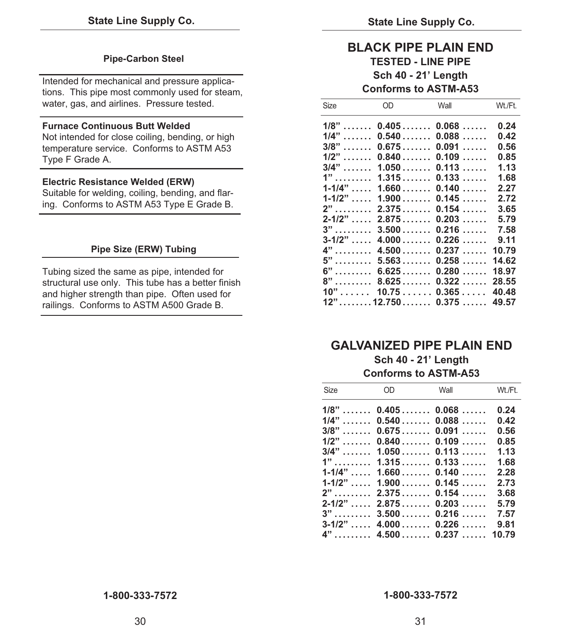### **Pipe-Carbon Steel**

Intended for mechanical and pressure applications. This pipe most commonly used for steam, water, gas, and airlines. Pressure tested.

### **Furnace Continuous Butt Welded**

Not intended for close coiling, bending, or high temperature service. Conforms to ASTM A53 Type F Grade A.

### **Electric Resistance Welded (ERW)**

Suitable for welding, coiling, bending, and flaring. Conforms to ASTM A53 Type E Grade B.

### **Pipe Size (ERW) Tubing**

Tubing sized the same as pipe, intended for structural use only. This tube has a better finish and higher strength than pipe. Often used for railings. Conforms to ASTM A500 Grade B.

### **BLACK PIPE PLAIN END TESTED - LINE PIPE Sch 40 - 21' Length Conforms to ASTM-A53**

| Size                 | OD                                       | Wall             | Wt./Ft. |
|----------------------|------------------------------------------|------------------|---------|
| $1/8"$               | $0.405$                                  | 0.068            | 0.24    |
| 1/4"<br>.            | 0.540                                    | 0.088<br>1.1.1.1 | 0.42    |
| 3/8"                 | 0.675                                    | 0.091<br>1.1.1.1 | 0.56    |
| 1/2"<br>.            | $0.840$                                  | 0.109            | 0.85    |
| $3/4$ "              | 1.050                                    | 0.113            | 1.13    |
| $1"$                 | 1.315                                    | 0.133            | 1.68    |
| $1 - 1/4"$           | 1.660                                    | 0.140            | 2.27    |
| $1 - 1/2"$           | 1.900                                    | 0.145            | 2.72    |
| $2"$                 | 2.375                                    | 0.154            | 3.65    |
| $2 - 1/2"$           | 2.875                                    | 0.203            | 5.79    |
| $3"$                 | 3.500                                    | 0.216            | 7.58    |
| $3 - 1/2$ "          | 4.000                                    | 0.226            | 9.11    |
| $4"$                 | 4.500                                    | 0.237            | 10.79   |
| 5"<br>.              | 5.563                                    | 0.258            | 14.62   |
| 6"<br>.              | 6.625                                    | 0.280            | 18.97   |
| 8"<br>. <sup>.</sup> | 8.625                                    | 0.322            | 28.55   |
| 10"<br>s sa sa san   | 10.75                                    | $0.365$          | 40.48   |
|                      | $12" \ldots \ldots 12.750 \ldots \ldots$ | 0.375            | 49.57   |

### **GALVANIZED PIPE PLAIN END**

**Sch 40 - 21' Length Conforms to ASTM-A53**

| Size | $OD \qquad \qquad \Box$ | Wall                     | Wt./Ft. |
|------|-------------------------|--------------------------|---------|
|      |                         | $1/8$ "  0.405 0.068     | 0.24    |
|      |                         | $1/4$ "  0.540  0.088    | 0.42    |
|      |                         | $3/8$ "  0.675 0.091     | 0.56    |
|      |                         | $1/2$ "  0.840  0.109    | 0.85    |
|      |                         | $3/4$ "  1.050  0.113    | 1.13    |
|      |                         |                          | 1.68    |
|      |                         | $1-1/4$ " $1.660$ 0.140  | 2.28    |
|      |                         | $1-1/2$ " $1.900$ 0.145  | 2.73    |
|      |                         |                          | 3.68    |
|      |                         | $2-1/2$ " , 2.875, 0.203 | 5.79    |
|      |                         | $3$ "  3.500  0.216      | 7.57    |
|      |                         | $3-1/2$ " $4.000$ 0.226  | 9.81    |
|      |                         | $4"$ 4.500 0.237 10.79   |         |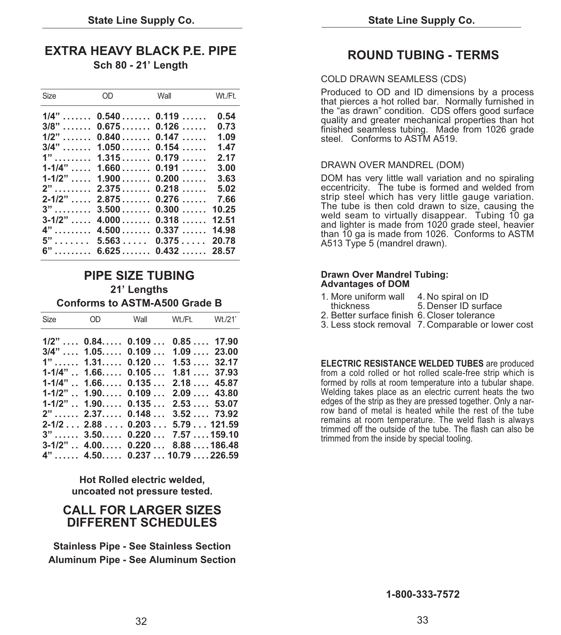### **EXTRA HEAVY BLACK P.E. PIPE Sch 80 - 21' Length**

| Size        | OD                              | Wall  | Wt./Ft. |
|-------------|---------------------------------|-------|---------|
|             | $1/4$ "  0.540  0.119           |       | 0.54    |
|             | $3/8$ "  0.675 0.126            |       | 0.73    |
|             | $1/2$ "  0.840  0.147           |       | 1.09    |
|             | $3/4$ "  1.050  0.154           |       | 1.47    |
|             | $1" \ldots \ldots$ 1.315 0.179  |       | 2.17    |
|             | $1-1/4$ " $1.660$ 0.191         |       | 3.00    |
|             | $1-1/2$ " $1.900$ 0.200         |       | 3.63    |
| $2$ "       | $2.375$ 0.218                   |       | 5.02    |
|             | $2-1/2$ " , $2.875$ , $0.276$ , |       | 7.66    |
| $3"$        | 3.500                           | 0.300 | 10.25   |
| $3 - 1/2$ " | 4.000                           | 0.318 | 12.51   |
|             | $4$ "  4.500  0.337             |       | 14.98   |
|             | $5$ " 5.563 0.375               |       | 20.78   |
|             | $6$ " $6.625$ 0.432  28.57      |       |         |

### **PIPE SIZE TUBING 21' Lengths Conforms to ASTM-A500 Grade B**

|  | Size OD Wall Wt./Ft. Wt./21'                    |           |  |
|--|-------------------------------------------------|-----------|--|
|  | $1/2$ " , 0.84, 0.109  0.85 , 17.90             |           |  |
|  | $3/4$ " , 1.05, 0.109 , 1.09 , 23.00            |           |  |
|  | $1$ " 1.31 0.120 1.53 32.17                     |           |  |
|  | $1-1/4$ " $1.66$ 0.105 $1.81$ 37.93             |           |  |
|  | $1-1/4$ " $\ldots$ 1.66 $\ldots$ 0.135 $\ldots$ | 2.1845.87 |  |
|  | $1-1/2$ " $\ldots$ 1.90 $\ldots$ 0.109 $\ldots$ | 2.0943.80 |  |
|  | $1-1/2$ " . $1.90$ 0.135 2.53 53.07             |           |  |
|  | $2$ " 2.37 0.148 3.52 73.92                     |           |  |
|  | $2-1/2$ 2.88 0.203 5.79 121.59                  |           |  |
|  | $3$ " 3.50 0.220 7.57159.10                     |           |  |
|  | $3-1/2$ " $4.00$ 0.220  8.88  186.48            |           |  |
|  | $4$ " 4.50 0.237 10.79226.59                    |           |  |

**Hot Rolled electric welded, uncoated not pressure tested.** 

### **CALL FOR LARGER SIZES DIFFERENT SCHEDULES**

**Stainless Pipe - See Stainless Section Aluminum Pipe - See Aluminum Section**

### **ROUND TUBING - TERMS**

### COLD DRAWN SEAMLESS (CDS)

Produced to OD and ID dimensions by a process that pierces a hot rolled bar. Normally furnished in the "as drawn" condition. CDS offers good surface quality and greater mechanical properties than hot finished seamless tubing. Made from 1026 grade steel. Conforms to ASTM A519.

### DRAWN OVER MANDREL (DOM)

DOM has very little wall variation and no spiraling eccentricity. The tube is formed and welded from strip steel which has very little gauge variation. The tube is then cold drawn to size, causing the weld seam to virtually disappear. Tubing 10 ga and lighter is made from 1020 grade steel, heavier than 10 ga is made from 1026. Conforms to ASTM A513 Type 5 (mandrel drawn).

### **Drawn Over Mandrel Tubing: Advantages of DOM**

- 1. More uniform wall 4. No spiral on ID<br>thickness 5. Denser ID surfa
- 5. Denser ID surface
- 2. Better surface finish 6. Closer tolerance
- 3. Less stock removal 7. Comparable or lower cost

**ELECTRIC RESISTANCE WELDED TUBES** are produced from a cold rolled or hot rolled scale-free strip which is formed by rolls at room temperature into a tubular shape. Welding takes place as an electric current heats the two edges of the strip as they are pressed together. Only a narrow band of metal is heated while the rest of the tube remains at room temperature. The weld flash is always trimmed off the outside of the tube. The flash can also be trimmed from the inside by special tooling.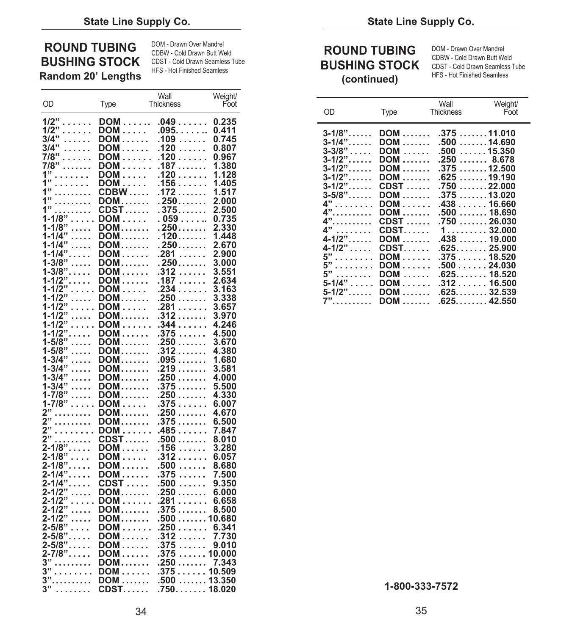|                             |                     | Wall                        | Weight/        |                                  |                  |                  |
|-----------------------------|---------------------|-----------------------------|----------------|----------------------------------|------------------|------------------|
| OD                          | Type                | Thickness                   | Foot           |                                  |                  | Wall             |
| $1/2$ "                     | DOM                 | .049                        | 0.235          | OD                               | Type             | <b>Thickness</b> |
| 1/2"<br>.                   | DOM                 | $.095. \ldots \ldots$       | 0.411          |                                  |                  |                  |
| $3/4$ "<br>.                | DOM                 | .109                        | 0.745          | $3 - 1/8"$<br>$3 - 1/4$ "        | DOM              | .375             |
| 3/4"<br>.                   | DOM                 | .120                        | 0.807          |                                  | DOM              | .500             |
| 7/8"<br>.                   | DOM                 | .120                        | 0.967          | $3 - 3/8" \ldots$<br>$3 - 1/2$ " | DOM              | .500             |
| 7/8"<br>.                   | DOM                 | $.187$                      | 1.380          | $3 - 1/2$ "                      | DOM              | .250<br>.375     |
| $1"$                        | DOM                 | .120                        | 1.128          | $3 - 1/2$ "                      | DOM<br>DOM       | .625             |
| 1"<br>.                     | DOM                 | .156                        | 1.405          | $3 - 1/2$ "                      | $C$ DST $\dots$  | .750             |
| 1"<br>.                     | <b>CDBW</b>         | .172                        | 1.517          | $3 - 5/8" \dots$                 | <b>DOM</b>       | .375             |
| 1"<br>.                     | <b>DOM</b>          | $.250$                      | 2.000          | 4"                               | DOM              | .438             |
| 1"<br>.                     | CDST…….             | . 375.                      | 2.500          | 4"<br>.                          | <b>DOM</b>       | .500             |
| $1 - 1/8"$<br>$^{\prime}$   | $DOM \ldots$ .      | . 059.                      | 0.735          | $4$ "                            | $C$ DST $\dots$  | .750             |
| $1 - 1/8"$<br>.             | <b>DOM</b>          | $.250$                      | 2.330          | 4"<br>.                          | $C$ DST $\ldots$ | $1 \ldots$       |
| $1 - 1/4"$<br>$\ldots$      | DOM                 | . 120………                    | 1.448          | $4-1/2$ "<br>4-1/2"              | <b>DOM</b>       | .438             |
| $1 - 1/4"$<br>.             | DOM                 | . 250.                      | 2.670          |                                  | $C$ DST $\dots$  | .625.            |
| $1 - 1/4$ "                 | DOM                 | .281                        | 2.900          | $5"$                             | $DOM \ldots$ .   | .375             |
| $1 - 3/8"$<br>$\ldots$ .    | DOM                 | . 250.                      | 3.000          | 5"<br>.                          | DOM              | .500             |
| $1 - 3/8$ "                 | DOM                 | $.312\ldots$                | 3.551          | $\mathbf{5}$ "                   | DOM              | .625.            |
| $1 - 1/2$ "                 | DOM                 | .187                        | 2.634          | $5 - 1/4$ "                      | DOM              | .312             |
| $1 - 1/2$<br>$1 - 1/2$<br>. | $DOM \dots$         | .234                        | 3.163          | $5 - 1/2$ "                      | DOM              | .625.            |
| .<br>$1 - 1/2"$             | DOM                 | .250                        | 3.338          | 7".                              | <b>DOM</b>       | .625.            |
| .<br>$1 - 1/2"$<br>.        | $DOM \ldots$<br>DOM | .281<br>$.312\ldots$        | 3.657<br>3.970 |                                  |                  |                  |
| $1 - 1/2$<br>.              | $DOM \ldots$        | .344                        | 4.246          |                                  |                  |                  |
| $1 - 1/2$ "                 | DOM                 | .375                        | 4.500          |                                  |                  |                  |
| $1 - 5/8"$<br>.             | DOM                 | $.250\ldots\ldots$          | 3.670          |                                  |                  |                  |
| $1 - 5/8"$<br>.             | DOM                 | .312                        | 4.380          |                                  |                  |                  |
| $1 - 3/4"$<br>.             | DOM                 | .095                        | 1.680          |                                  |                  |                  |
| $1 - 3/4"$<br>.             | DOM                 | .219                        | 3.581          |                                  |                  |                  |
| $1 - 3/4"$<br>$\ldots$      | DOM                 | .250                        | 4.000          |                                  |                  |                  |
| $1 - 3/4"$<br>.             | DOM                 | .375                        | 5.500          |                                  |                  |                  |
| $1 - 7/8"$<br>$\ldots$ .    | <b>DOM</b>          | $.250\ldots\ldots$          | 4.330          |                                  |                  |                  |
| $1 - 7/8$ "                 | $DOM \ldots$        | .375                        | 6.007          |                                  |                  |                  |
| $2"$                        | DOM                 | .250                        | 4.670          |                                  |                  |                  |
| 2"<br>.                     | DOM                 | .375                        | 6.500          |                                  |                  |                  |
| $\overline{2}$ "<br>.       | DOM                 | .485                        | 7.847          |                                  |                  |                  |
| 2"<br>.                     | $CDST$              | .500                        | 8.010          |                                  |                  |                  |
| $2 - 1/8$ "<br>$2 - 1/8"$   | DOM                 | .156                        | 3.280          |                                  |                  |                  |
| $\ldots$ .<br>$2 - 1/8$ "   | DOM<br>DOM          | $.312\ldots$<br>$.500\dots$ | 6.057<br>8.680 |                                  |                  |                  |
| $2 - 1/4$ "                 | <b>DOM</b>          | .375                        | 7.500          |                                  |                  |                  |
| $2 - 1/4$ "                 | $C$ DST $\,\ldots$  | .500                        | 9.350          |                                  |                  |                  |
| $2 - 1/2"$<br>$\ldots$ .    | DOM                 | .250                        | 6.000          |                                  |                  |                  |
| $2 - 1/2"$<br>.             | $DOM \ldots$        | .281                        | 6.658          |                                  |                  |                  |
| $2 - 1/2"$<br>.             | DOM                 | .375                        | 8.500          |                                  |                  |                  |
| $2 - 1/2"$<br>.             | DOM                 | .500 10.680                 |                |                                  |                  |                  |
| $2 - 5/8"$<br>$\cdots$      | DOM                 | .250                        | 6.341          |                                  |                  |                  |
| $2 - 5/8$ "                 | DOM                 | $.312\ldots$                | 7.730          |                                  |                  |                  |
| $2 - 5/8$ "                 | DOM                 | .375                        | 9.010          |                                  |                  |                  |
| $2 - 7/8$ "                 | DOM                 | .375 10.000                 |                |                                  |                  |                  |
| $3"$                        | DOM                 | .250                        | 7.343          |                                  |                  |                  |
| 3"<br>$\mathbf{r}$          | DOM                 | .37510.509                  |                |                                  |                  |                  |
| $3".$                       | <b>DOM</b>          | .500  13.350                |                |                                  |                  |                  |
| 3"<br>.                     | $C$ DST $\ldots$    | .750. 18.020                |                |                                  | 1-800-333-7572   |                  |

# **ROUND TUBING** DOM - Drawn Over Mandrel<br>
BUSHING STOCK COLO Drawn Seatt Weld<br>
Random 20' Lengths HFS - Hot Finished Seamless Tube<br>
Random 20' Lengths HFS - Hot Finished Seamless Tube<br>
Continued) HFS - Hot Finished Seamless

|                                                                                                                                                                                                                                         |                                                                                                                                                                                                                                                                     | <b>vvall</b>                                                                                                                                                                                                                                                                           |                                                                                                                            |                                                                                                                                                                                                                                                  |                                                                                                                                                                                                                                                         |                                                                                                                                                                                                                                                                                           |                             |
|-----------------------------------------------------------------------------------------------------------------------------------------------------------------------------------------------------------------------------------------|---------------------------------------------------------------------------------------------------------------------------------------------------------------------------------------------------------------------------------------------------------------------|----------------------------------------------------------------------------------------------------------------------------------------------------------------------------------------------------------------------------------------------------------------------------------------|----------------------------------------------------------------------------------------------------------------------------|--------------------------------------------------------------------------------------------------------------------------------------------------------------------------------------------------------------------------------------------------|---------------------------------------------------------------------------------------------------------------------------------------------------------------------------------------------------------------------------------------------------------|-------------------------------------------------------------------------------------------------------------------------------------------------------------------------------------------------------------------------------------------------------------------------------------------|-----------------------------|
| OD                                                                                                                                                                                                                                      | Type                                                                                                                                                                                                                                                                | Thickness                                                                                                                                                                                                                                                                              | vveignu<br>Foot                                                                                                            | OD                                                                                                                                                                                                                                               | Type                                                                                                                                                                                                                                                    | Wall<br>Thickness                                                                                                                                                                                                                                                                         | Weight/<br>Foot             |
| $1/2$ "<br>1/2"<br>.<br>3/4"<br>.<br>3/4"<br>.<br>7/8"<br>1.1.1.1.1.1<br>7/8"………<br>1"<br>1"<br>1"<br>1"<br>1"<br>$1 - 1/8"$<br>1-1/8"……<br>1-1/4"<br>1-1/4"……<br>$1 - 1/4$ "<br>1-3/8"……<br>1-3/8".<br>1-1/2".<br>$1 - 1/2"$<br>1-1/2" | $DOM \ldots$<br>DOM<br><b>DOM</b><br>$DOM \dots \dots$<br>$DOM \dots$<br>DOM<br>$DOM \dots$<br>$CDBW$<br>$DOM$<br>$CDST$<br>$DOM \dots$<br>$DOM$<br>$DOM$<br>$DOM$<br>$DOM \dots$<br>$DOM$<br>$DOM \dots$<br>$DOM \dots$<br>$DOM \dots$<br><b>DOM</b><br>1-1/2" DOM | .0490.235<br>$.095. \ldots \ldots 0.411$<br>$.109\,\ldots\ldots$<br>$.120\ldots$<br>.120<br>$DOM \dots 187 \dots 1$<br>.1201.128<br>.1561.405<br>.172<br>$.250$<br>.375<br>.059<br>$.250$<br>.120<br>.2502.670<br>.2812.900<br>.250<br>.312<br>.187<br>.2343.163<br>.250<br>.281 3.657 | 0.745<br>0.807<br>0.967<br>1.380<br>1.517<br>2.000<br>2.500<br>0.735<br>2.330<br>1.448<br>3.000<br>3.551<br>2.634<br>3.338 | $3 - 1/8$ "<br>$3 - 1/4$ "<br>$3 - 3/8"$<br>$3 - 1/2$ "<br>$3 - 1/2$ "<br>$3 - 1/2$ "<br>$3 - 1/2$ "<br>$3 - 5/8$ "<br>$4"$<br>$4"$ .<br>4".<br>$4"$<br>$4 - 1/2$ "<br>$4 - 1/2$ "<br>$5"$<br>$5"$<br>5"………<br>$5 - 1/4$ "<br>$5 - 1/2$ "<br>7". | <b>DOM</b><br>$DOM \dots$<br>$DOM$<br><b>DOM</b><br>$DOM$<br>$C$ DST $\dots$<br>$DOM$<br>$DOM \dots$<br>$DOM$<br>$C$ DST $\dots$<br>$C$ DST $\dots$<br>$DOM$<br>$C$ DST $\dots$<br>$DOM \dots$<br>$DOM$<br>$DOM \dots$<br>$DOM \dots$<br>$DOM$<br>$DOM$ | $DOM$ 37511.010<br>.500 …. . 14.690<br>.50015.350<br>.2508.678<br>.37512.500<br>.62519.190<br>.750<br>.37513.020<br>.43816.660<br>.50018.690<br>$.750$<br>1.1.1.1.1.1.1<br>.43819.000<br>.62525.900<br>.37518.520<br>.50024.030<br>.62518.520<br>.31216.500<br>.62532.539<br>.625. 42.550 | .22.000<br>26.030<br>32.000 |
|                                                                                                                                                                                                                                         |                                                                                                                                                                                                                                                                     |                                                                                                                                                                                                                                                                                        |                                                                                                                            |                                                                                                                                                                                                                                                  |                                                                                                                                                                                                                                                         |                                                                                                                                                                                                                                                                                           |                             |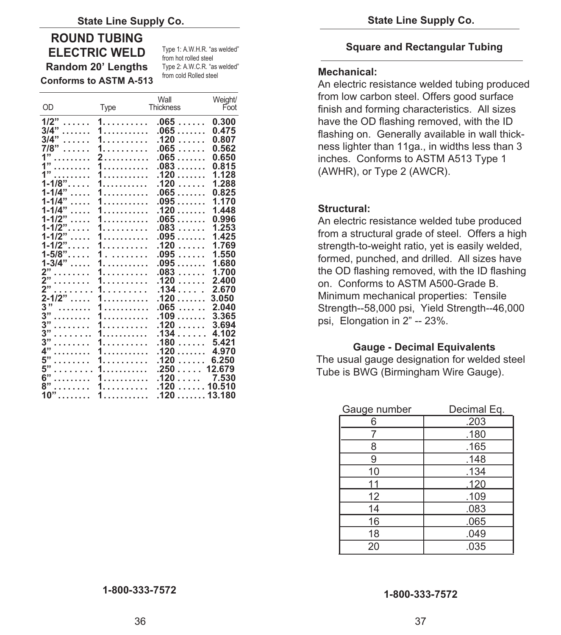### **ROUND TUBING ELECTRIC WELD** Type 1: A.W.H.R. "as welded"

**Random 20' Lengths** Type 2: A.W.C.R. "as welded"<br> **Random 20' Lengths** T40 from cold Rolled steel

**Conforms to ASTM A-513** 

| OD              |                    | Wall<br><b>Thickness</b> | Weight/<br>Foot |
|-----------------|--------------------|--------------------------|-----------------|
|                 | <b>Type</b>        |                          |                 |
| 1/2"<br>.       | 1.                 | .065<br>.                | 0.300           |
| 3/4"<br>.       | 1.                 | $.065$                   | 0.475           |
| 3/4"<br>.       | 1.                 | .120<br>.                | 0.807           |
| 7/8"<br>1.1.1.1 | 1.                 | .065<br>1.1.1.1          | 0.562           |
| 1"<br>.         | 2.                 | .065                     | 0.650           |
| 1"<br>.         | 1.                 | .083<br>.                | 0.815           |
| 1"<br>.         | 1.                 | .120<br>.                | 1.128           |
| $1 - 1/8$ "     | 1.                 | .120<br>.                | 1.288           |
| $1 - 1/4$ "     | 1.                 | .065                     | 0.825           |
| $1 - 1/4"$<br>. | 1<br>.             | $.095$                   | 1.170           |
| $1 - 1/4"$<br>. | .                  | .120<br>.                | 1.448           |
| $1 - 1/2"$<br>. | .                  | .065<br>.                | 0.996           |
| $1 - 1/2$ "     | 1.                 | .083<br>.                | 1.253           |
| $1 - 1/2$ "     | 1.                 | .095                     | 1.425           |
| $1 - 1/2$ "     | 1.                 | .120<br>.                | 1.769           |
| $1 - 5/8$ "     | 1<br>1.1.1.1.1.1.1 | .095<br>1.1.1.1          | 1.550           |
| $1 - 3/4"$      | 1.                 | .095<br>.                | 1.680           |
| 2"<br>"         | 1.                 | .083<br>.                | 1.700           |
| 2"<br>.         | 1.                 | .120<br>.                | 2.400           |
| 2"<br>.         | 1.                 | .134                     | 2.670           |
| $2 - 1/2$ "     | 1.                 | .120                     | 3.050           |
| 3"<br>.         | 1<br>.             | .065<br>$\overline{1}$   | 2.040           |
| 3"<br>.         | .                  | .109<br>.                | 3.365           |
| 3"<br>.         | 1.                 | .120<br>.                | 3.694           |
| 3"<br>.         | 1.                 | .134<br>.                | 4.102           |
| 3"<br>.         | 1.                 | .180<br>.                | 5.421           |
| 4"<br>.         | 1.                 | .120<br>.                | 4.970           |
| 5"<br>.         | 1.                 | .120<br>.                | 6.250           |
| 5"<br>.         | 1.                 | .250                     | 12.679          |
| 6"<br>.         | 1.                 | .120<br>.                | 7.530           |
| 8"<br>.         | 1.                 | .120<br>.                | 10.510          |
| $10"$           | 1.                 | .120 13.180              |                 |

### **Square and Rectangular Tubing**

### **Mechanical:**

An electric resistance welded tubing produced from low carbon steel. Offers good surface finish and forming characteristics. All sizes have the OD flashing removed, with the ID flashing on. Generally available in wall thickness lighter than 11ga., in widths less than 3 inches. Conforms to ASTM A513 Type 1 (AWHR), or Type 2 (AWCR).

### **Structural:**

An electric resistance welded tube produced from a structural grade of steel. Offers a high strength-to-weight ratio, yet is easily welded, formed, punched, and drilled. All sizes have the OD flashing removed, with the ID flashing on. Conforms to ASTM A500-Grade B. Minimum mechanical properties: Tensile Strength--58,000 psi, Yield Strength--46,000 psi, Elongation in 2" -- 23%.

### **Gauge - Decimal Equivalents**

The usual gauge designation for welded steel Tube is BWG (Birmingham Wire Gauge).

| Gauge number | Decimal Eq. |
|--------------|-------------|
| 6            | .203        |
|              | .180        |
| 8            | .165        |
| 9            | .148        |
| 10           | .134        |
| 11           | .120        |
| 12           | .109        |
| 14           | .083        |
| 16           | .065        |
| 18           | .049        |
| 20           | .035        |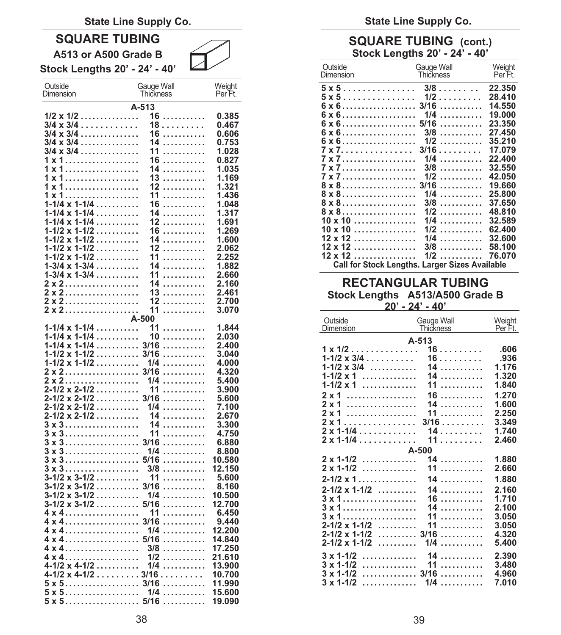### **State Line Supply Co.**

### **SQUARE TUBING A513 or A500 Grade B**

**Stock Lengths 20' - 24' - 40'** 

| Outside<br>Dimension                                    | Gauge Wall<br>Thickness | Weight<br>Per Ft. |
|---------------------------------------------------------|-------------------------|-------------------|
|                                                         | A-513                   |                   |
| $1/2 \times 1/2 \ldots \ldots \ldots \ldots$            | 16<br>.                 | 0.385             |
| $3/4 \times 3/4$                                        | 18                      | 0.467             |
| $3/4 \times 3/4$                                        | 16<br>.                 | 0.606             |
| 3/4 x 3/4                                               | 14<br>.                 | 0.753             |
| $3/4 \times 3/4$                                        | 11<br>.                 | 1.028             |
|                                                         | 16<br>.                 | 0.827             |
|                                                         | 14<br>.                 | 1.035             |
|                                                         | 13<br>.                 | 1.169             |
|                                                         | 12<br>.                 | 1.321             |
|                                                         | 11<br>.                 | 1.436             |
| $1 - 1/4 \times 1 - 1/4 \ldots \ldots$                  | 16<br>.                 | 1.048             |
| $1 - 1/4 \times 1 - 1/4 \dots$                          | 14<br>.<br>12           | 1.317             |
| $1 - 1/4 \times 1 - 1/4 \ldots$<br>$1-1/2 \times 1-1/2$ | .<br>16                 | 1.691<br>1.269    |
| .<br>$1 - 1/2 \times 1 - 1/2 \ldots \ldots$             | .<br>14                 | 1.600             |
| $1 - 1/2 \times 1 - 1/2 \ldots$                         | .<br>12<br>.            | 2.062             |
| $1 - 1/2 \times 1 - 1/2 \ldots$                         | 11<br>.                 | 2.252             |
| $1-3/4 \times 1-3/4 \ldots$                             | 14<br>.                 | 1.882             |
| $1 - 3/4 \times 1 - 3/4 \ldots$                         | 11<br>.                 | 2.660             |
|                                                         | 14<br>.                 | 2.160             |
| 2 x 2                                                   | 13<br>.                 | 2.461             |
|                                                         | 12<br>.                 | 2.700             |
| 2 x 2                                                   | 11<br>.                 | 3.070             |
|                                                         | A-500                   |                   |
| $1 - 1/4 \times 1 - 1/4 \dots$                          | 11<br>.                 | 1.844             |
| $1 - 1/4 \times 1 - 1/4 \dots$                          | 10<br>.                 | 2.030             |
| $1 - 1/4 \times 1 - 1/4 \ldots \ldots$                  | 3/16<br>.               | 2.400             |
| $1 - 1/2 \times 1 - 1/2 \ldots \ldots$                  | 3/16<br>.               | 3.040             |
| $1 - 1/2 \times 1 - 1/2 \ldots \ldots$                  | 1/4<br>.                | 4.000             |
| 2 x 2                                                   | 3/16<br>.               | 4.320             |
|                                                         | 1/4<br>.                | 5.400             |
| $2 - 1/2 \times 2 - 1/2 \dots$                          | 11<br>.                 | 3.900             |
| 2-1/2 x 2-1/2                                           | 3/16<br>.               | 5.600             |
| $2 - 1/2 \times 2 - 1/2 \ldots$                         | 1/4<br>.                | 7.100             |
| $2 - 1/2 \times 2 - 1/2 \ldots$                         | 14<br>.                 | 2.670             |
| $3 \times 3 \ldots \ldots \ldots \ldots \ldots \ldots$  | 14<br>.                 | 3.300             |
|                                                         | 11<br>.                 | 4.750             |
|                                                         | 3/16<br>.               | 6.880             |
|                                                         | 1/4<br>.                | 8.800             |
|                                                         | 5/16<br>.               | 10.580            |
|                                                         | 3/8<br>.                | 12.150            |
| $3-1/2 \times 3-1/2 \ldots$                             | 11<br>.                 | 5.600             |
| 3-1/2 x 3-1/2                                           | 3/16<br>.               | 8.160             |
| $3-1/2 \times 3-1/2 \ldots$                             | 1/4<br>.                | 10.500            |
| $3 - 1/2 \times 3 - 1/2 \ldots$                         | 5/16<br>.<br>11         | 12.700<br>6.450   |
| $4 \times 4$                                            | .<br>3/16<br>.          | 9.440             |
|                                                         | 1/4<br>.                | 12.200            |
|                                                         | 5/16<br>.               | 14.840            |
|                                                         | 3/8<br>.                | 17.250            |
|                                                         | 1/2<br>.                | 21.610            |
| $4 - 1/2 \times 4 - 1/2 \ldots$                         | 1/4<br>.                | 13.900            |
| $4 - 1/2 \times 4 - 1/2 \ldots$                         | 3/16<br>.               | 10.700            |
| $5 \times 5 \ldots \ldots \ldots \ldots \ldots \ldots$  | 3/16<br>.               | 11.990            |
|                                                         | 1/4<br>.                | 15.600            |
| $5 \times 5 \ldots \ldots \ldots \ldots$<br>$\ddotsc$   | 5/16<br>.               | 19.090            |

**State Line Supply Co.** 

### **SQUARE TUBING (cont.) Stock Lengths 20' - 24' - 40'**

| Outside<br>Dimension                                                     | Gauge Wall<br>Thickness | Weight<br>Per Ft. |
|--------------------------------------------------------------------------|-------------------------|-------------------|
| $5 \times 5 \ldots \ldots \ldots \ldots \ldots$ 3/8                      |                         | 22.350            |
| $5 \times 5 \ldots \ldots \ldots \ldots \ldots 1/2 \ldots \ldots \ldots$ |                         | 28.410            |
|                                                                          |                         | 14.550            |
| $6 \times 6$                                                             | 1/4<br>.                | 19.000            |
| $6 \times 6 \ldots \ldots \ldots \ldots \ldots \ldots$                   | $5/16$                  | 23.350            |
| $6 \times 6 \ldots \ldots \ldots \ldots \ldots$                          | $3/8$                   | 27.450            |
| $6 \times 6 \ldots \ldots \ldots \ldots \ldots$                          | $1/2$                   | 35.210            |
| 7 x 7. 3/16                                                              |                         | 17.079            |
| 7 x 7                                                                    | $1/4$                   | 22.400            |
|                                                                          | $3/8$                   | 32.550            |
|                                                                          | $1/2$                   | 42.050            |
|                                                                          |                         | 19.660            |
| $8 \times 8$                                                             | $1/4$                   | 25.800            |
| 8 x 8                                                                    | $3/8$                   | 37.650            |
| 8 x 8                                                                    | $1/2$                   | 48.810            |
| $10 \times 10$                                                           | $1/4$                   | 32.589            |
| $10 \times 10$                                                           | $1/2$                   | 62.400            |
| $12 \times 12$                                                           | $1/4$                   | 32.600            |
| $12 \times 12$                                                           | $3/8$                   | 58.100            |
| $12 \times 12$                                                           | $1/2$                   | 76.070            |
|                                                                          |                         |                   |
| <b>Call for Stock Lengths. Larger Sizes Available</b>                    |                         |                   |

### **RECTANGULAR TUBING Stock Lengths A513/A500 Grade B**

**20' - 24' - 40'** 

| A-513<br>16<br>.606<br>$1 \times 1/2$<br>$1 - 1/2 \times 3/4$<br>.936<br>16<br>$1 - 1/2 \times 3/4$<br>1.176<br>14<br>$1 - 1/2 \times 1$<br>14<br>1.320<br>$1 - 1/2 \times 1$<br>11<br>1.840<br>.<br>1.270<br>.<br>$16$<br>$2 \times 1$<br>1.600<br>$2 \times 1$<br>14<br>.<br>.<br>11<br>2,250<br>$2 \times 1$<br>.<br>3.349<br>2 x 1<br>3/16<br>$2 \times 1 - 1/4$<br>14<br>1.740<br>$2 \times 1 - 1/4$<br>11<br>2.460<br>A-500<br>$2 \times 1 - 1/2$<br>14<br>1.880<br>.<br>$2 \times 1 - 1/2$<br>11<br>2.660<br>1.880<br>$2 - 1/2 \times 1 \ldots \ldots \ldots \ldots$<br>14<br>.<br>$2 - 1/2 \times 1 - 1/2$<br>14<br>2.160<br>1.710<br>$3 \times 1$<br>$16 \dots $<br>14<br>2.100<br>$3 \times 1$<br>11<br>3.050<br>$3 \times 1$<br>$2 - 1/2 \times 1 - 1/2$<br>3.050<br>11<br>.<br>$2 - 1/2 \times 1 - 1/2$<br>3/16<br>4.320<br>.<br>$2 - 1/2 \times 1 - 1/2$<br>$1/4$<br>5.400<br>$3 \times 1 - 1/2$<br>14<br>2.390<br>.<br>.<br>$3 \times 1 - 1/2$<br>3.480<br>.<br>11<br>$3 \times 1 - 1/2$<br>4.960<br>$3/16$<br>.<br>$3 \times 1 - 1/2$<br>$1/4$<br>7.010<br>. | Outside<br>Dimension | Gauge Wall<br>Thickness | Weight<br>Per Ft. |
|-----------------------------------------------------------------------------------------------------------------------------------------------------------------------------------------------------------------------------------------------------------------------------------------------------------------------------------------------------------------------------------------------------------------------------------------------------------------------------------------------------------------------------------------------------------------------------------------------------------------------------------------------------------------------------------------------------------------------------------------------------------------------------------------------------------------------------------------------------------------------------------------------------------------------------------------------------------------------------------------------------------------------------------------------------------------------------|----------------------|-------------------------|-------------------|
|                                                                                                                                                                                                                                                                                                                                                                                                                                                                                                                                                                                                                                                                                                                                                                                                                                                                                                                                                                                                                                                                             |                      |                         |                   |
|                                                                                                                                                                                                                                                                                                                                                                                                                                                                                                                                                                                                                                                                                                                                                                                                                                                                                                                                                                                                                                                                             |                      |                         |                   |
|                                                                                                                                                                                                                                                                                                                                                                                                                                                                                                                                                                                                                                                                                                                                                                                                                                                                                                                                                                                                                                                                             |                      |                         |                   |
|                                                                                                                                                                                                                                                                                                                                                                                                                                                                                                                                                                                                                                                                                                                                                                                                                                                                                                                                                                                                                                                                             |                      |                         |                   |
|                                                                                                                                                                                                                                                                                                                                                                                                                                                                                                                                                                                                                                                                                                                                                                                                                                                                                                                                                                                                                                                                             |                      |                         |                   |
|                                                                                                                                                                                                                                                                                                                                                                                                                                                                                                                                                                                                                                                                                                                                                                                                                                                                                                                                                                                                                                                                             |                      |                         |                   |
|                                                                                                                                                                                                                                                                                                                                                                                                                                                                                                                                                                                                                                                                                                                                                                                                                                                                                                                                                                                                                                                                             |                      |                         |                   |
|                                                                                                                                                                                                                                                                                                                                                                                                                                                                                                                                                                                                                                                                                                                                                                                                                                                                                                                                                                                                                                                                             |                      |                         |                   |
|                                                                                                                                                                                                                                                                                                                                                                                                                                                                                                                                                                                                                                                                                                                                                                                                                                                                                                                                                                                                                                                                             |                      |                         |                   |
|                                                                                                                                                                                                                                                                                                                                                                                                                                                                                                                                                                                                                                                                                                                                                                                                                                                                                                                                                                                                                                                                             |                      |                         |                   |
|                                                                                                                                                                                                                                                                                                                                                                                                                                                                                                                                                                                                                                                                                                                                                                                                                                                                                                                                                                                                                                                                             |                      |                         |                   |
|                                                                                                                                                                                                                                                                                                                                                                                                                                                                                                                                                                                                                                                                                                                                                                                                                                                                                                                                                                                                                                                                             |                      |                         |                   |
|                                                                                                                                                                                                                                                                                                                                                                                                                                                                                                                                                                                                                                                                                                                                                                                                                                                                                                                                                                                                                                                                             |                      |                         |                   |
|                                                                                                                                                                                                                                                                                                                                                                                                                                                                                                                                                                                                                                                                                                                                                                                                                                                                                                                                                                                                                                                                             |                      |                         |                   |
|                                                                                                                                                                                                                                                                                                                                                                                                                                                                                                                                                                                                                                                                                                                                                                                                                                                                                                                                                                                                                                                                             |                      |                         |                   |
|                                                                                                                                                                                                                                                                                                                                                                                                                                                                                                                                                                                                                                                                                                                                                                                                                                                                                                                                                                                                                                                                             |                      |                         |                   |
|                                                                                                                                                                                                                                                                                                                                                                                                                                                                                                                                                                                                                                                                                                                                                                                                                                                                                                                                                                                                                                                                             |                      |                         |                   |
|                                                                                                                                                                                                                                                                                                                                                                                                                                                                                                                                                                                                                                                                                                                                                                                                                                                                                                                                                                                                                                                                             |                      |                         |                   |
|                                                                                                                                                                                                                                                                                                                                                                                                                                                                                                                                                                                                                                                                                                                                                                                                                                                                                                                                                                                                                                                                             |                      |                         |                   |
|                                                                                                                                                                                                                                                                                                                                                                                                                                                                                                                                                                                                                                                                                                                                                                                                                                                                                                                                                                                                                                                                             |                      |                         |                   |
|                                                                                                                                                                                                                                                                                                                                                                                                                                                                                                                                                                                                                                                                                                                                                                                                                                                                                                                                                                                                                                                                             |                      |                         |                   |
|                                                                                                                                                                                                                                                                                                                                                                                                                                                                                                                                                                                                                                                                                                                                                                                                                                                                                                                                                                                                                                                                             |                      |                         |                   |
|                                                                                                                                                                                                                                                                                                                                                                                                                                                                                                                                                                                                                                                                                                                                                                                                                                                                                                                                                                                                                                                                             |                      |                         |                   |
|                                                                                                                                                                                                                                                                                                                                                                                                                                                                                                                                                                                                                                                                                                                                                                                                                                                                                                                                                                                                                                                                             |                      |                         |                   |
|                                                                                                                                                                                                                                                                                                                                                                                                                                                                                                                                                                                                                                                                                                                                                                                                                                                                                                                                                                                                                                                                             |                      |                         |                   |
|                                                                                                                                                                                                                                                                                                                                                                                                                                                                                                                                                                                                                                                                                                                                                                                                                                                                                                                                                                                                                                                                             |                      |                         |                   |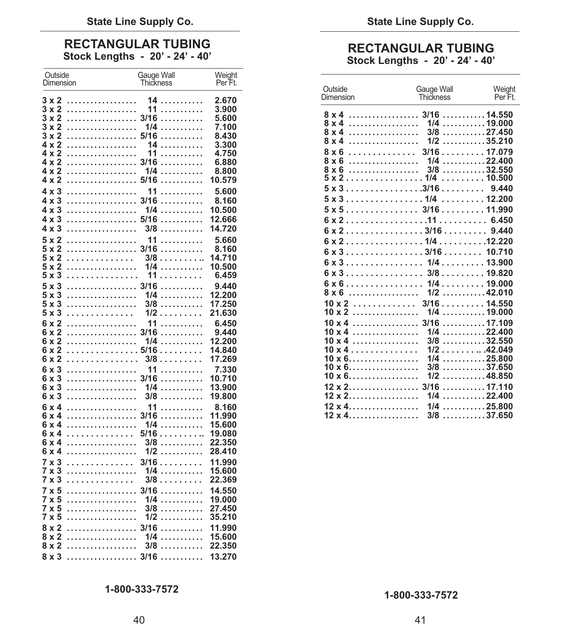## **RECTANGULAR TUBING RECTANGULAR TUBING**<br>Stock Lengths - 20' - 24' - 40' <br>Stock Lengths - 20' - 24' - 40'

| Outside<br>Dimension              | Gauge Wall<br><b>Thickness</b> | Weight<br>Per Ft. |                                                     |                                                                                         |                                      |
|-----------------------------------|--------------------------------|-------------------|-----------------------------------------------------|-----------------------------------------------------------------------------------------|--------------------------------------|
|                                   |                                |                   | Outside<br>Dimension                                | Gauge Wall<br><b>Thickness</b>                                                          | Weight<br>Per Ft.                    |
| $3 \times 2$                      | 14                             | 2.670             |                                                     |                                                                                         |                                      |
| 3 x 2<br>.<br>3 x 2               | 11<br>. 3/16                   | 3.900<br>5.600    |                                                     |                                                                                         |                                      |
| 3 x 2<br>.                        | .<br>1/4<br>.                  | 7.100             | $8 \times 4$                                        | $1/4$ 19.000                                                                            |                                      |
| $3 \times 2$                      | . 5/16<br>.                    | 8.430             | $8 \times 4$                                        | $3/8$ 27.450                                                                            |                                      |
| 4 x 2<br>.                        | 14<br>.                        | 3.300             | .<br>8 x 4                                          | $1/2$ 35.210                                                                            |                                      |
| 4 x 2<br>.                        | 11<br>.                        | 4.750             |                                                     |                                                                                         |                                      |
| 4 x 2                             | . 3/16<br>.                    | 6.880             | $8 \times 6$                                        | $1/4$ 22.400                                                                            |                                      |
| 4 x 2<br>.                        | 1/4<br>.                       | 8.800             |                                                     | $5 \times 2 \ldots \ldots \ldots \ldots \ldots \ldots 1/4 \ldots \ldots \ldots 10.500$  | $\ldots \ldots \ldots 32.550$        |
| 4 x 2                             | . 5/16<br>.                    | 10.579            |                                                     | $5 \times 3 \ldots \ldots \ldots \ldots \ldots \ldots 3/16 \ldots \ldots \ldots$        | 9.440                                |
| $4 \times 3$                      | 11<br>.                        | 5.600             | $5 \times 3 \ldots \ldots \ldots \ldots \ldots 1/4$ |                                                                                         | $\ldots \ldots \ldots$ 12.200        |
| 4 x 3                             | . 3/16                         | 8.160             |                                                     | $5 \times 5 \ldots \ldots \ldots \ldots \ldots 3/16 \ldots \ldots \ldots 11.990$        |                                      |
| .<br>4 x 3<br>4 x 3               | 1/4<br>.                       | 10.500<br>12.666  |                                                     |                                                                                         |                                      |
| $4 \times 3$                      | . 5/16<br>.<br>3/8<br>.        | 14.720            |                                                     |                                                                                         |                                      |
|                                   |                                |                   |                                                     |                                                                                         |                                      |
| $5 \times 2$<br>.<br>$5 \times 2$ | 11<br>.<br>. 3/16<br>.         | 5.660<br>8.160    |                                                     |                                                                                         |                                      |
| $5 \times 2$<br>.                 | $3/8$                          | 14.710            |                                                     | $6 \times 3 \ldots \ldots \ldots \ldots \ldots \ldots 3/16 \ldots \ldots \ldots 10.710$ |                                      |
| 5 x 2<br>.                        | $1/4$                          | 10.500            |                                                     | $6 \times 3 \ldots \ldots \ldots \ldots \ldots 1/4 \ldots \ldots 13.900$                |                                      |
| $5 \times 3$<br>.                 | 11<br>.                        | 6.459             | $6 \times 3 \ldots \ldots \ldots \ldots \ldots$     | $3/8$ 19.820                                                                            |                                      |
| 5 x 3                             | . 3/16                         | 9.440             | $6 \times 6$                                        | $1/4$ 19.000                                                                            |                                      |
| 5 x 3<br>.                        | 1/4<br>.                       | 12.200            | 8 x 6                                               | $1/2$ 42.010                                                                            |                                      |
| $5 \times 3$<br>.                 | 3/8<br>.                       | 17.250            | $10 \times 2$                                       | $3/16$ 14.550                                                                           |                                      |
| $5 \times 3$                      | $1/2$                          | 21.630            | $10 \times 2$                                       | $1/4$ 19.000                                                                            |                                      |
| .<br>6 x 2                        | 11<br>.                        | 6.450             |                                                     |                                                                                         | . 17.109                             |
| 6 x 2                             | . 3/16                         | 9.440             | $10 \times 4$                                       | $1/4$ 22.400                                                                            |                                      |
| 6 x 2<br>.                        | 1/4<br>.                       | 12.200            | $10 \times 4$                                       | $3/8$ 32.550                                                                            |                                      |
| 6 x 2                             | . 5/16<br>.<br>$3/8$           | 14.840<br>17.269  | $10 \times 4$<br>$10 \times 6$                      | $1/2$ 42.049<br>$1/4$ 25.800                                                            |                                      |
| 6 x 2<br>.                        |                                |                   | $10 \times 6$                                       | 3/8                                                                                     | $\ldots \ldots \ldots \ldots 37.650$ |
| $6 \times 3$<br>.<br>6 x 3        | 11<br>.<br>. 3/16              | 7.330<br>10.710   | $10 \times 6$                                       | $1/2$ 48.850                                                                            |                                      |
| 6 x 3<br>.                        | 1/4<br>.                       | 13,900            | $12 \times 2$                                       | 3/16                                                                                    | . 17.110                             |
| 6 x 3<br>.                        | 3/8<br>.                       | 19,800            | $12 \times 2$                                       | $1/4$ 22.400                                                                            |                                      |
| .<br>$6 \times 4$                 | 11                             | 8.160             | $12 \times 4$                                       | $1/4$ 25.800                                                                            |                                      |
| 6 x 4                             | . 3/16<br>.                    | 11.990            | $12 \times 4$                                       | $3/8$ 37.650                                                                            |                                      |
| .<br>6 x 4                        | 1/4<br>.                       | 15.600            |                                                     |                                                                                         |                                      |
| 6 x 4                             | 5/16 19.080                    |                   |                                                     |                                                                                         |                                      |
| $6 \times 4$<br>.                 | 3/8<br>.                       | 22.350            |                                                     |                                                                                         |                                      |
| .<br>6 x 4                        | $1/2$                          | 28.410            |                                                     |                                                                                         |                                      |
| .<br>7 x 3                        | 3/16                           | 11.990            |                                                     |                                                                                         |                                      |
| $7 \times 3$<br>.                 | $1/4$                          | 15,600            |                                                     |                                                                                         |                                      |
| 7 x 3<br>.                        | $3/8$                          | 22.369            |                                                     |                                                                                         |                                      |
| 7 x 5                             | . 3/16                         | 14.550            |                                                     |                                                                                         |                                      |
| 7 x 5<br>.<br>7 x 5<br>.          | 1/4<br>.<br>3/8<br>.           | 19.000<br>27.450  |                                                     |                                                                                         |                                      |
| .<br>7 x 5                        | $1/2$                          | 35.210            |                                                     |                                                                                         |                                      |
| 8 x 2                             | 3/16<br>.                      | 11.990            |                                                     |                                                                                         |                                      |
| .<br>8 x 2                        | $1/4$                          | 15.600            |                                                     |                                                                                         |                                      |
|                                   |                                | 22.350            |                                                     |                                                                                         |                                      |
|                                   |                                |                   |                                                     |                                                                                         |                                      |
|                                   |                                |                   |                                                     |                                                                                         |                                      |

| Outside<br><b>Dimension</b>                                                             | Gauge Wall<br><b>Thickness</b>                                                    | Weight<br>Per Ft. |
|-----------------------------------------------------------------------------------------|-----------------------------------------------------------------------------------|-------------------|
| $8 \times 4$                                                                            | $\ldots \ldots \ldots \ldots \ldots \quad 1/4 \ldots \ldots \ldots \ldots 19.000$ |                   |
| $8 \times 4$                                                                            | $\ldots \ldots \ldots \ldots \ldots$ 3/8 $\ldots \ldots \ldots$ 27.450            |                   |
| $8 \times 4$                                                                            | $\ldots \ldots \ldots \ldots \ldots \quad 1/2 \ldots \ldots \ldots \ldots 35.210$ |                   |
| $8 \times 6$                                                                            | $\ldots \ldots \ldots \ldots 3/16 \ldots \ldots 17.079$                           |                   |
|                                                                                         |                                                                                   |                   |
|                                                                                         |                                                                                   |                   |
|                                                                                         |                                                                                   |                   |
| $5 \times 3 \ldots \ldots \ldots \ldots \ldots \ldots 3/16 \ldots \ldots \ldots 9.440$  |                                                                                   |                   |
| $5 \times 3 \ldots \ldots \ldots \ldots \ldots 1/4 \ldots \ldots 12.200$                |                                                                                   |                   |
| $5 \times 5 \ldots \ldots \ldots \ldots \ldots 3/16 \ldots \ldots \ldots 11.990$        |                                                                                   |                   |
|                                                                                         |                                                                                   |                   |
|                                                                                         |                                                                                   |                   |
|                                                                                         |                                                                                   |                   |
| $6 \times 3 \ldots \ldots \ldots \ldots \ldots \ldots 3/16 \ldots \ldots \ldots 10.710$ |                                                                                   |                   |
|                                                                                         |                                                                                   |                   |
| $6 \times 3 \ldots \ldots \ldots \ldots \ldots 3/8 \ldots \ldots 19.820$                |                                                                                   |                   |
|                                                                                         |                                                                                   |                   |
|                                                                                         |                                                                                   |                   |
|                                                                                         |                                                                                   |                   |
|                                                                                         |                                                                                   |                   |
|                                                                                         |                                                                                   |                   |
| $10 \times 4$                                                                           | $1/4$ 22.400                                                                      |                   |
| $10 \times 4$                                                                           | $3/8$ 32.550                                                                      |                   |
| $10 \times 4$<br>$10 \times 6$                                                          | $1/2$ 42.049<br>$1/4$ 25.800                                                      |                   |
| $10 \times 6$                                                                           | $3/8$ 37.650                                                                      |                   |
| $10 \times 6$                                                                           | $1/2$ 48.850                                                                      |                   |
|                                                                                         |                                                                                   |                   |
| $12 \times 2$                                                                           | $1/4$ 22.400                                                                      |                   |
|                                                                                         |                                                                                   |                   |
| $12 \times 4$ 3/8 37.650                                                                |                                                                                   |                   |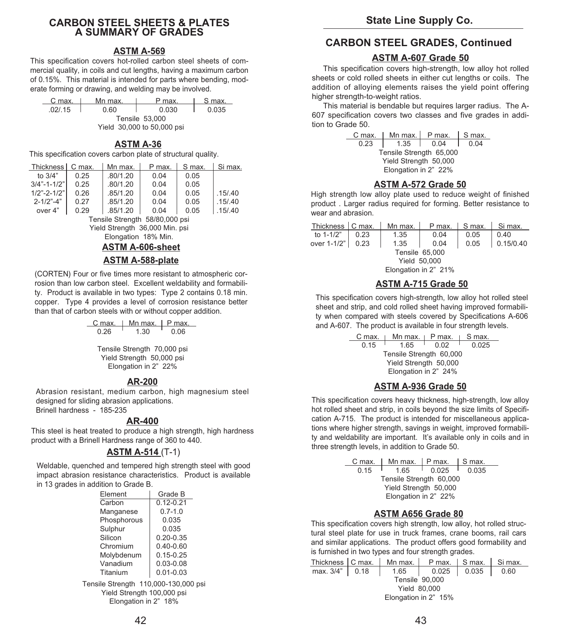### **CARBON STEEL SHEETS & PLATES A SUMMARY OF GRADES**

### **ASTM A-569**

This specification covers hot-rolled carbon steel sheets of commercial quality, in coils and cut lengths, having a maximum carbon of 0.15%. This material is intended for parts where bending, moderate forming or drawing, and welding may be involved.

| C max.                     | Mn max. | P max. | S max. |  |  |
|----------------------------|---------|--------|--------|--|--|
| .02/0.15                   | 0.60    | 0.030  | 0.035  |  |  |
| Tensile 53,000             |         |        |        |  |  |
| Yield 30,000 to 50,000 psi |         |        |        |  |  |

### **ASTM A-36**

This specification covers carbon plate of structural quality.

| Thickness                      | C max. | Mn max.  | P max. | S max. | Si max.  |
|--------------------------------|--------|----------|--------|--------|----------|
| to $3/4"$                      | 0.25   | .80/1.20 | 0.04   | 0.05   |          |
| $3/4" - 1 - 1/2"$              | 0.25   | .80/1.20 | 0.04   | 0.05   |          |
| $1/2" - 2 - 1/2"$              | 0.26   | .85/1.20 | 0.04   | 0.05   | .15/0.40 |
| $2 - 1/2$ " $-4$ "             | 0.27   | .85/1.20 | 0.04   | 0.05   | .15/0.40 |
| over 4"                        | 0.29   | .85/1.20 | 0.04   | 0.05   | .15/0.40 |
| Tensile Strength 58/80,000 psi |        |          |        |        |          |

Yield Strength 36,000 Min. psi Elongation 18% Min.

### **ASTM A-606-sheet**

### **ASTM A-588-plate**

(CORTEN) Four or five times more resistant to atmospheric corrosion than low carbon steel. Excellent weldability and formability. Product is available in two types: Type 2 contains 0.18 min. copper. Type 4 provides a level of corrosion resistance better than that of carbon steels with or without copper addition.

| C max. | Mn max.                                                                          | P max. |
|--------|----------------------------------------------------------------------------------|--------|
| 0.26   | 1.30                                                                             | 0.06   |
|        | Tensile Strength 70,000 psi<br>Yield Strength 50,000 psi<br>Elongation in 2" 22% |        |

### **AR-200**

Abrasion resistant, medium carbon, high magnesium steel designed for sliding abrasion applications. Brinell hardness - 185-235

### **AR-400**

This steel is heat treated to produce a high strength, high hardness product with a Brinell Hardness range of 360 to 440.

### **ASTM A-514** (T-1)

Weldable, quenched and tempered high strength steel with good impact abrasion resistance characteristics. Product is available in 13 grades in addition to Grade B.

| Element     | Grade B       |
|-------------|---------------|
| Carbon      | $0.12 - 0.21$ |
| Manganese   | $0.7 - 1.0$   |
| Phosphorous | 0.035         |
| Sulphur     | 0.035         |
| Silicon     | $0.20 - 0.35$ |
| Chromium    | $0.40 - 0.60$ |
| Molybdenum  | $0.15 - 0.25$ |
| Vanadium    | $0.03 - 0.08$ |
| Titanium    | $0.01 - 0.03$ |

Tensile Strength 110,000-130,000 psi Yield Strength 100,000 psi Elongation in 2" 18%

### **CARBON STEEL GRADES, Continued**

### **ASTM A-607 Grade 50**

This specification covers high-strength, low alloy hot rolled sheets or cold rolled sheets in either cut lengths or coils. The addition of alloying elements raises the yield point offering higher strength-to-weight ratios.

This material is bendable but requires larger radius. The A-607 specification covers two classes and five grades in addition to Grade 50.

| C max.                  |                      | Mn max. $\vert$ P max. | $\mathsf{S}$ max. |  |
|-------------------------|----------------------|------------------------|-------------------|--|
| 0.23                    | 1.35                 | 0.04                   | 0.04              |  |
| Tensile Strength 65,000 |                      |                        |                   |  |
| Yield Strength 50,000   |                      |                        |                   |  |
|                         | Elongation in 2" 22% |                        |                   |  |

### **ASTM A-572 Grade 50**

High strength low alloy plate used to reduce weight of finished product . Larger radius required for forming. Better resistance to wear and abrasion

| Thickness   C max.   |      | Mn max. | P max. | S max. | Si max.   |
|----------------------|------|---------|--------|--------|-----------|
| to 1-1/2"            | 0.23 | 1.35    | 0.04   | 0.05   | 0.40      |
| over 1-1/2"   0.23   |      | 1.35    | 0.04   | 0.05   | 0.15/0.40 |
| Tensile 65,000       |      |         |        |        |           |
| <b>Yield 50,000</b>  |      |         |        |        |           |
| Elongation in 2" 21% |      |         |        |        |           |

### **ASTM A-715 Grade 50**

This specification covers high-strength, low alloy hot rolled steel sheet and strip, and cold rolled sheet having improved formability when compared with steels covered by Specifications A-606 and A-607. The product is available in four strength levels.

|                         | P max. | S max.                 |  |  |  |  |
|-------------------------|--------|------------------------|--|--|--|--|
| 165                     | 0.02   | 0.025                  |  |  |  |  |
| Tensile Strength 60,000 |        |                        |  |  |  |  |
| Yield Strength 50,000   |        |                        |  |  |  |  |
| Elongation in 2" 24%    |        |                        |  |  |  |  |
|                         |        | Mn max. $\blacksquare$ |  |  |  |  |

### **ASTM A-936 Grade 50**

This specification covers heavy thickness, high-strength, low alloy hot rolled sheet and strip, in coils beyond the size limits of Specification A-715. The product is intended for miscellaneous applications where higher strength, savings in weight, improved formability and weldability are important. It's available only in coils and in three strength levels, in addition to Grade 50.

| C max.                  | Mn max. $\mid$ P max. |       | I S max. |  |  |  |
|-------------------------|-----------------------|-------|----------|--|--|--|
| 0.15                    | 165                   | 0.025 | 0.035    |  |  |  |
| Tensile Strength 60,000 |                       |       |          |  |  |  |
| Yield Strength 50,000   |                       |       |          |  |  |  |
| Elongation in 2" 22%    |                       |       |          |  |  |  |

### **ASTM A656 Grade 80**

This specification covers high strength, low alloy, hot rolled structural steel plate for use in truck frames, crane booms, rail cars and similar applications. The product offers good formability and is furnished in two types and four strength grades.

|                      |  | Thickness   C max.   Mn max.   P max.   S max.   Si max. |                               |  |  |  |  |
|----------------------|--|----------------------------------------------------------|-------------------------------|--|--|--|--|
| max. 3/4"   0.18     |  |                                                          | $1.65$   0.025   0.035   0.60 |  |  |  |  |
| Tensile 90,000       |  |                                                          |                               |  |  |  |  |
| <b>Yield 80,000</b>  |  |                                                          |                               |  |  |  |  |
| Elongation in 2" 15% |  |                                                          |                               |  |  |  |  |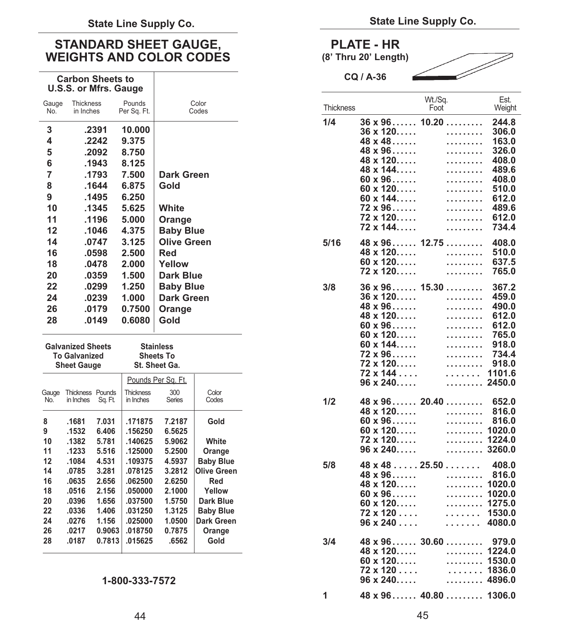### STANDARD SHEET GAUGE, **PLATE - HR** WEIGHTS AND COLOR CODES (8' Thru 20' Length)

### **Carbon Sheets to U.S.S. or Mfrs. Gauge**

| Gauge<br>No. | <b>Thickness</b><br>in Inches | Pounds<br>Per Sq. Ft. | Color<br>Codes     | Thickr |
|--------------|-------------------------------|-----------------------|--------------------|--------|
| 3            | .2391                         | 10.000                |                    | 1/4    |
| 4            | .2242                         | 9.375                 |                    |        |
| 5            | .2092                         | 8.750                 |                    |        |
| 6            | .1943                         | 8.125                 |                    |        |
| 7            | .1793                         | 7.500                 | Dark Green         |        |
| 8            | .1644                         | 6.875                 | Gold               |        |
| 9            | .1495                         | 6.250                 |                    |        |
| 10           | .1345                         | 5.625                 | White              |        |
| 11           | .1196                         | 5.000                 | Orange             |        |
| 12           | .1046                         | 4.375                 | <b>Baby Blue</b>   |        |
| 14           | .0747                         | 3.125                 | <b>Olive Green</b> | 5/16   |
| 16           | .0598                         | 2.500                 | Red                |        |
| 18           | .0478                         | 2.000                 | Yellow             |        |
| 20           | .0359                         | 1.500                 | <b>Dark Blue</b>   |        |
| 22           | .0299                         | 1.250                 | <b>Baby Blue</b>   | 3/8    |
| 24           | .0239                         | 1.000                 | <b>Dark Green</b>  |        |
| 26           | .0179                         | 0.7500                | Orange             |        |
| 28           | .0149                         | 0.6080                | Gold               |        |
|              |                               |                       |                    |        |

|              | <b>Galvanized Sheets</b><br><b>To Galvanized</b><br><b>Sheet Gauge</b> |                   | <b>Stainless</b><br><b>Sheets To</b><br>St. Sheet Ga. |               |                  |
|--------------|------------------------------------------------------------------------|-------------------|-------------------------------------------------------|---------------|------------------|
|              |                                                                        |                   | Pounds Per Sq. Ft.                                    |               |                  |
| Gauge<br>No. | <b>Thickness</b><br>in Inches                                          | Pounds<br>Sq. Ft. | <b>Thickness</b><br>in Inches                         | 300<br>Series | Color<br>Codes   |
| 8            | .1681                                                                  | 7.031             | .171875                                               | 7.2187        | Gold             |
| 9            | .1532                                                                  | 6.406             | .156250                                               | 6.5625        |                  |
| 10           | .1382                                                                  | 5.781             | .140625                                               | 5.9062        | White            |
| 11           | .1233                                                                  | 5.516             | .125000                                               | 5.2500        | Orange           |
| 12           | .1084                                                                  | 4.531             | .109375                                               | 4.5937        | <b>Baby Blue</b> |
| 14           | .0785                                                                  | 3.281             | .078125                                               | 3.2812        | Olive Green      |
| 16           | .0635                                                                  | 2.656             | .062500                                               | 2.6250        | Red              |
| 18           | .0516                                                                  | 2.156             | .050000                                               | 2.1000        | Yellow           |
| 20           | .0396                                                                  | 1.656             | .037500                                               | 1.5750        | Dark Blue        |
| 22           | .0336                                                                  | 1.406             | .031250                                               | 1.3125        | <b>Baby Blue</b> |
| 24           | .0276                                                                  | 1.156             | .025000                                               | 1.0500        | Dark Green       |
| 26           | .0217                                                                  | 0.9063            | .018750                                               | 0.7875        | Orange           |
| 28           | .0187                                                                  | 0.7813            | .015625                                               | .6562         | Gold             |

### **1-800-333-7572**

**CQ / A-36** 



| Color<br>Codes                                                                                            |   | Thickness |                                                                                                | Wt./Sq.<br>Foot                                                         | Est.<br>Weight                                                   |
|-----------------------------------------------------------------------------------------------------------|---|-----------|------------------------------------------------------------------------------------------------|-------------------------------------------------------------------------|------------------------------------------------------------------|
|                                                                                                           |   | 1/4       | $36 \times 96$<br>$36 \times 120$<br>$48 \times 48$<br>$48 \times 96$<br>$48 \times 120$       | 10.20<br>.<br>.<br>.<br>.                                               | 244.8<br>306.0<br>163.0<br>326.0<br>408.0                        |
| reen                                                                                                      |   |           | $48 \times 144$<br>$60 \times 96$<br>$60 \times 120$<br>$60 \times 144$<br>$72 \times 96$      | .<br>.<br>.<br>.<br>.                                                   | 489.6<br>408.0<br>510.0<br>612.0<br>489.6                        |
| }lue                                                                                                      |   |           | 72 x 120……<br>72 x 144                                                                         | .<br>.                                                                  | 612.0<br>734.4                                                   |
| ້າreen<br>lue                                                                                             |   | 5/16      | $48 \times 120$<br>$60 \times 120$<br>72 x 120.                                                | $48 \times 96$ 12.75<br>.<br>.<br>.                                     | 408.0<br>510.0<br>637.5<br>765.0                                 |
| }lue<br>reen<br>è                                                                                         |   | 3/8       | $36 \times 120$<br>$48 \times 96$<br>48 x 120<br>$60 \times 96$<br>$60 \times 120$             | $36 \times 96 \ldots$ 15.30<br>.<br>.<br>.<br>.<br>.                    | 367.2<br>459.0<br>490.0<br>612.0<br>612.0<br>765.0               |
| Color                                                                                                     |   |           | $60 \times 144$<br>$72 \times 96$<br>72 x 120<br>72 x 144<br>$96 \times 240$                   | .<br>.<br>.<br>.<br>.                                                   | 918.0<br>734.4<br>918.0<br>1101.6<br>2450.0                      |
| Codes<br>Gold<br>White<br>Orange                                                                          |   | 1/2       | 48 x 120<br>$60 \times 96$<br>$60 \times 120$<br>72 x 120.<br>$96 \times 240$                  | $48 \times 96$ 20.40<br>.<br>.<br>.<br>.<br>.                           | 652.0<br>816.0<br>816.0<br>1020.0<br>1224.0<br>3260.0            |
| <b>Baby Blue</b><br>Olive Green<br>Red<br>Yellow<br>Dark Blue<br><b>Baby Blue</b><br>Dark Green<br>Orange |   | 5/8       | 48 x 96<br>$48 \times 120$<br>$60 \times 96$<br>$60 \times 120$<br>72 x 120<br>$96 \times 240$ | $48 \times 48 \ldots 25.50 \ldots \ldots$<br>.<br>.<br>.<br>.<br>.<br>. | 408.0<br>816.0<br>1020.0<br>1020.0<br>1275.0<br>1530.0<br>4080.0 |
| Gold                                                                                                      |   | 3/4       | $48 \times 120$<br>$60 \times 120$<br>72 x 120<br>$96 \times 240$                              | $48 \times 96$ 30.60<br>.<br>.<br>.<br>.                                | 979.0<br>1224.0<br>1530.0<br>1836.0<br>4896.0                    |
|                                                                                                           | 1 |           |                                                                                                | $48 \times 96$ 40.80                                                    | 1306.0                                                           |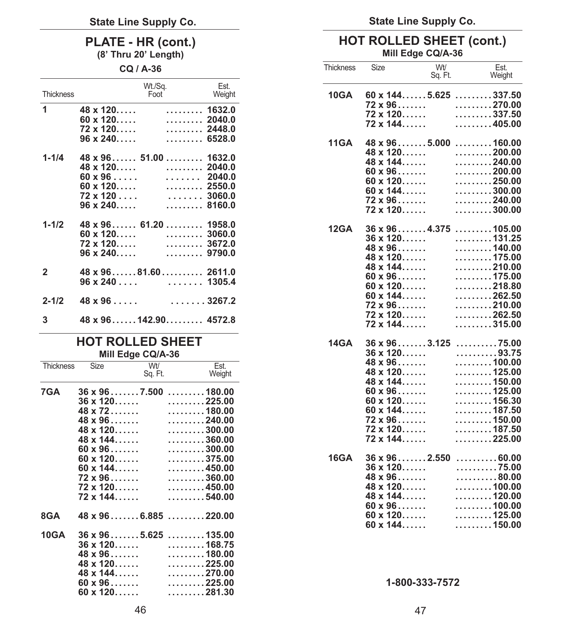### **PLATE - HR (cont.)**

**(8' Thru 20' Length)** 

**CQ / A-36** 

| Thickness    | Wt./Sq.<br>Foot                                                                                                                                                                           | Est.<br>Weight |
|--------------|-------------------------------------------------------------------------------------------------------------------------------------------------------------------------------------------|----------------|
| 1            | $48 \times 120$<br>. 1632.0<br>$60 \times 120$ 2040.0<br>$72 \times 120$ 2448.0<br>$96 \times 240$<br>. 6528.0                                                                            |                |
| $1 - 1/4$    | $48 \times 96$ 51.00  1632.0<br>$48 \times 120$ 2040.0<br>$60 \times 96 \ldots$ 2040.0<br>$60 \times 120$ 2550.0<br>$72 \times 120$ 3060.0<br>$\ldots \ldots$ . 8160.0<br>$96 \times 240$ |                |
| $1 - 1/2$    | $48 \times 96$ 61.20  1958.0<br>$60 \times 120$ 3060.0<br>$72 \times 120 \ldots$<br>$96 \times 240$<br>. 9790.0                                                                           | 3672.0         |
| $\mathbf{2}$ | $48 \times 96 \ldots 81.60 \ldots 12611.0$                                                                                                                                                |                |
| $2 - 1/2$    | $48 \times 96 \ldots$ 3267.2                                                                                                                                                              |                |
| 3            | $48 \times 96 \ldots$ 142.90 4572.8                                                                                                                                                       |                |

### **HOT ROLLED SHEET Mill Edge CQ/A-36**

| Thickness Size |                                                                                                                                                                                                                       | Wt/<br>Sq. Ft. | Est.<br>Weight                                                                                                                                                                                                                                                                                                                                                          |
|----------------|-----------------------------------------------------------------------------------------------------------------------------------------------------------------------------------------------------------------------|----------------|-------------------------------------------------------------------------------------------------------------------------------------------------------------------------------------------------------------------------------------------------------------------------------------------------------------------------------------------------------------------------|
| 7GA            | $36 \times 96 \ldots 7.500$<br>$36 \times 120$<br>$48 \times 72$<br>$48 \times 96$<br>$48 \times 120$<br>$48 \times 144$<br>$60 \times 96$<br>$60 \times 120$<br>$60 \times 144$<br>$72 \times 96$<br>$72 \times 120$ |                | $\ldots \ldots \ldots 180.00$<br>$\ldots \ldots \ldots 225.00$<br>$\ldots \ldots \ldots 180.00$<br>$\ldots \ldots \ldots 240.00$<br>$\ldots \ldots \ldots 300.00$<br>$\ldots \ldots \ldots 360.00$<br>$\ldots \ldots \ldots 300.00$<br>$\ldots \ldots \ldots 375.00$<br>$\ldots \ldots \ldots 450.00$<br>$\ldots \ldots \ldots 360.00$<br>$\ldots \ldots \ldots 450.00$ |
|                | $72 \times 144$                                                                                                                                                                                                       |                | $\ldots \ldots \ldots 540.00$                                                                                                                                                                                                                                                                                                                                           |
| 8GA            |                                                                                                                                                                                                                       |                | $48 \times 96 \ldots 6.885 \ldots 220.00$                                                                                                                                                                                                                                                                                                                               |
| <b>10GA</b>    | $36 \times 120$<br>$48 \times 96$<br>$48 \times 120$<br>$48 \times 144$<br>$60 \times 96$<br>$60 \times 120$                                                                                                          |                | $36 \times 96 \ldots 5.625 \ldots 135.00$<br>$\ldots \ldots \ldots 168.75$<br>$\ldots \ldots \ldots 180.00$<br>$\ldots \ldots \ldots 225.00$<br>$\ldots \ldots \ldots 270.00$<br>$\ldots \ldots \ldots 225.00$<br>$\ldots \ldots \ldots 281.30$                                                                                                                         |

**State Line Supply Co.**

### **HOT ROLLED SHEET (cont.) Mill Edge CQ/A-36**

| Thickness   | Size                                                                                                                                                                                                                                                              | Wt/<br>Sq. Ft. | Est.<br>Weight                                                                                                                                                                                                                                                                                                                                       |
|-------------|-------------------------------------------------------------------------------------------------------------------------------------------------------------------------------------------------------------------------------------------------------------------|----------------|------------------------------------------------------------------------------------------------------------------------------------------------------------------------------------------------------------------------------------------------------------------------------------------------------------------------------------------------------|
| 10GA        | $60 \times 144$ 5.625 337.50<br>$72 \times 96$<br>72 x 120……<br>72 x 144                                                                                                                                                                                          |                | $\ldots \ldots \ldots 270.00$<br>$\ldots \ldots \ldots 337.50$<br>. 405.00                                                                                                                                                                                                                                                                           |
| <b>11GA</b> | $48 \times 96 \ldots 5000$<br>48 x 120.<br>$48 \times 144$<br>$60 \times 96 \dots$<br>$60 \times 120$<br>$60 \times 144$<br>$72 \times 96$<br>$72 \times 120$                                                                                                     |                | $\ldots \ldots \ldots$ 160.00<br>. 200.00<br>$\ldots \ldots \ldots 240.00$<br>$\ldots \ldots \ldots 200.00$<br>$\ldots \ldots \ldots 250.00$<br>$\ldots \ldots \ldots 300.00$<br>$\ldots \ldots \ldots 240.00$<br>$\ldots \ldots \ldots 300.00$                                                                                                      |
| <b>12GA</b> | $36 \times 96 \ldots 4.375$<br>$36 \times 120$<br>48 x 96<br>$48 \times 120$<br>$48 \times 144$<br>$60 \times 96$<br>$60 \times 120$<br>$60 \times 144$<br>$72 \times 96$<br>72 x 120.<br>$72 \times 144$                                                         |                | . 105.00<br>$\ldots \ldots \ldots$ . 131.25<br>$\ldots \ldots \ldots 140.00$<br>$\ldots \ldots \ldots 175.00$<br>$\ldots \ldots \ldots 210.00$<br>$\ldots \ldots \ldots 175.00$<br>$\ldots \ldots \ldots 218.80$<br>$\ldots \ldots \ldots 262.50$<br>$\ldots \ldots \ldots 210.00$<br>$\ldots \ldots \ldots 262.50$<br>$\ldots \ldots \ldots 315.00$ |
| 14GA        | $36 \times 96 \ldots 3.125$<br>36 x 120.<br>$48 \times 96$<br>$48 \times 120$<br>$48 \times 144$<br>$60 \times 96$<br>$60 \times 120$<br>$60 \times 144$<br>$72 \times 96$<br>$72 \times 120$<br>$72 \times 144$                                                  |                | $\ldots \ldots \ldots 75.00$<br>93.75<br>$\ldots \ldots \ldots 100.00$<br>$\ldots \ldots \ldots 125.00$<br>$\ldots \ldots \ldots 150.00$<br>$\ldots \ldots \ldots 125.00$<br>$\ldots \ldots \ldots 156.30$<br>$\ldots \ldots \ldots 187.50$<br>$\ldots \ldots \ldots 150.00$<br>$\ldots \ldots \ldots 187.50$<br>. 225.00                            |
| <b>16GA</b> | $36 \times 96 \ldots 2.550 \ldots 0.60.00$<br>$36 \times 120$<br>$48 \times 96$<br>$\frac{48 \times 120 \dots}{48 \times 144 \dots}$<br>$48 \times 144$<br>$60 \times 96$<br>$60 \times 120$<br>$60 \times 120$<br>$125.00$<br>$60 \times 120$<br>$60 \times 144$ |                | . 75.00<br>. 80.00<br>$\ldots \ldots \ldots 100.00$<br>$\ldots \ldots \ldots 120.00$<br>$\ldots \ldots \ldots 125.00$<br>$\ldots \ldots \ldots 150.00$                                                                                                                                                                                               |

### **1-800-333-7572**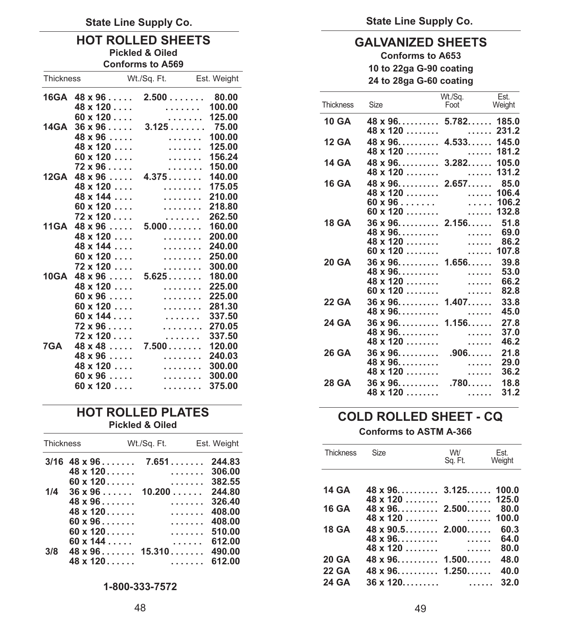## **HOT ROLLED SHEETS**<br>Pickled & Oiled<br>Conforms to A653

| <b>Conforms to A569</b> |                                                                                   |             |                                                                       |                  | 10 to 22ga G-90 coating                                          |                     |                          |
|-------------------------|-----------------------------------------------------------------------------------|-------------|-----------------------------------------------------------------------|------------------|------------------------------------------------------------------|---------------------|--------------------------|
| <b>Thickness</b>        |                                                                                   | Wt./Sq. Ft. | Est. Weight                                                           |                  | 24 to 28ga G-60 coating                                          |                     |                          |
|                         | $16GA$ $48 \times 96$<br>$48 \times 120$                                          | 2.500       | 80.00<br>100.00<br>.                                                  | <b>Thickness</b> | Size                                                             | Wt./Sa.<br>Foot     | Est.<br>Weigh            |
|                         | $60 \times 120$<br>$14GA$ $36 \times 96$                                          |             | 125.00<br>1.1.1.1.1.1<br>3.12575.00                                   | <b>10 GA</b>     | $48 \times 96$ 5.782 185<br>$48 \times 120$                      | . 231               |                          |
|                         | $48 \times 96$<br>$48 \times 120$<br>$60 \times 120$                              |             | 100.00<br>.<br>125.00<br>.<br>156.24                                  | <b>12 GA</b>     | $48 \times 96$ 4.533 145<br>$48 \times 120$                      | . 181               |                          |
|                         | $72 \times 96$<br>$12GA$ 48 $x$ 96 $\dots$                                        | 4.375       | .<br>150.00<br>.<br>140.00                                            | 14 GA            | $48 \times 96$ 3.282 105<br>$48 \times 120$                      | .                   | 131                      |
|                         | $48 \times 120$<br>$48 \times 144$                                                |             | 175.05<br>.<br>210.00<br>.                                            | <b>16 GA</b>     | $48 \times 96$ 2.657 85<br>$48 \times 120$                       | $\ldots \ldots$ 106 |                          |
|                         | $60 \times 120$<br>$72 \times 120$                                                |             | 218.80<br>.<br>262.50<br>.                                            | <b>18 GA</b>     | $60 \times 96 \ldots$<br>$60 \times 120$<br>$36 \times 96$ 2.156 | . 106<br>. 132      | 51                       |
|                         | 11GA $48 \times 96$<br>$48 \times 120$<br>$48 \times 144$                         | 5.000       | 160.00<br>200.00<br>.<br>240.00<br>.                                  |                  | $48 \times 96$<br>$48 \times 120$<br>$60 \times 120$             | .<br>.<br>. 107     | 69<br>86                 |
|                         | $60 \times 120$<br>$72 \times 120$<br>$10GA$ 48 $x$ 96 $\dots$<br>$48 \times 120$ | 5.625       | 250.00<br>.<br>300.00<br>.<br>180.00<br>$\ldots \ldots$ 225.00        | <b>20 GA</b>     | $36 \times 96$ 1.656<br>$48 \times 96$<br>$48 \times 120$        | .<br>.              | 39<br>53<br>66           |
|                         | $60 \times 96$<br>$60 \times 120$                                                 |             | 225.00<br>.<br>281.30<br>.                                            | 22 GA            | $60 \times 120$<br>$36 \times 96$ 1.407<br>$48 \times 96$        | .                   | 82<br>33<br>45           |
|                         | $60 \times 144$<br>$72 \times 96$<br>$72 \times 120$                              |             | 337.50<br>.<br>270.05<br>.<br>337.50<br>1.1.1.1.1.1                   | 24 GA            | $36 \times 96$ 1.156<br>$48 \times 96$<br>48 x 120               | .                   | 27<br>37<br>46           |
| 7GA                     | $48 \times 48$<br>$48 \times 96$<br>$48 \times 120$                               | 7.500       | 120.00<br>240.03<br>.<br>300.00<br>.                                  | <b>26 GA</b>     | $36 \times 96$<br>$48 \times 96$                                 | .<br>$.906.$<br>.   | 21<br>29                 |
|                         | $60 \times 96$<br>$60 \times 120$                                                 |             | 300.00<br>.<br>375.00<br>$\mathcal{L}$ . The set of the $\mathcal{L}$ | <b>28 GA</b>     | $48 \times 120$<br>$36 \times 96$<br>$10 - 100$                  | .<br>$.780$         | 36<br>18<br>$\mathbf{A}$ |

## **HOT ROLLED PLATES**<br>Pickled & Oiled **COLD ROLLED SHEET - CQ**<br>Conforms to ASTM A-366

| Thickness Wt./Sq. Ft. Est. Weight |                          |           |                                              |         |                |
|-----------------------------------|--------------------------|-----------|----------------------------------------------|---------|----------------|
| $3/16$ 48 x 96 7.651 244.83       |                          | Thickness | Size Wt/                                     | Sq. Ft. | Est.<br>Weight |
|                                   |                          |           |                                              |         |                |
|                                   |                          |           |                                              |         |                |
| $1/4$ 36 x 96 10.200 244.80       |                          |           | $14 \text{ GA}$ $48 \times 96$ $3.125$ $100$ |         |                |
|                                   |                          |           |                                              |         |                |
| $48 \times 120$                   |                          |           | 16 GA $48 \times 96$ 2.500 80.               |         |                |
| $60 \times 96$ $408.00$           |                          |           |                                              |         |                |
|                                   |                          |           | $18$ GA $48 \times 90.5$ 2.000 60.           |         |                |
|                                   | $60 \times 144$ $612.00$ |           | $48 \times 96$ 64.                           |         |                |
| $3/8$ 48 x 96 15.310 490.00       |                          |           | $48 \times 120 \ldots \ldots$ 80.            |         |                |
|                                   | $48 \times 120$ 612.00   |           | 20 GA 48 x 96 1.500 48.                      |         |                |

**24 GA 36 x 120......... ...... 32.0 1-800-333-7572** 

**Pickled & Oiled Conforms to A653** 

|      | $16GA$ $48 \times 96$    | $2.500$ 80.00                                  |        |                  |                              | Wt./Sq.                                                | Est.                  |
|------|--------------------------|------------------------------------------------|--------|------------------|------------------------------|--------------------------------------------------------|-----------------------|
|      | $48 \times 120$          | .                                              | 100.00 | <b>Thickness</b> | Size                         | Foot                                                   | Weight                |
|      | $60 \times 120$          | 1.1.1.1.1.1                                    | 125.00 | <b>10 GA</b>     | $48 \times 96$ 5.782 185.0   |                                                        |                       |
| 14GA | $36 \times 96$           | 3.12575.00                                     |        |                  | $48 \times 120 \ldots$       |                                                        | . 231.2               |
|      | $48 \times 96$           | .                                              | 100.00 | <b>12 GA</b>     | $48 \times 96$ $4.533$ 145.0 |                                                        |                       |
|      | $48 \times 120$          | .                                              | 125.00 |                  | $48 \times 120 \ldots$       |                                                        | $\ldots \ldots$ 181.2 |
|      | $60 \times 120$          | .                                              | 156.24 | 14 GA            | $48 \times 96$ 3.282 105.0   |                                                        |                       |
|      | $72 \times 96$           | $\mathcal{L}$ is a second set of $\mathcal{L}$ | 150.00 |                  | $48 \times 120$              |                                                        | $\ldots$ . 131.2      |
|      | $12GA$ 48 $x$ 96 $\dots$ | 4.375                                          | 140.00 | <b>16 GA</b>     |                              |                                                        | 85.0                  |
|      | $48 \times 120$          | .                                              | 175.05 |                  | $48 \times 120$              |                                                        | $\ldots$ . 106.4      |
|      | $48 \times 144$          | 1.1.1.1.1.1.1                                  | 210.00 |                  | $60 \times 96 \ldots$        |                                                        | $\ldots$ . 106.2      |
|      | $60 \times 120$          | 1.1.1.1.1.1.1                                  | 218.80 |                  | $60 \times 120$              |                                                        | $\ldots$ . 132.8      |
|      | $72 \times 120$          | 1.1.1.1.1.1                                    | 262.50 | <b>18 GA</b>     | $36 \times 96$ 2.156         |                                                        | 51.8                  |
| 11GA | $48 \times 96$           | 5.000                                          | 160.00 |                  | $48 \times 96$               | .                                                      | 69.0                  |
|      | $48 \times 120$          | .                                              | 200.00 |                  | $48 \times 120$              | $\mathcal{L}$ .<br><br>.<br><br>.<br><br>.<br><br><br> | 86.2                  |
|      | $48 \times 144$          | 1.1.1.1.1.1.1                                  | 240.00 |                  | $60 \times 120$              |                                                        | $\ldots$ . 107.8      |
|      | $60 \times 120$          | .                                              | 250.00 | <b>20 GA</b>     | $36 \times 96$ 1.656         |                                                        | 39.8                  |
|      | $72 \times 120$          | .                                              | 300.00 |                  | $48 \times 96$               | .                                                      | 53.0                  |
| 10GA | $48 \times 96 \ldots$    | 5.625                                          | 180.00 |                  | $48 \times 120$              | .                                                      | 66.2                  |
|      | $48 \times 120$          | .                                              | 225.00 |                  | $60 \times 120$              | .                                                      | 82.8                  |
|      | $60 \times 96$           | .                                              | 225.00 | 22 GA            | $36 \times 96$ 1.407         |                                                        | 33.8                  |
|      | $60 \times 120$          | .                                              | 281.30 |                  | $48 \times 96$               | .                                                      | 45.0                  |
|      | $60 \times 144$          | .                                              | 337.50 | 24 GA            | $36 \times 96$ 1.156         |                                                        | 27.8                  |
|      | $72 \times 96$           | 1.1.1.1.1.1.1                                  | 270.05 |                  | $48 \times 96$               | .                                                      | 37.0                  |
|      | $72 \times 120$          | .                                              | 337.50 |                  | $48 \times 120$              | .                                                      | 46.2                  |
| 7GA  | $48 \times 48$           | 7.500                                          | 120.00 | 26 GA            | $36 \times 96$               | $.906. \ldots$                                         | 21.8                  |
|      | $48 \times 96$           | .                                              | 240.03 |                  | $48 \times 96$               | .                                                      | 29.0                  |
|      | $48 \times 120$          | 1.1.1.1.1.1.1                                  | 300.00 |                  | $48 \times 120$              | .                                                      | 36.2                  |
|      | $60 \times 96$           | 1.1.1.1.1.1.1                                  | 300.00 | <b>28 GA</b>     | $36 \times 96$               | $.780$                                                 | 18.8                  |
|      | $60 \times 120$          | .                                              | 375.00 |                  | $48 \times 120 \ldots$       | $\mathcal{L}$ .<br><br>.<br><br>.<br><br>.<br><br><br> | 31.2                  |
|      |                          |                                                |        |                  |                              |                                                        |                       |

|     |                              |                | Thickness    | Size                        | Wt/     | Est.   |
|-----|------------------------------|----------------|--------------|-----------------------------|---------|--------|
|     | $3/16$ 48 x 96 7.651 244.83  |                |              |                             | Sq. Ft. | Weight |
|     | $48 \times 120$              |                |              |                             |         |        |
|     | $60 \times 120$ 382.55       |                |              |                             |         |        |
| 1/4 | $36 \times 96$ 10.200 244.80 |                | 14 GA        | $48 \times 96$ 3.125 100.0  |         |        |
|     | $48 \times 96$ , 326.40      |                |              |                             |         |        |
|     | $48 \times 120$              |                | 16 GA        | $48 \times 96$ 2.500 80.0   |         |        |
|     | $60 \times 96$ $408.00$      |                |              |                             |         |        |
|     | $60 \times 120$              |                | 18 GA        | $48 \times 90.5$ 2.000 60.3 |         |        |
|     |                              |                |              |                             |         |        |
|     |                              |                |              |                             |         |        |
| 3/8 | $48 \times 96$ 15.310 490.00 |                |              |                             |         |        |
|     |                              |                | 20 GA        | $48 \times 96$ 1.500 48.0   |         |        |
|     |                              |                | <b>22 GA</b> | $48 \times 96$ 1.250 40.0   |         |        |
|     |                              | 1-800-333-7572 | 24 GA        |                             |         |        |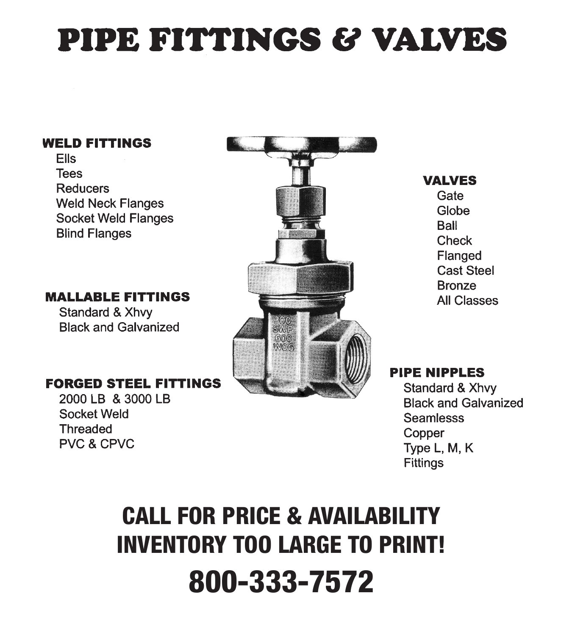# PIPE FITTINGS & VALVES

### **WELD FITTINGS**

**Ells Tees Reducers Weld Neck Flanges Socket Weld Flanges Blind Flanges** 

**MALLABLE FITTINGS** 

Standard & Xhvv **Black and Galvanized** 

### **FORGED STEEL FITTINGS**

2000 LB & 3000 LB **Socket Weld Threaded PVC & CPVC** 



**VALVES** Gate Globe **Ball Check** Flanged **Cast Steel Bronze All Classes** 

### **PIPE NIPPLES**

Standard & Xhvy **Black and Galvanized Seamlesss** Copper Type L, M, K **Fittings** 

## **CALL FOR PRICE & AVAILABILITY INVENTORY TOO LARGE TO PRINT! 800-333-7572**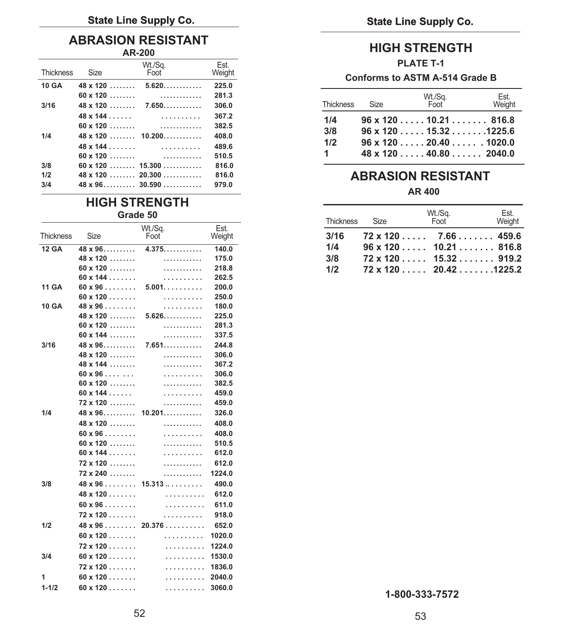### **State Line Supply Co. Co. Co. Co. Co. Co. Co. Co. Co. Co. Co. Co. Co. Co. Co. Co. Co. Co. Co. Co. Co. Co. Co. Co. Co. Co. Co. Co. Co. Co. Co. Co. Co. Co.**

## **ABRASION RESISTANT**

| <b>Thickness</b>  | Size | Wt./Sa.<br>Foot                                                                                     | Est.<br>Weight          |            |      | <b>PLATE T-1</b><br>Conforms to ASTM A-514 Grade B                                 |               |
|-------------------|------|-----------------------------------------------------------------------------------------------------|-------------------------|------------|------|------------------------------------------------------------------------------------|---------------|
| 10 GA             |      | $48 \times 120$ $5.620$                                                                             | 225.0                   |            |      |                                                                                    |               |
| 3/16              |      | $48 \times 120$ 7.650                                                                               | 281.3<br>306.0          | Thickness  | Size | Wt./Sa.<br>Foot                                                                    | Est.<br>Weigh |
| 1/4               |      | $48 \times 120$ $10.200$                                                                            | 367.2<br>382.5<br>408.0 | 1/4<br>3/8 |      | $96 \times 120 \ldots 10.21 \ldots 816.8$<br>$96 \times 120 \ldots$ . 15.32 1225.6 |               |
|                   |      | $48 \times 144 \ldots \ldots$                                                                       | 489.6<br>510.5          | 1/2        |      | $96 \times 120$ , 20.40 , 1020.0<br>$48 \times 120$ 40.80 2040.0                   |               |
| 3/8<br>1/2<br>3/4 |      | $60 \times 120$ $15.300$<br>$48 \times 120$ 20.300<br>$48 \times 96 \ldots$ $30.590 \ldots$ $30.50$ | 816.0<br>816.0          |            |      | <b>ABRASION RESISTANT</b>                                                          |               |
|                   |      |                                                                                                     |                         |            |      |                                                                                    |               |

## **HIGH STRENGTH**<br>Grade 50

| <b>Thickness</b> | Size                  | Wt./Sq.<br>Foot | Est.   |
|------------------|-----------------------|-----------------|--------|
|                  |                       |                 | Weight |
| $12$ GA          | $48 \times 96$        | 4.375           | 140.0  |
|                  | $48 \times 120$       | .               | 175.0  |
|                  | $60 \times 120$       | .               | 218.8  |
|                  | $60 \times 144$       | .               | 262.5  |
| <b>11 GA</b>     | $60 \times 96$        | $5.001.$        | 200.0  |
|                  | $60 \times 120$       | .               | 250.0  |
| 10 GA            | $48 \times 96$        | .               | 180.0  |
|                  | $48 \times 120$       | $5.626$         | 225.0  |
|                  | $60 \times 120$       | .               | 281.3  |
|                  | $60 \times 144$       | .               | 337.5  |
| 3/16             | $48 \times 96$        | 7.651           | 244.8  |
|                  | $48 \times 120$       | .               | 306.0  |
|                  | $48 \times 144$       | .               | 367.2  |
|                  | $60 \times 96$        | .               | 306.0  |
|                  | $60 \times 120$       | .               | 382.5  |
|                  | $60 \times 144$       | .               | 459.0  |
|                  | $72 \times 120$       | .               | 459.0  |
| 1/4              | $48 \times 96$        | 10.201          | 326.0  |
|                  | $48 \times 120$       | .               | 408.0  |
|                  | $60 \times 96$        | .               | 408.0  |
|                  | $60 \times 120$       | .               | 510.5  |
|                  | $60 \times 144$       | .               | 612.0  |
|                  | $72 \times 120$       | .               | 612.0  |
|                  | $72 \times 240$       | .               | 1224.0 |
| 3/8              | $48 \times 96$        | 15.313          | 490.0  |
|                  | $48 \times 120$       | .               | 612.0  |
|                  | $60 \times 96 \ldots$ | .               | 611.0  |
|                  | $72 \times 120$       | .               | 918.0  |
| 1/2              | $48 \times 96$        | 20.376          | 652.0  |
|                  | $60 \times 120$       | .               | 1020.0 |
|                  | $72 \times 120$       | .               | 1224.0 |
| 3/4              | $60 \times 120$       | .               | 1530.0 |
|                  | $72 \times 120$       | .               | 1836.0 |
| 1                | $60 \times 120$       | .               | 2040.0 |
| $1 - 1/2$        | $60 \times 120$       | .               | 3060.0 |
|                  |                       |                 |        |

### **AR-200 HIGH STRENGTH**

### **PLATE T-1**

### Conforms to ASTM A-514 Grade B

|                              |           |      | Wt./Sq.                                    | Est.   |
|------------------------------|-----------|------|--------------------------------------------|--------|
| 48 x 120   7.650  306.0      | Thickness | Size | Foot                                       | Weight |
|                              | 1/4       |      | $96 \times 120 \ldots$ .10.21 816.8        |        |
|                              | 3/8       |      |                                            |        |
| $48 \times 120$ 10.200 408.0 |           |      | $96 \times 120 \ldots 15.32 \ldots 1225.6$ |        |
|                              | 1/2       |      | $96 \times 120 \ldots$ . 20.40 1020.0      |        |
|                              |           |      | $48 \times 120 \ldots$ , 40.80, , 2040.0   |        |

### **1/2 ABRASION RESISTANT**

### **AR 400**

|              | Grade 50 |                                              |                | <b>Thickness</b> | Size | Wt./Sa.<br>Foot                    | Est.<br>Weight |
|--------------|----------|----------------------------------------------|----------------|------------------|------|------------------------------------|----------------|
| Thickness    | Size     | Wt./Sa.<br>Foot                              | Est.<br>Weight | 3/16             |      | $72 \times 120$ $7.66$ $1.66$      |                |
| <b>12 GA</b> |          | $48 \times 96 \ldots$ $4.375 \ldots$ $140.0$ |                | 1/4              |      | $96 \times 120$ $10.21$ 816.8      |                |
|              |          |                                              |                | 3/8              |      | $72 \times 120$ 15.32 919.2        |                |
|              |          |                                              |                | 1/2              |      | $72 \times 120 \ldots$ 20.421225.2 |                |
|              |          |                                              | --- -          |                  |      |                                    |                |

**1-800-333-7572**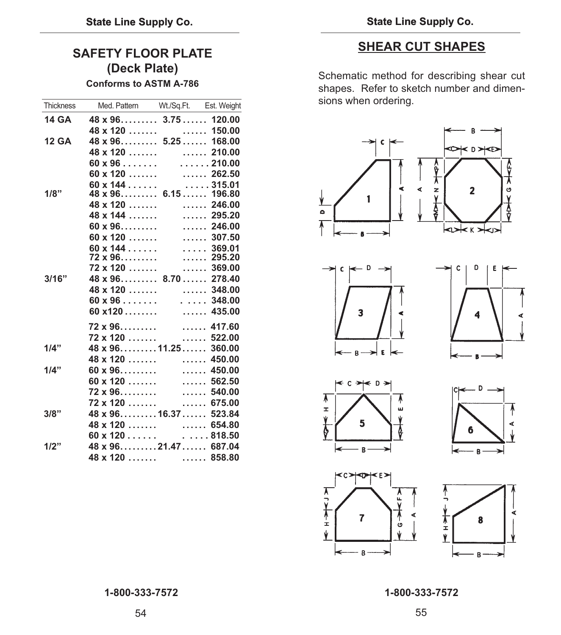### **SAFETY FLOOR PLATE (Deck Plate)**

**Conforms to ASTM A-786**

| Thickness    | Med. Pattern Wt./Sq.Ft. Est. Weight                      |  |
|--------------|----------------------------------------------------------|--|
| 14 GA        | $48 \times 96$ 3.75 120.00                               |  |
|              |                                                          |  |
| <b>12 GA</b> | $48 \times 120$<br>$48 \times 96$ 5.25  168.00           |  |
|              | $48 \times 120$ 210.00                                   |  |
|              | $60 \times 96 \ldots$ 210.00                             |  |
|              | $60 \times 120$ 262.50                                   |  |
|              | $60 \times 144$ 315.01                                   |  |
| 1/8"         | $48 \times 96$ 6.15 196.80                               |  |
|              |                                                          |  |
|              |                                                          |  |
|              |                                                          |  |
|              |                                                          |  |
|              | 60 x 144 369.01<br>72 x 96 295.20<br>72 x 120 369.00     |  |
|              |                                                          |  |
| 3/16"        | $48 \times 96$ 8.70 278.40                               |  |
|              |                                                          |  |
|              |                                                          |  |
|              | $60 \times 96$ 348.00                                    |  |
|              | $60 x120  $ 435.00                                       |  |
|              |                                                          |  |
|              |                                                          |  |
| $1/4$ "      | $48 \times 96$ 11.25 360.00                              |  |
|              | $48 \times 120 \ldots$ 450.00                            |  |
| $1/4$ "      |                                                          |  |
|              |                                                          |  |
|              | 72 x 96             540.00<br>72 x 120            675.00 |  |
|              |                                                          |  |
| 3/8"         | 48 x 9616.37 523.84                                      |  |
|              | $48 \times 120$ 654.80                                   |  |
|              | $60 \times 120 \ldots$ 818.50                            |  |
| 1/2"         | 48 x 9621.47 687.04                                      |  |
|              |                                                          |  |

### **SHEAR CUT SHAPES**

Schematic method for describing shear cut shapes. Refer to sketch number and dimensions when ordering.

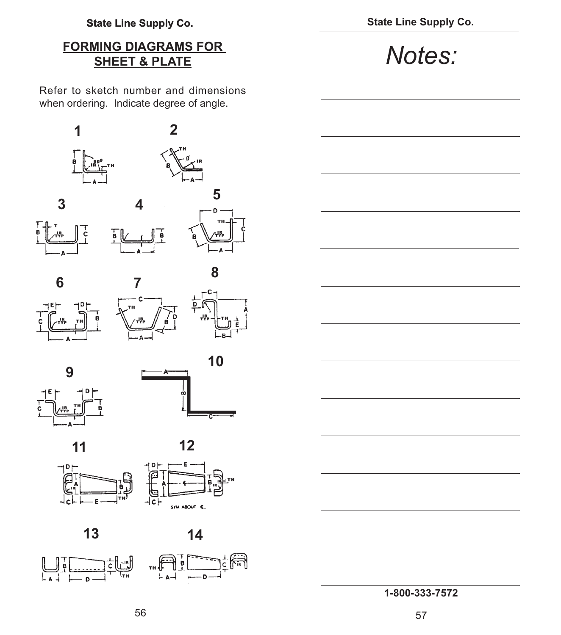## **FORMING DIAGRAMS FOR**

Refer to sketch number and dimensions when ordering. Indicate degree of angle.

























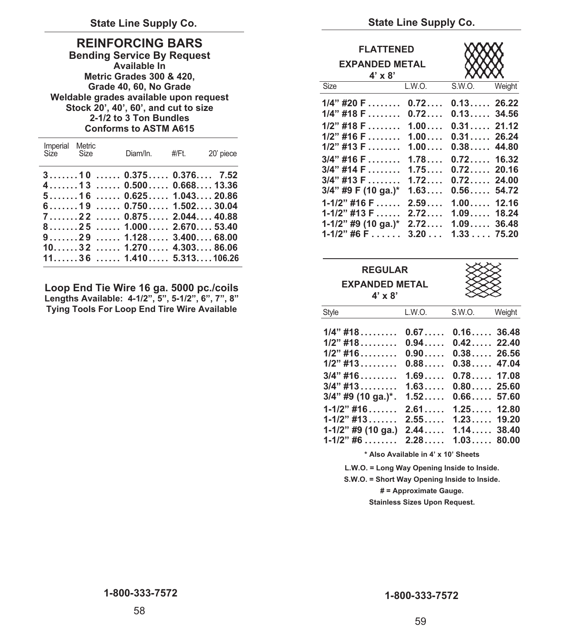### **REINFORCING BARS**

**Bending Service By Request Available In Metric Grades 300 & 420, Grade 40, 60, No Grade Weldable grades available upon request Stock 20', 40', 60', and cut to size 2-1/2 to 3 Ton Bundles Conforms to ASTM A615**

| Imperial Metric<br>Size Size                                                                                                                                                                                                                                                                                                                    | Diam/In. #/Ft. 20' piece |
|-------------------------------------------------------------------------------------------------------------------------------------------------------------------------------------------------------------------------------------------------------------------------------------------------------------------------------------------------|--------------------------|
| $3, \ldots, 10, \ldots, 0.375, \ldots, 0.376, \ldots, 7.52$<br>$4$ 13  0.500 0.668 13.36<br>5160.625104320.86<br>$6$ 19  0.750 1.502 30.04<br>71220.8752.04440.88<br>8251000267053.40<br>91291128340068.00<br>$10, \ldots, 32, \ldots, 1, 270, \ldots, 4, 303, \ldots, 86.06$<br>$11, \ldots, 36, \ldots, 1.410, \ldots, 5.313, \ldots, 106.26$ |                          |

**Loop End Tie Wire 16 ga. 5000 pc./coils Lengths Available: 4-1/2", 5", 5-1/2", 6", 7", 8" Tying Tools For Loop End Tire Wire Available** 

State Line Supply Co. **State Line Supply Co.** State Line Supply Co.

| <b>FLATTENED</b><br><b>EXPANDED METAL</b><br>$4' \times 8'$                                                                                                                                            |                                                                                               |                                                                                                                                                                    |                |
|--------------------------------------------------------------------------------------------------------------------------------------------------------------------------------------------------------|-----------------------------------------------------------------------------------------------|--------------------------------------------------------------------------------------------------------------------------------------------------------------------|----------------|
| <b>Size</b>                                                                                                                                                                                            | L.W.O.                                                                                        | S.W.O.                                                                                                                                                             | Weight         |
| $1/4$ " #20 F<br>$1/4$ " #18 F<br>$1/2$ " #18 F<br>$1/2$ " #16 F<br>$1/2$ " #13 F<br>$3/4"$ #16 F<br>$3/4$ " #14 F<br>$3/4"$ #13 F<br>$3/4$ " #9 F (10 ga.)*<br>$1 - 1/2$ " #16 F<br>$1 - 1/2$ " #13 F | 0.72<br>0.72<br>1.00<br>1.00<br>1.00<br>1.78<br>1.75<br>$1.72\dots$ .<br>1.63<br>2.59<br>2.72 | $0.13$ 26.22<br>0.1334.56<br>$0.31$ 21.12<br>$0.31$ 26.24<br>$0.38$ 44.80<br>$0.72$<br>$0.72$ 20.16<br>$0.72$ 24.00<br>$0.56\dots$<br>$1.00$ 12.16<br>$1.09$ 18.24 | 16.32<br>54.72 |
| 1-1/2" #9 (10 ga.)*<br>$1 - 1/2$ " #6 F                                                                                                                                                                | 2.72<br>$3.20\dots$                                                                           | $1.09$ 36.48<br>1.3375.20                                                                                                                                          |                |

| <b>REGULAR</b><br><b>EXPANDED METAL</b><br>$4' \times 8'$                                                    |                                                                      |                                                                                        |                |
|--------------------------------------------------------------------------------------------------------------|----------------------------------------------------------------------|----------------------------------------------------------------------------------------|----------------|
| Style                                                                                                        | L.W.O.                                                               | S.W.O.                                                                                 | Weight         |
| $1/4$ " #18<br>$1/2$ " #18<br>$1/2$ " #16<br>$1/2$ " #13<br>$3/4$ " #16<br>$3/4$ " #13<br>3/4" #9 (10 ga.)*. | 0.67<br>0.94<br>0.90<br>$0.88\dots$<br>1.69<br>1.63<br>$1.52\dots$ . | $0.16$ 36.48<br>$0.42$ 22.40<br>$0.38$ 26.56<br>$0.38$<br>$0.78$ 17.08<br>$0.80$ 25.60 | 47.04<br>57.60 |
| $1 - 1/2$ " #16<br>$1 - 1/2$ " #13<br>$1-1/2$ " #9 (10 ga.)<br>$1 - 1/2$ " #6                                | 2.61<br>2.55<br>2.44<br>$2.28\dots$                                  | 1.25<br>$1.23$ 19.20<br>$1.14$ 38.40<br>1.03                                           | 12.80<br>80.00 |

**\* Also Available in 4' x 10' Sheets** 

**L.W.O. = Long Way Opening Inside to Inside.** 

**S.W.O. = Short Way Opening Inside to Inside.** 

**# = Approximate Gauge.** 

**Stainless Sizes Upon Request.**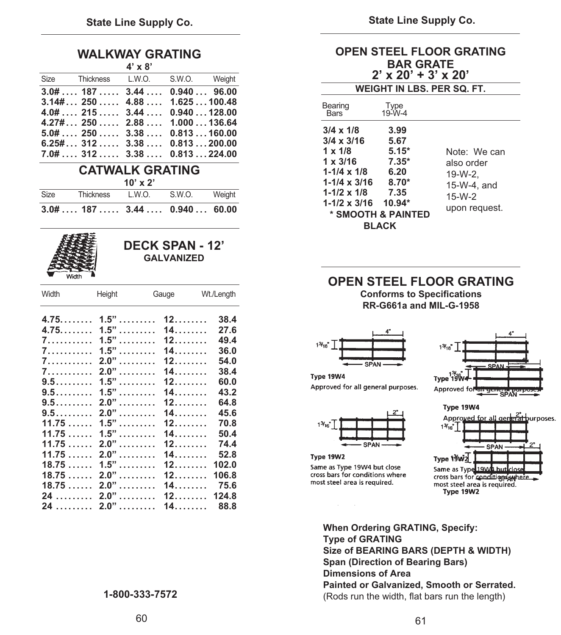**OPEN STEEL FLOOR GRATING**

| <b>WALKWAY GRATING</b> |  |
|------------------------|--|
| $4.5 - 0.5$            |  |

|                                      | 4 X O |  |
|--------------------------------------|-------|--|
| Size Thickness L.W.O. S.W.O. Weight  |       |  |
| $3.0\#$ , 187 , 3.44 , 0.940  96.00  |       |  |
| $3.14\# 250 4.88 1.625 100.48$       |       |  |
| $4.0#$ , 215 , 3.44 , 0.940  128.00  |       |  |
| $4.27\# 250 2.88 1.000136.64$        |       |  |
| $5.0#$ 250 3.38 0.813160.00          |       |  |
| $6.25\#3123.380.813200.00$           |       |  |
| $7.0\#$ , 312 , 3.38 , 0.813  224.00 |       |  |

### **CATWALK GRATING 10' x 2'**

|             | $3.0#$ 187  3.44  0.940  60.00 |                                |        |        |
|-------------|--------------------------------|--------------------------------|--------|--------|
| <b>Size</b> | Thickness                      | L.W.O.                         | S.W.O. | Weight |
|             |                                | $\mathbf{v} \times \mathbf{v}$ |        |        |



### **DECK SPAN - 12' GALVANIZED**

| Width | Height  | Gauge | Wt./Length |
|-------|---------|-------|------------|
| 4.75  | $1.5"$  | 12    | 38.4       |
| 4.75  | $1.5"$  | 14    | 27.6       |
| 7.    | $1.5"$  | 12    | 49.4       |
| 7.    | $1.5$ " | 14.   | 36.0       |
| 7.    | $2.0"$  | 12    | 54.0       |
| 7.    | $2.0"$  | 14    | 38.4       |
| $9.5$ | $1.5"$  | 12    | 60.0       |
| 9.5   | $1.5"$  | 14    | 43.2       |
| 9.5   | $2.0"$  | 12    | 64.8       |
| 9.5   | $2.0"$  | 14    | 45.6       |
| 11.75 | $1.5$ " | 12    | 70.8       |
| 11.75 | $1.5$ " | 14    | 50.4       |
| 11.75 | $2.0"$  | 12.   | 74.4       |
| 11.75 | $2.0"$  | 14.   | 52.8       |
| 18.75 | 1.5"    |       | 102.0      |
| 18.75 | $2.0"$  | 12.   | 106.8      |
| 18.75 | $2.0"$  | 14.   | 75.6       |
| 24    | $2.0"$  | 12    | 124.8      |
| 24    | $2.0"$  | $14$  | 88.8       |

| <b>BAR GRATE</b><br>$2' \times 20' + 3' \times 20'$                                                                                                                        |                                                                                                                 |                                                                                   |  |  |  |  |
|----------------------------------------------------------------------------------------------------------------------------------------------------------------------------|-----------------------------------------------------------------------------------------------------------------|-----------------------------------------------------------------------------------|--|--|--|--|
|                                                                                                                                                                            | WEIGHT IN LBS. PER SQ. FT.                                                                                      |                                                                                   |  |  |  |  |
| Bearing<br>Bars                                                                                                                                                            | Type<br>$19 - W - 4$                                                                                            |                                                                                   |  |  |  |  |
| $3/4 \times 1/8$<br>$3/4 \times 3/16$<br>$1 \times 1/8$<br>$1 \times 3/16$<br>$1 - 1/4 \times 1/8$<br>$1 - 1/4 \times 3/16$<br>$1-1/2 \times 1/8$<br>$1 - 1/2 \times 3/16$ | 3.99<br>5.67<br>$5.15*$<br>$7.35*$<br>6.20<br>$8.70*$<br>7.35<br>$10.94*$<br>* SMOOTH & PAINTED<br><b>BLACK</b> | Note: We can<br>also order<br>19-W-2.<br>15-W-4, and<br>$15-W-2$<br>upon request. |  |  |  |  |

### **OPEN STEEL FLOOR GRATING**

**Conforms to Specifications RR-G661a and MIL-G-1958** 







### Type 19W2

Type 19W4

Same as Type 19W4 but close cross bars for conditions where most steel area is required.



**When Ordering GRATING, Specify: Type of GRATING Size of BEARING BARS (DEPTH & WIDTH) Span (Direction of Bearing Bars) Dimensions of Area Painted or Galvanized, Smooth or Serrated. 1-800-333-7572** (Rods run the width, flat bars run the length)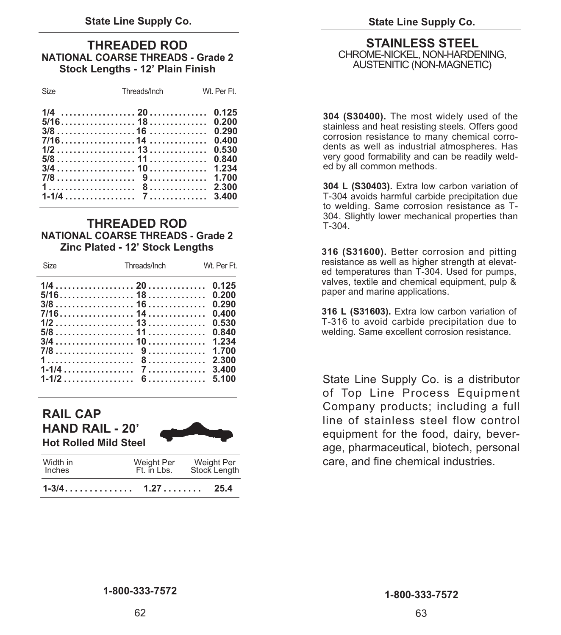### **NATIONAL COARSE THREADS - Grade 2** CHROME-NICKEL, NON-HARDENING, **Stock Lengths - 12' Plain Finish**

### **THREADED ROD NATIONAL COARSE THREADS - Grade 2 Zinc Plated - 12' Stock Lengths**

| <b>Size</b> | Threads/Inch | Wt. Per Ft.                                        |
|-------------|--------------|----------------------------------------------------|
|             |              | 0.125<br>0.200<br>0.290<br>0.400<br>0.530<br>0.840 |
|             |              | 1.234<br>1.700<br>2.300<br>3.400<br>5.100          |

### **RAIL CAP HAND RAIL - 20' Hot Rolled Mild Steel**



| Width in<br><b>Inches</b> | Weight Per<br>Ft. in Lbs. | Weight Per<br>Stock Length |
|---------------------------|---------------------------|----------------------------|
|                           |                           | 25.4                       |

# **THREADED ROD STAINLESS STEEL**<br> **L COAPSE THREADS - Grade 2** CHROME-NICKEL, NON-HARDENING.

**304 (S30400).** The most widely used of the stainless and heat resisting steels. Offers good corrosion resistance to many chemical corrodents as well as industrial atmospheres. Has very good formability and can be readily welded by all common methods.

**304 L (S30403).** Extra low carbon variation of T-304 avoids harmful carbide precipitation due to welding. Same corrosion resistance as T-304. Slightly lower mechanical properties than T-304.

**316 (S31600).** Better corrosion and pitting resistance as well as higher strength at elevated temperatures than T-304. Used for pumps, valves, textile and chemical equipment, pulp & paper and marine applications.

**316 L (S31603).** Extra low carbon variation of T-316 to avoid carbide precipitation due to welding. Same excellent corrosion resistance.

State Line Supply Co. is a distributor of Top Line Process Equipment Company products; including a full line of stainless steel flow control equipment for the food, dairy, beverage, pharmaceutical, biotech, personal care, and fine chemical industries.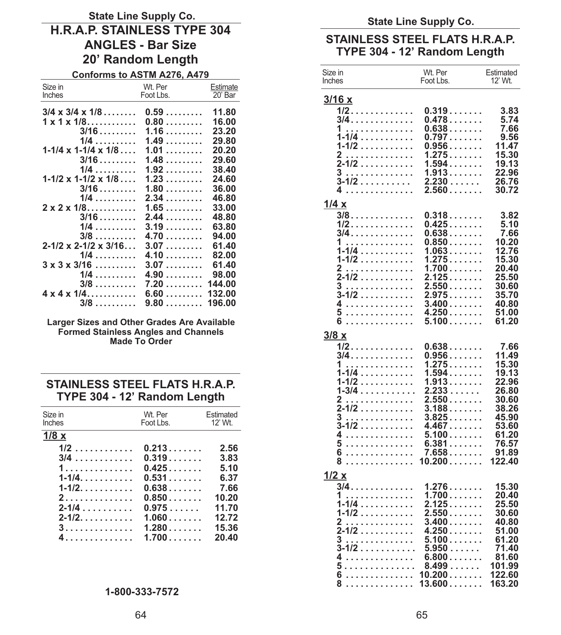## State Line Supply Co.<br>
H.R.A.P. STAINLESS TYPE 304<br>
ANGLES - Bar Size<br>
STAINLESS STEEL FLATS H.R.A.P. **STAINLES - Bar Size TYPE 304 - 12' Random Length 12' Random Length 12'** Random Length

**Conforms to ASTM A276, A479** 

| Size in                                    | Wt. Per                  | Estimate |
|--------------------------------------------|--------------------------|----------|
| Inches                                     | Foot Lbs.                | 20' Bar  |
| $3/4 \times 3/4 \times 1/8 \ldots$         | $0.59$                   | 11.80    |
|                                            |                          |          |
| $1 \times 1 \times 1/8$                    | $0.80$                   | 16.00    |
| $3/16$                                     | 1.16                     | 23.20    |
| $1/4$                                      | 1.49                     | 29.80    |
| $1 - 1/4 \times 1 - 1/4 \times 1/8 \ldots$ | $1.01$                   | 20.20    |
| $3/16$                                     | 1.48                     | 29.60    |
| $1/4$                                      | $1.92\ldots\ldots\ldots$ | 38.40    |
| $1 - 1/2 \times 1 - 1/2 \times 1/8 \ldots$ | $1.23\ldots\ldots\ldots$ | 24.60    |
|                                            |                          |          |
| $3/16$                                     | $1.80$                   | 36.00    |
| $1/4$                                      | 2.34                     | 46.80    |
| $2 \times 2 \times 1/8$                    | 1.65                     | 33.00    |
| $3/16$                                     | 2.44                     | 48.80    |
| $1/4$                                      | 3.19                     | 63.80    |
| $3/8$                                      | 4.70                     | 94.00    |
| $2 - 1/2 \times 2 - 1/2 \times 3/16$       | 3.07                     | 61.40    |
|                                            |                          |          |
| $1/4$                                      | 4.10                     | 82.00    |
| $3 \times 3 \times 3/16$                   | 3.07                     | 61.40    |
| $1/4$                                      | 4.90                     | 98.00    |
| $3/8$                                      | 7.20                     | 144.00   |
| $4 \times 4 \times 1/4$                    | 6.60                     | 132.00   |
| $3/8$                                      | $9.80$                   | 196.00   |
|                                            |                          |          |

**Larger Sizes and Other Grades Are Available Formed Stainless Angles and Channels Made To Order**

### **STAINLESS STEEL FLATS H.R.A.P. TYPE 304 - 12' Random Length**

| Size in<br>Inches | Wt. Per<br>Foot Lbs. | Estimated<br>12' Wt. |
|-------------------|----------------------|----------------------|
| 1/8x              |                      |                      |
| $1/2$             | 0.213                | 2.56                 |
| $3/4$             | 0.319                | 3.83                 |
| 1.                | 0.425                | 5.10                 |
| $1 - 1/4$ .       | 0.531                | 6.37                 |
| $1 - 1/2$ .       | $0.638$              | 7.66                 |
| 2.                | $0.850$              | 10.20                |
| $2 - 1/4$         | 0.975                | 11.70                |
| $2 - 1/2$ .       | 1.060                | 12.72                |
| 3.                | 1.280                | 15.36                |
| 4.                | 1.700                | 20,40                |

### **1-800-333-7572**

| Size in<br>Inches                                                                                                                                                                                                                    | Wt. Per<br>Foot Lbs.                                                                                                                                              | Estimated<br>12' Wt.                                                                                                       |
|--------------------------------------------------------------------------------------------------------------------------------------------------------------------------------------------------------------------------------------|-------------------------------------------------------------------------------------------------------------------------------------------------------------------|----------------------------------------------------------------------------------------------------------------------------|
| 3/16x<br>$1/2$<br>3/4.<br>1.<br>.<br>$1 - 1/4$<br>1-1/2<br>2<br>.<br>2-1/2<br>3<br>.<br>3-1/2<br>4                                                                                                                                   | $0.319$<br>0.478<br>0.638<br>0.797<br>0.956<br>.<br>1.275<br>$1.594$<br>$1.913$<br>$2.230\dots\dots$<br>$2.560$                                                   | 3.83<br>5.74<br>7.66<br>9.56<br>11.47<br>15.30<br>19.13<br>22.96<br>26.76<br>30.72                                         |
| 1/4 x<br>$3/8$<br>$1/2$<br>3/4.<br>1<br>.<br>$1 - 1/4$<br>$1 - 1/2$<br>.<br>2<br>.<br>$2 - 1/2$<br>.<br>3<br>.<br>3-1/2<br>4<br>5<br>.<br>6<br>.                                                                                     | 0.318<br>$0.425$<br>0.638<br>0.850<br>1.063<br>1.275<br>1.700<br>2.125<br>$2.550$<br>2.975<br>$3.400\ldots\ldots$ .<br>4.250<br>5.100                             | 3.82<br>5.10<br>7.66<br>10.20<br>12.76<br>15.30<br>20.40<br>25.50<br>30.60<br>35.70<br>40.80<br>51.00<br>61.20             |
| 3/8x<br>$1/2$<br>3/4.<br>1.<br>.<br>1-1/4<br>$1 - 1/2$<br>$1 - 3/4$<br>2<br>$\ddotsc$<br>÷,<br>.<br>2-1/2<br>3<br>.<br>3-1/2<br>4<br>.<br>5<br>.<br>6<br>.<br>8<br>.                                                                 | 0.638<br>$0.956$<br>1.275<br>1.594<br>1.913<br>.<br>2.233<br>1.1.1.1.1<br>2.550<br>$3.188$<br>3.825<br>4.467<br>$5.100$<br>$6.381\ldots\ldots$<br>7.658<br>10.200 | 7.66<br>11.49<br>15.30<br>19.13<br>22.96<br>26.80<br>30.60<br>38.26<br>45.90<br>53.60<br>61.20<br>76.57<br>91.89<br>122.40 |
| 1/2x<br>$3/4$<br>1.<br>$\ddotsc$<br>.<br>$1 - 1/4$<br>.<br>1-1/2<br>$\overline{2}$<br>.<br>$\alpha$ , $\alpha$ , $\alpha$ , $\alpha$<br>$\ldots$<br>-1/2<br>3<br>$\cdots$<br>.<br>J,<br>$3 - 1/2$<br>4<br>5<br>.<br>6<br>.<br>8<br>. | 1.276<br>1.700<br>2.125<br>$2.550$<br>$3.400\ldots\ldots$<br>4.250<br>.<br>5.100<br>.<br>$5.950\dots\dots$<br>6.800<br>8.499<br>10.200<br>13.600                  | 15.30<br>20.40<br>25.50<br>30.60<br>40.80<br>51.00<br>61.20<br>71.40<br>81.60<br>101.99<br>122.60<br>163.20                |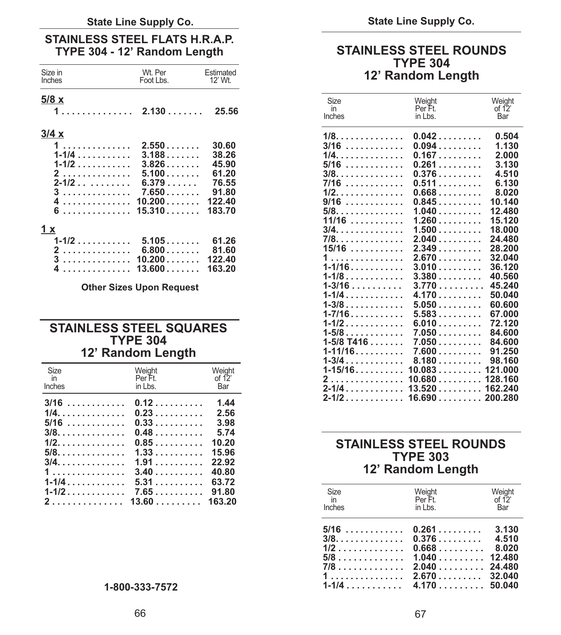### State Line Supply Co. **State Line Supply Co.** State Line Supply Co.

### **STAINLESS STEEL FLATS H.R.A.P.**  TYPE 304 - 12' Random Length STAINLESS STEEL ROUNDS

| Size in<br>Inches                                                  | Wt. Per<br>Foot Lbs. | Estimated<br>12' Wt. |                      | <u>IIFE JU4</u><br>12' Random Length |                         |
|--------------------------------------------------------------------|----------------------|----------------------|----------------------|--------------------------------------|-------------------------|
| $5/8 \times$                                                       |                      |                      | Size<br>in<br>Inches | Weight<br>Per Ft.<br>in Lbs.         | Weight<br>of 12'<br>Bar |
| 3/4x                                                               |                      |                      | $1/8$ . 0.042        |                                      | 0.504                   |
| $1 \ldots \ldots \ldots \ldots$ 2.550.                             |                      | 30.60                | $3/16$ 0.094         |                                      | 1.130                   |
| 1-1/4                                                              | 3.188                | 38.26                | $1/4$ . 0.167        |                                      | 2.000                   |
| $1 - 1/2$                                                          | 3.826                | 45.90                | $5/16$               | 0.261                                | 3.130                   |
| 2                                                                  | $5.100\ldots\ldots$  | 61.20                | $3/8.$               | 0.376                                | 4.510                   |
| $2 - 1/2$                                                          | 6.379                | 76.55                | $7/16$               | 0.511                                | 6.130                   |
| $3 \ldots \ldots \ldots \ldots \ldots$ 7.650                       |                      | 91.80                | $1/2$ . 0.668        |                                      | 8.020                   |
| 4 10.200                                                           |                      | 122.40               | $9/16$               | $0.845$                              | 10.140                  |
|                                                                    |                      | 183.70               | 5/8.                 | 1.040                                | 12.480                  |
|                                                                    |                      |                      | $11/16$              | $1.260$                              | 15.120                  |
| 1 x                                                                |                      |                      | $3/4$ . 1.500        |                                      | 18.000                  |
| $1-1/2$ 5.105 61.26                                                |                      |                      | 7/8.                 | 2.040                                | 24.480                  |
| 2 6.800                                                            |                      | 81.60                | $15/16$              | 2.349                                | 28.200                  |
| $3 \ldots \ldots \ldots \ldots \ldots 10.200 \ldots \ldots 122.40$ |                      |                      | 1                    | $2.670$ 32.040                       |                         |
| 4 13.600 163.20                                                    |                      |                      | $1 - 1/16$           | $3.010$ 36.120                       |                         |
|                                                                    |                      |                      | 4410                 | ה הם כי                              | AN ECN                  |

### **1-1/2 ............ 6.010 ......... 72.120 STAINLESS STEEL SQUARES 1-5/8 ............ 7.050 ......... 84.600 TYPE 304 1-5/8 T416 ....... 7.050 ......... 84.600 12' Random Length**

| Weight<br>Weight<br>Size<br>in<br>Per Ft.<br>of 12 $^{\prime}$<br>Inches<br>in Lbs.<br>Bar |                                                                               |
|--------------------------------------------------------------------------------------------|-------------------------------------------------------------------------------|
| $3/16$ 0.12<br>1.44<br>$5/16$ 0.33 3.98<br>$3/8$ 0.48 5.74                                 |                                                                               |
| $1/2$ 0.85 10.20<br>$1, \ldots, \ldots, \ldots, 3.40, \ldots, \ldots, 40.80$               | <b>STAINLESS STEEL ROUNDS</b><br><b>TYPE 303</b><br>12' Random Length         |
|                                                                                            | Weight<br>of 12'<br>Weight<br>Size<br>Per Ft.<br><i>in</i><br>the alleged and |

### **TYPE 304**  12' Random Length

| <u>5/8 x</u> |                                 |          | Size                     | Weight           | Weight           |
|--------------|---------------------------------|----------|--------------------------|------------------|------------------|
| 1.           | 2.130                           | 25.56    | in                       | Per Ft.          | of $12$          |
|              |                                 |          | Inches                   | in Lbs.          | Bar              |
| 3/4 x        |                                 |          | $1/8.$                   | 0.042            | 0.504            |
| 1            | 2.550                           | 30.60    | $3/16$                   | 0.094            | 1.130            |
| $1 - 1/4$    | 3.188                           | 38.26    | 1/4.                     | 0.167            | 2.000            |
| $1 - 1/2$    | 3.826                           | 45.90    | $5/16$                   | 0.261            | 3.130            |
| 2            | 5.100                           | 61.20    | $3/8.$                   | 0.376            | 4.510            |
| $2 - 1/2$    | 6.379                           | 76.55    | $7/16$                   | 0.511            | 6.130            |
| 3            | 7.650                           | 91.80    | $1/2.$                   | $0.668$          | 8.020            |
| .            | 10.200                          | 122.40   | $9/16$                   | 0.845            | 10.140           |
| .            | 15.310                          | 183.70   | $5/8.$                   | 1.040            | 12.480           |
|              |                                 |          | $11/16$                  | 1.260            | 15.120           |
| $\mathbf x$  |                                 |          | 3/4.                     | 1.500            | 18.000           |
| $1 - 1/2$    | 5.105                           | 61.26    | 7/8.                     | 2.040            | 24.480           |
| 2            | 6.800                           | 81.60    | $15/16$                  | 2.349            | 28.200           |
| 3            | 10.200                          | 122.40   | 1                        | 2.670            | 32.040           |
| .            | 13.600                          | 163.20   | $1 - 1/16$               | 3.010            | 36.120           |
|              |                                 |          | $1 - 1/8$                | 3.380            | 40.560           |
|              | <b>Other Sizes Upon Request</b> |          | $1 - 3/16$               | 3.770            | 45.240           |
|              |                                 |          | $1 - 1/4$                | 4.170            | 50,040           |
|              |                                 |          | $1 - 3/8$                | 5.050            | 60.600           |
|              |                                 |          | $1 - 7/16$               | 5.583            | 67.000           |
|              | <b>STAINLESS STEEL SQUARES</b>  |          | $1 - 1/2$                | 6.010            | 72.120           |
|              | <b>TYPE 304</b>                 |          | $1 - 5/8$                | 7.050            | 84.600           |
|              |                                 |          | $1-5/8$ T416             | 7.050            | 84.600<br>91.250 |
|              | 12' Random Length               |          | $1 - 11/16$<br>$1 - 3/4$ | 7.600<br>$8.180$ | 98.160           |
| Size         | Weight                          | Weight   |                          |                  | 121.000          |
| in           | Per Ft.                         | of $12'$ |                          |                  |                  |
| Inches       | in Lbs.                         | Bar      | $2 - 1/4$                | 13.520           | 162.240          |
| 3/16         | በ 12                            | $144$    |                          |                  |                  |
|              |                                 |          |                          |                  |                  |

### **1/2.............. 0.85 .......... 10.20 STAINLESS STEEL ROUNDS <sup>1</sup> ............... 3.40 .......... 40.80 12' Random Length**

| 2. 13.60 163.20 | Size<br>Inches | Weiaht<br>Per Ft.<br>in Lbs.                               | Weiahl<br>of 12'<br>Bar |  |
|-----------------|----------------|------------------------------------------------------------|-------------------------|--|
|                 |                | $5/16$ 0.261 3.130                                         |                         |  |
|                 |                |                                                            |                         |  |
|                 | 1-800-333-7572 | $1, \ldots, \ldots, \ldots, 2.670, \ldots, \ldots, 32.040$ |                         |  |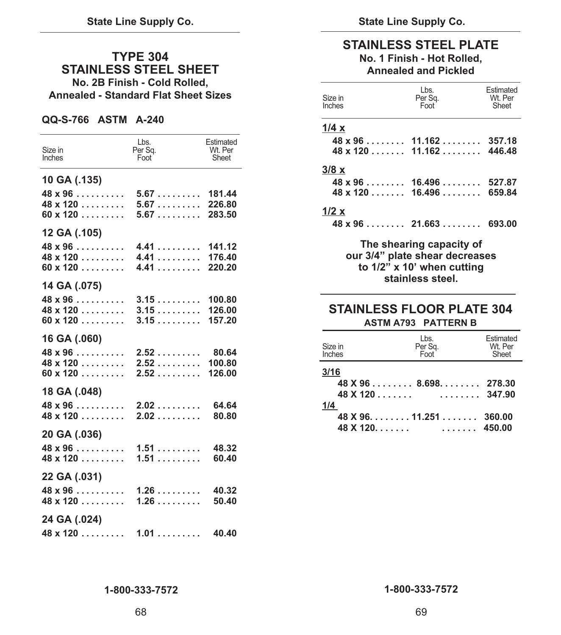### **TYPE 304 STAINLESS STEEL SHEET No. 2B Finish - Cold Rolled, Annealed - Standard Flat Sheet Sizes**

### **QQ-S-766 ASTM A-240**

| Size in<br>Inches                                                    | Lbs.<br>Per Sq.<br>Foot | Estimated<br>Wt. Per<br>Sheet |
|----------------------------------------------------------------------|-------------------------|-------------------------------|
| 10 GA (.135)<br>$48 \times 96$<br>$48 \times 120$<br>$60 \times 120$ | 5.67<br>5.67<br>5.67    | 181.44<br>226.80<br>283.50    |
| 12 GA (.105)<br>$48 \times 96$<br>$48 \times 120$<br>$60 \times 120$ | 4.41<br>4.41<br>4.41    | 141.12<br>176.40<br>220.20    |
| 14 GA (.075)<br>$48 \times 96$<br>$48 \times 120$<br>$60 \times 120$ | 3.15<br>3.15<br>3.15    | 100.80<br>126.00<br>157.20    |
| 16 GA (.060)<br>$48 \times 96$<br>$48 \times 120$<br>$60 \times 120$ | 2.52<br>2.52<br>2.52    | 80.64<br>100.80<br>126.00     |
| 18 GA (.048)<br>$48 \times 96$<br>$48 \times 120$                    | 2.02<br>2.02            | 64.64<br>80.80                |
| 20 GA (.036)<br>$48 \times 96$<br>$48 \times 120$                    | 1.51<br>$1.51$          | 48.32<br>60.40                |
| 22 GA (.031)<br>$48 \times 96$<br>$48 \times 120$                    | 1.26<br>1.26            | 40.32<br>50.40                |
| 24 GA (.024)<br>$48 \times 120$                                      | 1.01                    | 40.40                         |

### **STAINLESS STEEL PLATE No. 1 Finish - Hot Rolled, Annealed and Pickled**

| Size in<br>Inches                                        | Lbs.<br>Per Sq.<br>Foot <sup>'</sup> | Estimated<br>Wt. Per<br>Sheet |
|----------------------------------------------------------|--------------------------------------|-------------------------------|
| 1/4 x                                                    |                                      |                               |
| $48 \times 96 \ldots \ldots \ldots 11.162 \ldots \ldots$ |                                      | 357.18                        |
| $48 \times 120$ 11.162 446.48                            |                                      |                               |
| 3/8 x                                                    |                                      |                               |
| $48 \times 96$ 16.496 527.87                             |                                      |                               |
| $48 \times 120$ 16.496 659.84                            |                                      |                               |
| 1/2 x                                                    |                                      |                               |
| $48 \times 96 \ldots$ 21.663  693.00                     |                                      |                               |

**The shearing capacity of our 3/4" plate shear decreases to 1/2" x 10' when cutting stainless steel.**

### **STAINLESS FLOOR PLATE 304 ASTM A793 PATTERN B**

| Size in<br>Inches | Lbs.<br>Per Sq.<br>Foot                                           | Estimated<br>Wt. Per<br>Sheet |
|-------------------|-------------------------------------------------------------------|-------------------------------|
| 3/16              | $48 \times 96 \ldots$ $\ldots$ 8.698. 278.30<br>$48$ X 120 347.90 |                               |
| 1/4               | $48$ X 96. 11.251 360.00                                          |                               |
|                   |                                                                   | 450.00                        |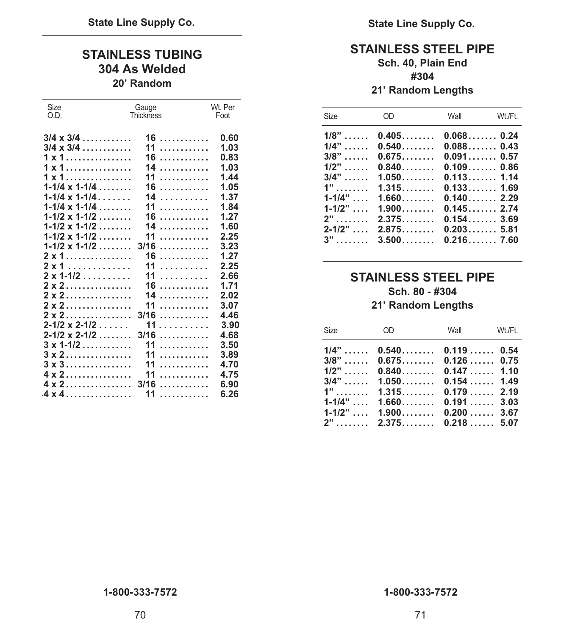## **STAINLESS TUBING**<br>304 As Welded **State State Sch. 40, Plain End**<br>304 As Welded **Sch. 40, Plain End 304 As Welded #304 20' Random 21' Random Lengths**

| Size                                       | Gauge            | Wt. Per |             |                             |                    |  |
|--------------------------------------------|------------------|---------|-------------|-----------------------------|--------------------|--|
| O.D.                                       | <b>Thickness</b> | Foot    | Size        | <b>OD</b>                   | Wall               |  |
| $3/4 \times 3/4$                           | 16               | 0.60    | $1/8$ "     | 0.405                       | 0.0680.24          |  |
| $3/4 \times 3/4$                           | 11<br>.          | 1.03    | $1/4$ "     | 0.540                       | 0.0880.43          |  |
| $1 \times 1$                               | $16$             | 0.83    | $3/8$ "     | $0.675$                     | 0.0910.57          |  |
| $1 \times 1$                               | 14               | 1.03    | $1/2$ "     | 0.840                       | 0.1090.86          |  |
| $1 \times 1$                               | 11               | 1.44    | $3/4$ "     | 1.050                       | 0.1131.14          |  |
| $1-1/4 \times 1-1/4 \ldots$                | 16               | 1.05    | $1"$        | 1.315                       | 0.133              |  |
| $1 - 1/4 \times 1 - 1/4 \ldots$            | 14               | 1.37    | $1 - 1/4$ " | 1.660                       | 0.1402.29          |  |
| $1 - 1/4 \times 1 - 1/4 \ldots$            | 11               | 1.84    | $1 - 1/2$ " | 1.900                       | 0.1452.74          |  |
| $1 - 1/2 \times 1 - 1/2 \ldots$            | 16               | 1.27    | $2$ "       | 2.375                       | 0.154              |  |
| $1 - 1/2 \times 1 - 1/2 \ldots$            | 14               | 1.60    | $2 - 1/2$ " | 2.875                       | 0.2035.81          |  |
| $1 - 1/2 \times 1 - 1/2 \ldots$            | 11               | 2.25    | $3$ "       | $3.500$                     | 0.2167.60          |  |
| $1 - 1/2 \times 1 - 1/2 \ldots$            | $3/16$           | 3.23    |             |                             |                    |  |
| $2 \times 1$                               | 16               | 1.27    |             |                             |                    |  |
| $2 \times 1$                               | 11               | 2.25    |             |                             |                    |  |
| $2 \times 1 - 1/2$                         | 11               | 2.66    |             | <b>STAINLESS STEEL PIPE</b> |                    |  |
| $2 \times 2 \ldots \ldots \ldots \ldots$   | 16               | 1.71    |             |                             | Sch. 80 - #304     |  |
| $2 \times 2 \dots \dots \dots \dots \dots$ | 14               | 2.02    |             |                             |                    |  |
| $2 \times 2$                               | 11               | 3.07    |             |                             | 21' Random Lengths |  |
| $2 \times 2$                               | $3/16$           | 4.46    |             |                             |                    |  |
| $2 - 1/2 \times 2 - 1/2 \ldots$            | 11.              | 3.90    | <b>Size</b> | <b>OD</b>                   | Wall               |  |
| $2 - 1/2 \times 2 - 1/2 \ldots$            | $3/16$           | 4.68    |             |                             |                    |  |
| $3 \times 1 - 1/2$                         | 11<br>.          | 3.50    | $1/4$ "     | 0.540                       | 0.119              |  |
| $3 \times 2$                               | 11<br>.          | 3.89    | $3/8$ "     | $0.675$                     | 0.126              |  |
| $3 \times 3$                               | 11<br>.          | 4.70    | $1/2$ "     | 0.840                       | 0.147              |  |
| $4 \times 2 \ldots \ldots \ldots \ldots$   | 11<br>.          | 4.75    | $3/4$ "     | 1.050                       | 0.154              |  |
| $4 \times 2 \ldots \ldots \ldots \ldots$   | $3/16$           | 6.90    | $1$ "       | 1.315                       | $0.179$ 2.19       |  |
| 4 x 4                                      | 11<br>.          | 6.26    |             |                             |                    |  |

| ⊃∟∟<br>O.D. | Gauye                              | VVL. FU<br>Thickness <b>Foot</b> | Size | OD Wall                              | Wt./Ft. |
|-------------|------------------------------------|----------------------------------|------|--------------------------------------|---------|
|             |                                    |                                  |      | $1/8$ " 0.405 0.068 0.24             |         |
|             |                                    |                                  |      | $1/4$ "  0.540 0.088 0.43            |         |
|             |                                    |                                  |      | $3/8$ "  0.675 0.091 0.57            |         |
|             |                                    |                                  |      | $1/2$ "  0.840 0.109 0.86            |         |
|             |                                    |                                  |      | $3/4$ "  1.050 0.113 1.14            |         |
|             |                                    |                                  |      | $1$ " 1.315 0.133 1.69               |         |
|             | $1-1/4 \times 1-1/4$ 14 1.37       |                                  |      | $1-1/4$ " $1.660$ $0.140$ 2.29       |         |
|             |                                    |                                  |      | $1-1/2$ " , $1.900$ , $0.145$ , 2.74 |         |
|             |                                    |                                  |      | $2$ " 2.375 0.154 3.69               |         |
|             |                                    |                                  |      | $2-1/2$ " , 2.875, 0.203, 5.81       |         |
|             |                                    |                                  |      | $3$ "  3.500 0.216 7.60              |         |
|             | $1.1/2 \times 1.1/2$ $2/16$ $2.22$ |                                  |      |                                      |         |

### **2 x 1-1/2 . . . . . . . . . . 11 . . . . . . . . . . 2.66 STAINLESS STEEL PIPE**   $Sch. 80 - 4304$ **21' Random Lengths**

| 2-1/2 x 2-1/2 11 3.90<br>2-1/2 x 2-1/2 3/16 4.68                                                                                                                                                                                    |  | Size OD Wall Wt./Ft.                                                                                                                                                                                                                                      |  |
|-------------------------------------------------------------------------------------------------------------------------------------------------------------------------------------------------------------------------------------|--|-----------------------------------------------------------------------------------------------------------------------------------------------------------------------------------------------------------------------------------------------------------|--|
| $3 \times 3 \ldots \ldots \ldots \ldots \ldots 11 \ldots \ldots \ldots 4.70$<br>4 x 2. 11 4.75<br>$4 \times 2 \ldots \ldots \ldots \ldots \ldots \quad 3/16 \ldots \ldots \ldots \ldots \quad 6.90$<br>4 x 4 ………………  11 ……………  6.26 |  | $1/4$ "  0.540 0.119  0.54<br>$3/8$ "  0.675 0.126  0.75<br>$1/2$ " 0.840 0.147 1.10<br>$3/4$ "  1.050 0.154 1.49<br>$1$ " 1.315 0.179 2.19<br>$1-1/4$ " , $1.660$ , $0.191$ , $3.03$<br>$1-1/2$ " , $1.900$ , $0.200$ , $3.67$<br>$2$ " 2.375 0.218 5.07 |  |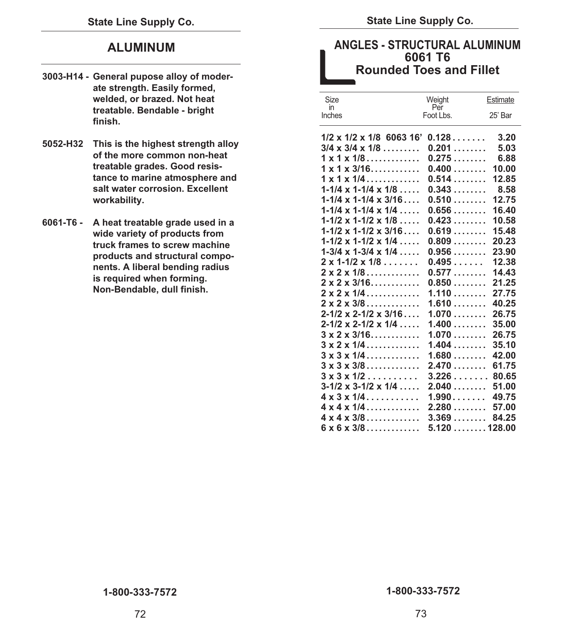### **ALUMINUM**

- **3003-H14 General pupose alloy of moderate strength. Easily formed, welded, or brazed. Not heat treatable. Bendable - bright finish.**
- **5052-H32 This is the highest strength alloy of the more common non-heat treatable grades. Good resistance to marine atmosphere and salt water corrosion. Excellent workability.**
- **6061-T6 A heat treatable grade used in a wide variety of products from truck frames to screw machine products and structural components. A liberal bending radius is required when forming. Non-Bendable, dull finish.**

### **ANGLES - STRUCTURAL ALUMINUM Rounded Toes and Fillet 6061 T6**

| Size                                       | Weight           | Estimate |
|--------------------------------------------|------------------|----------|
| in<br>Inches                               | Per<br>Foot Lbs. | 25' Bar  |
| $1/2 \times 1/2 \times 1/8$ 6063 16'       | 0.128            | 3.20     |
| $3/4 \times 3/4 \times 1/8 \ldots$         | 0.201            | 5.03     |
| $1 \times 1 \times 1/8$                    | 0.275            | 6.88     |
| $1 \times 1 \times 3/16$                   | $0.400$          | 10.00    |
| $1 \times 1 \times 1/4$                    | 0.514            | 12.85    |
| $1-1/4 \times 1-1/4 \times 1/8 \ldots$     | 0.343            | 8.58     |
| $1 - 1/4 \times 1 - 1/4 \times 3/16$       | $0.510$          | 12.75    |
| $1-1/4 \times 1-1/4 \times 1/4 \ldots$     | 0.656            | 16.40    |
| $1-1/2 \times 1-1/2 \times 1/8 \ldots$     | 0.423            | 10.58    |
| $1 - 1/2 \times 1 - 1/2 \times 3/16$       | 0.619            | 15.48    |
| $1-1/2 \times 1-1/2 \times 1/4$            | $0.809$          | 20.23    |
| $1-3/4 \times 1-3/4 \times 1/4 \ldots$     | 0.956            | 23.90    |
| $2 \times 1 - 1/2 \times 1/8$              | 0.495            | 12.38    |
| $2 \times 2 \times 1/8$                    | 0.577            | 14.43    |
| $2 \times 2 \times 3/16$                   | $0.850$          | 21.25    |
| $2 \times 2 \times 1/4$                    | 1.110            | 27.75    |
| $2 \times 2 \times 3/8$                    | $1.610$          | 40.25    |
| $2 - 1/2 \times 2 - 1/2 \times 3/16$       | 1.070            | 26.75    |
| $2 - 1/2 \times 2 - 1/2 \times 1/4 \ldots$ | 1.400            | 35.00    |
| $3 \times 2 \times 3/16$                   | 1.070            | 26.75    |
| $3 \times 2 \times 1/4$                    | 1.404            | 35.10    |
| $3 \times 3 \times 1/4$                    | $1.680$          | 42.00    |
| $3 \times 3 \times 3/8$                    | 2.470            | 61.75    |
| $3 \times 3 \times 1/2$                    | 3.226            | 80.65    |
| $3-1/2 \times 3-1/2 \times 1/4 \ldots$     | 2.040            | 51.00    |
| $4 \times 3 \times 1/4$                    | 1.990            | 49.75    |
| $4 \times 4 \times 1/4$                    | 2.280            | 57.00    |
| $4 \times 4 \times 3/8$                    | 3.369            | 84.25    |
| $6 \times 6 \times 3/8$                    | 5.120128.00      |          |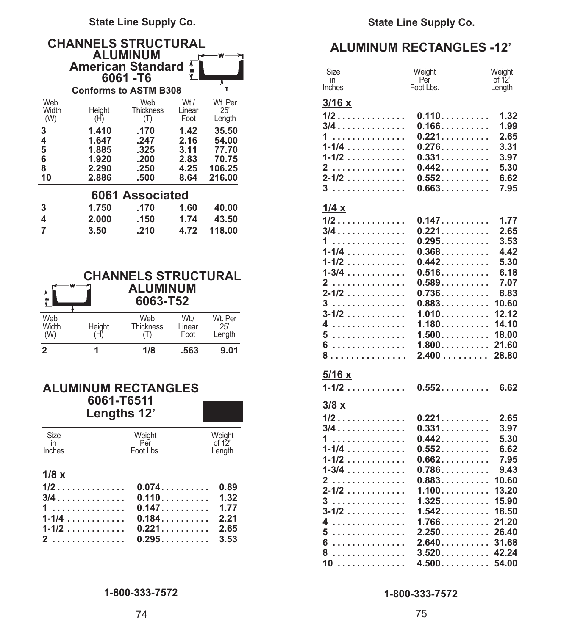**State Line Supply Co. State Line Supply Co.**

| <b>CHANNELS STRUCTURAL</b><br><b>ALUMINUM</b><br><b>American Standard *</b><br>6061-T6 |                              |                              |                |                 | Size<br>in      | <b>ALUMINUM RECTANGLES -12'</b><br>Weight<br>Per |  |
|----------------------------------------------------------------------------------------|------------------------------|------------------------------|----------------|-----------------|-----------------|--------------------------------------------------|--|
| Web                                                                                    | <b>Conforms to ASTM B308</b> | Web                          | $Wt$ ./        | Wt. Per         | Inches<br>3/16x | Foot Lbs.                                        |  |
| Width<br>(W)                                                                           | Height<br>(H)                | <b>Thickness</b><br>$(\top)$ | Linear<br>Foot | 25'<br>Length   | $1/2$           | 0.110                                            |  |
| 3                                                                                      | 1.410                        | .170                         | 1.42           | 35.50           | $3/4$<br>.      | 0.166<br>0.221                                   |  |
| 4<br>5                                                                                 | 1.647<br>1.885               | .247<br>.325                 | 2.16<br>3.11   | 54.00<br>77.70  | $1 - 1/4$       | 0.276                                            |  |
| 6<br>8                                                                                 | 1.920<br>2.290               | .200<br>.250                 | 2.83<br>4.25   | 70.75<br>106.25 | $1 - 1/2$<br>2  | 0.331<br>0.442                                   |  |
| 10                                                                                     | 2.886                        | .500                         | 8.64           | 216.00          | $2 - 1/2$       | 0.552                                            |  |
|                                                                                        |                              | 6061 Associated              |                |                 | 3               | 0.663                                            |  |
| 3                                                                                      | 1.750                        | .170                         | 1.60           | 40.00           | 1/4 x           |                                                  |  |
| 4                                                                                      | 2.000                        | .150                         | 1.74           | 43.50           | 1/2             | 0.147                                            |  |
|                                                                                        | 3.50                         | .210                         | 4.72           | 118.00          | 3/4             | 0.221                                            |  |

|              |        | <b>CHANNELS STRUCTURAL</b><br>$\sum_{i=1}^{n}$ ALUMINUM<br>$6063 - 752$ |         |                | $1-3/4$ 0.516 6.18<br>2 0.589 7.07<br>$2 - 1/2$ 0.736 8.83<br>$3$ 0.883 10.60 |  |
|--------------|--------|-------------------------------------------------------------------------|---------|----------------|-------------------------------------------------------------------------------|--|
| Web<br>Width | Height | Web<br>Thickness Linear                                                 | $Wt$ ./ | Wt. Per<br>25' | 4 1.180 14.10                                                                 |  |
| (W)          |        |                                                                         | Foot    | Lenath         | 6 1.800 21.60                                                                 |  |
|              |        | 1/8                                                                     | .563    | 9.01           |                                                                               |  |

# **ALUMINUM RECTANGLES**<br>6061-T6511

| Size    | Weiaht<br>$Per$ of 12"             | Weiaht | $1$ 0.442 5.30                                     |  |
|---------|------------------------------------|--------|----------------------------------------------------|--|
| Inches  | <b>Example 15 Foot Lbs.</b> Length |        | $1-1/4$ 0.552 6.62                                 |  |
|         |                                    |        | $1-1/2$ 0.662 7.95                                 |  |
| $1/8$ x |                                    |        | $1-3/4$ 0.786 9.43                                 |  |
|         |                                    |        | 2 0.883 10.60                                      |  |
|         |                                    |        |                                                    |  |
|         |                                    |        | $3 \ldots \ldots \ldots \ldots \ldots$ 1.325 15.90 |  |
|         |                                    |        | $3-1/2$ 1.542. 18.50                               |  |
|         | $1-1/4$ 0.184 2.21                 |        | 4 1.766 21.20                                      |  |
|         | $1-1/2$ 0.221 2.65                 |        | $5 \ldots \ldots \ldots \ldots \ldots$ 2.250 26.40 |  |
|         | $2$ 0.295. 3.53                    |        |                                                    |  |

### **1-800-333-7572 1-800-333-7572**

### **ALUMINUM RECTANGLES -12'**

|               | <b>American Standard</b>     | 6061-T6                    |                  |                    |
|---------------|------------------------------|----------------------------|------------------|--------------------|
|               | <b>Conforms to ASTM B308</b> |                            |                  | Tт                 |
| Web           |                              | Web                        | $Wt$ ./          | Wt. Per            |
| Width         | Height                       | <b>Thickness</b>           | Linear           | 25'                |
| (W)           | (H)                          | (T)                        | Foot             | Length             |
| 3             | 1.410                        | .170                       | 1.42             | 35.50              |
| 4             | 1.647                        | .247                       | 2.16             | 54.00              |
| 5             | 1.885                        | .325                       | 3.11             | 77.70              |
| 6             | 1.920                        | .200                       | 2.83             | 70.75              |
| 8<br>10       | 2.290<br>2.886               | .250<br>.500               | 4.25             | 106.25<br>216.00   |
|               |                              |                            | 8.64             |                    |
|               |                              | 6061 Associated            |                  |                    |
|               | 1.750                        | .170                       | 1.60             | 40.00              |
| 4             | 2.000                        | .150                       | 1.74             | 43.50              |
| 7             | 3.50                         | .210                       | 4.72             | 118.00             |
|               |                              |                            |                  |                    |
|               |                              |                            |                  |                    |
|               |                              |                            |                  |                    |
|               |                              | <b>CHANNELS STRUCTURAL</b> |                  |                    |
|               |                              |                            |                  |                    |
|               |                              | <b>ALUMINUM</b>            |                  |                    |
|               |                              | 6063-T52                   |                  |                    |
| Web           |                              | Web                        | Wt./             | Wt. Per            |
| Width         | Height                       | <b>Thickness</b>           | Linear           | 25'                |
| (W)           | (H)                          | (T)                        | Foot             | Length             |
| 2             | 1                            | 1/8                        | .563             | 9.01               |
|               |                              |                            |                  |                    |
|               |                              |                            |                  |                    |
|               | <b>ALUMINUM RECTANGLES</b>   |                            |                  |                    |
|               | 6061-T6511                   |                            |                  |                    |
|               | Lengths 12'                  |                            |                  |                    |
|               |                              |                            |                  |                    |
|               |                              |                            |                  |                    |
| Size<br>in    |                              | Weight<br>Per              |                  | Weight<br>of $12"$ |
| Inches        |                              | Foot Lbs.                  |                  | Length             |
|               |                              |                            |                  |                    |
| <u> 1/8 x</u> |                              |                            |                  |                    |
|               | 1/2                          |                            |                  | 0.89               |
|               | $3/4$                        |                            | 0.074            |                    |
|               |                              |                            | 0.110            | 1.32               |
|               | 1<br>$1 - 1/4$               |                            | 0.147            | 1.77               |
|               | 1-1/2                        |                            | $0.184$<br>0.221 | 2.21<br>2.65       |
|               |                              | 0.295                      |                  | 3.53               |
|               | 2                            |                            |                  |                    |
|               |                              |                            |                  |                    |
|               |                              |                            |                  |                    |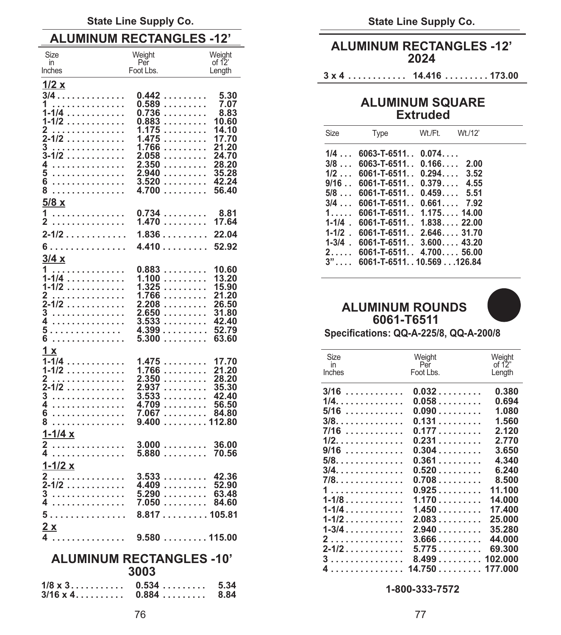### State Line Supply Co. **State Line Supply Co.** State Line Supply Co.

| Size<br>in                                                     | Weight<br>Per                   | Weight<br>of $12$ |             |                            | <b>ALUMINUM INLY IANGLLY</b><br>2024   |                  |
|----------------------------------------------------------------|---------------------------------|-------------------|-------------|----------------------------|----------------------------------------|------------------|
| Inches                                                         | Foot Lbs.                       | Length            |             | 3 x 4                      | 14.416 173.00                          |                  |
| 1/2 x                                                          |                                 |                   |             |                            |                                        |                  |
| $3/4$                                                          | 0.442                           | 5.30              |             |                            | <b>ALUMINUM SQUARE</b>                 |                  |
| 1<br>$1 - 1/4$                                                 | 0.589<br>0.736                  | 7.07<br>8.83      |             |                            |                                        |                  |
| $1 - 1/2$                                                      | 0.883                           | 10.60             |             |                            | <b>Extruded</b>                        |                  |
| 2                                                              | 1.175                           | 14.10             | Size        | <b>Type</b>                | Wt./Ft.<br>Wt./12'                     |                  |
| $2 - 1/2$                                                      | 1.475                           | 17.70             |             |                            |                                        |                  |
| 3<br>$3 - 1/2$                                                 | 1.766                           | 21.20<br>24.70    | $1/4$       | $6063 - T - 6511.$ 0.074   |                                        |                  |
| 4                                                              | 2.058<br>2.350                  | 28.20             | 3/8         | $6063 - T - 6511.$ $0.166$ | 2.00                                   |                  |
| 5<br>.                                                         | 2.940                           | 35.28             | $1/2$       | $6061 - T - 6511$          | 0.294<br>3.52                          |                  |
| 6<br>.                                                         | 3.520                           | -42.24            | 9/16        | $6061 - T - 6511$          | 0.379<br>4.55                          |                  |
| 8                                                              | 4.700                           | 56.40             | $5/8$       | $6061 - T - 6511$          | 0.459<br>5.51                          |                  |
| 5/8x                                                           |                                 |                   | $3/4$       | $6061 - T - 6511$          | 0.661<br>7.92                          |                  |
| 1                                                              | 0.734                           | 8.81              | 1.          | $6061 - T - 6511$          | 1.17514.00                             |                  |
| 2                                                              | 1.470                           | 17.64             | $1 - 1/4$ . | $6061 - T - 6511$          | $1.838$ 22.00                          |                  |
| $2 - 1/2$                                                      | $1.836$ 22.04                   |                   | $1 - 1/2$ . | $6061 - T - 6511$          | 2.64631.70                             |                  |
| 6                                                              | 4.41052.92                      |                   | $1 - 3/4$ . | $6061 - T - 6511$          | $3.600$ 43.20                          |                  |
| 3/4x                                                           |                                 |                   | 2           |                            | $6061 - T - 6511.$ . 4.700 56.00       |                  |
|                                                                |                                 | 10.60             | $3$ "       |                            | 6061-T-651110.569126.84                |                  |
| 1<br>$1 - 1/4$                                                 | 0.883<br>1.100                  | 13.20             |             |                            |                                        |                  |
| $1 - 1/2$                                                      | 1.325                           | 15.90             |             |                            |                                        |                  |
| 2                                                              | 1.766                           | 21.20             |             |                            |                                        |                  |
| $2 - 1/2$                                                      | 2.208                           | 26.50             |             | <b>ALUMINUM ROUNDS</b>     |                                        |                  |
| 3                                                              | 2.650                           | 31.80             |             |                            |                                        |                  |
| 4<br>.                                                         | 3.533                           | -42.40            |             | 6061-T6511                 |                                        |                  |
| 5<br>6<br>.                                                    | $4.399 \ldots 52.79$<br>$5.300$ | 63.60             |             |                            | Specifications: QQ-A-225/8, QQ-A-200/8 |                  |
|                                                                |                                 |                   |             |                            |                                        |                  |
| 1x                                                             |                                 |                   | Size        |                            | Weight                                 | Weight           |
| $1 - 1/4$                                                      | 1.475                           | 17.70             | in          |                            | Per                                    | of 12"           |
| 1-1/2<br>2                                                     | 1.766<br>2.350                  | 21.20<br>28.20    | Inches      |                            | Foot Lbs.                              | Length           |
| $\overline{2}$ -1/2                                            | 2.937                           | 35.30             |             |                            |                                        |                  |
| 3                                                              | 3.533                           | 42.40             |             | $3/16$                     | 0.032                                  | 0.380            |
| .                                                              | 4.709                           | 56.50             |             | 1/4.                       | $0.058$                                | 0.694            |
| 6<br>.                                                         | 7.067 84.80                     |                   |             | $5/16$                     | 0.090                                  | 1.080            |
| 8                                                              | 9.400112.80                     |                   |             | $3/8.$                     | 0.131                                  | 1.560            |
| <u>1-1/4 x</u>                                                 |                                 |                   |             | $7/16$                     | 0.177                                  | 2.120            |
| 2                                                              | 3.000                           | 36.00             |             | $1/2.$                     | 0.231                                  | 2.770            |
| 4.                                                             | 5.880                           | 70.56             |             | $9/16$                     | 0.304                                  | 3.650            |
| $1 - 1/2 x$                                                    |                                 |                   |             | $5/8.$                     | 0.361                                  | 4.340            |
| 2.                                                             | 3.533                           | -42.36            |             | 3/4.                       | $0.520$                                | 6.240<br>8.500   |
| $2 - 1/2$                                                      | 4.409                           | 52.90             |             | 7/8.                       | $0.708$                                |                  |
| 3                                                              | $5.290$ 63.48                   |                   |             | 1<br>$1 - 1/8$             | 0.925<br>1.170                         | 11.100<br>14.000 |
| 4                                                              |                                 |                   |             |                            | 1.450                                  | 17.400           |
| 5.                                                             | 8.817105.81                     |                   |             | $1 - 1/4$                  |                                        |                  |
| 2x                                                             |                                 |                   |             |                            |                                        |                  |
|                                                                |                                 |                   |             |                            |                                        |                  |
|                                                                |                                 |                   |             |                            | $2-1/2$ 5.775 69.300                   |                  |
|                                                                | <b>ALUMINUM RECTANGLES -10'</b> |                   |             |                            |                                        |                  |
|                                                                | 3003                            |                   |             |                            | 4 14.750 177.000                       |                  |
|                                                                |                                 |                   |             |                            |                                        |                  |
| $1/8 \times 3 \ldots \ldots \ldots \ldots 0.534 \ldots \ldots$ |                                 | 5.34              |             |                            | 1-800-333-7572                         |                  |
| $3/16 \times 4$ 0.884                                          |                                 | 8.84              |             |                            |                                        |                  |

# **ALUMINUM RECTANGLES -12'**<br>
Weight Weight Weight **ALUMINUM RECTANGLES -12'**<br> **ALUMINUM RECTANGLES -12'**

## **1 ............... 0.589 ......... 7.07 ALUMINUM SQUARE**

| Size              | <b>Type</b>                        | Wt./Ft. Wt./12' |  |
|-------------------|------------------------------------|-----------------|--|
| $1/4$             | $6063 - T - 6511.$ $0.074$         |                 |  |
| $3/8$             | $6063 - T - 6511.$ , 0.166, 2.00   |                 |  |
| $1/2$             | $6061 - T - 6511$ . $0.294$ 3.52   |                 |  |
| $9/16$            | $6061 - T - 6511$ .                | $0.379$ 4.55    |  |
| $5/8$             | $6061 - T - 6511$ . $0.459$ 5.51   |                 |  |
| $3/4$             | $6061 - T - 6511.$ $0.661.$ $7.92$ |                 |  |
| 1. $\overline{ }$ | $6061 - T - 6511.$ , 1.175, 14.00  |                 |  |
| $1 - 1/4$ .       | $6061 - T - 6511.$ , 1.838, 22.00  |                 |  |
| $1 - 1/2$ .       | $6061 - T - 6511$ . 2.646 31.70    |                 |  |
| $1 - 3/4$ .       | $6061 - T - 6511$ . 3.600 43.20    |                 |  |
| $2 \ldots$        | $6061 - T - 6511.$ 4.700 56.00     |                 |  |
| $3$ "             | 6061-T-651110.569126.84            |                 |  |

### **2-1/2 ............ 2.208 ......... 26.50 ALUMINUM ROUNDS 3 ............... 2.650 ......... 31.80 4 ............... 3.533 ......... 42.40 6061-T6511**



| $1/4$        | 1.47517.70                                                        | Size<br>in    | Weight<br>Per    | Weight<br>of $12"$ |
|--------------|-------------------------------------------------------------------|---------------|------------------|--------------------|
| 1/2          | 1.766<br>21.20                                                    | <b>Inches</b> | Foot Lbs.        | Length             |
| .            | 2.350<br>28.20                                                    |               |                  |                    |
| $1/2$<br>.   | 2.937<br>35.30<br>$3.533 \ldots \ldots$<br>42.40                  | $3/16$        | 0.032            | 0.380              |
| .            | 4.709<br>56.50                                                    | 1/4.          | 0.058            | 0.694              |
| .            | 7.06784.80                                                        | $5/16$        | 0.090            | 1.080              |
| .            | 9.400112.80                                                       | $3/8.$        | 0.131            | 1.560              |
| 1/4x         |                                                                   | 7/16          | 0.177            | 2.120              |
| .            | 3.00036.00                                                        | $1/2.$        | 0.231            | 2.770              |
| .            | $5.880 \ldots 70.56$                                              | $9/16$        | 0.304            | 3.650              |
|              |                                                                   | $5/8.$        | 0.361            | 4.340              |
| <u>1/2 x</u> |                                                                   | 3/4.          | 0.520            | 6.240              |
| .<br>$1/2$   | $3.533$ 42.36<br>4.409<br>52.90                                   | 7/8.          | 0.708            | 8.500              |
| .            | 5.290<br>63.48                                                    | 1.            | 0.925            | 11.100             |
| .            | 7.050<br>84.60                                                    | $1 - 1/8$     | 1.170            | 14.000             |
| .            | $8.817$ 105.81                                                    | $1 - 1/4$     | 1.450            | 17.400             |
|              |                                                                   | $1 - 1/2$     | 2.083            | 25,000             |
| X            |                                                                   | $1 - 3/4$     | 2.940            | 35.280             |
|              | $\ldots \ldots \ldots \ldots$ 9.580 $\ldots \ldots \ldots$ 115.00 | 2.            | 3.666            | 44.000             |
|              |                                                                   | $2 - 1/2$     | 5.775            | 69.300             |
|              | <b>ALUMINUM RECTANGLES -10'</b>                                   | 3             | 8.499102.000     |                    |
|              | 3003                                                              |               | 4 14.750 177.000 |                    |
|              |                                                                   |               |                  |                    |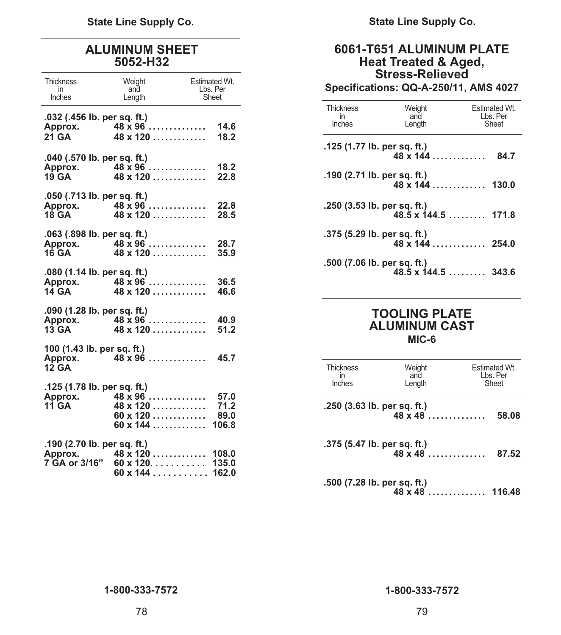**State Line Supply Co. State Line Supply Co.**

|                                                         |                                                                            |                                                         |                                  | <b>Stress-Relieved</b>                       |                                                |
|---------------------------------------------------------|----------------------------------------------------------------------------|---------------------------------------------------------|----------------------------------|----------------------------------------------|------------------------------------------------|
| <b>Thickness</b><br>in<br>Inches                        | Weight<br>and<br>Length                                                    | <b>Estimated Wt.</b><br>Lbs. Per<br>Sheet               |                                  |                                              | Specifications: QQ-A-250/11, AMS 4027          |
| .032 (.456 lb. per sq. ft.)<br>Approx.                  | $48 \times 96 \dots$                                                       | 14.6                                                    | <b>Thickness</b><br>in<br>Inches | Weight<br>and<br>Length                      | Estimated Wt.<br>Lbs. Per<br>Sheet             |
| <b>21 GA</b>                                            | $48 \times 120$                                                            | 18.2                                                    | .125 (1.77 lb. per sq. ft.)      |                                              |                                                |
| .040 (.570 lb. per sq. ft.)                             |                                                                            |                                                         |                                  | $48 \times 144$                              | 84.7                                           |
| Approx.<br>19 GA                                        | $48 \times 96 \ldots$<br>$48 \times 120$                                   | 18.2<br>22.8                                            | .190 (2.71 lb. per sq. ft.)      |                                              |                                                |
| .050 (.713 lb. per sq. ft.)                             |                                                                            |                                                         |                                  |                                              |                                                |
| Approx.<br><b>18 GA</b>                                 | $48 \times 96$<br>$48 \times 120$                                          | 22.8<br>28.5                                            | $.250$ (3.53 lb. per sq. ft.)    |                                              | $48.5 \times 144.5 \ldots \ldots \ldots 171.8$ |
| .063 (.898 lb. per sq. ft.)                             | Approx. $48 \times 96$<br>$16\,$ GA 48 x 120                               | 28.7<br>35.9                                            | .375 (5.29 lb. per sq. ft.)      | $48 \times 144$                              | 254.0                                          |
| .080 (1.14 lb. per sq. ft.)<br>Approx.<br>14 GA         | $48 \times 96$<br>$48 \times 120 \ldots$                                   | 36.5<br>46.6                                            | .500 (7.06 lb. per sq. ft.)      |                                              | $48.5 \times 144.5 \ldots \ldots \quad 343.6$  |
| $.090$ (1.28 lb. per sq. ft.)<br>13 GA                  | Approx. 48 x 96<br>$48 \times 120$                                         | 40.9<br>51.2                                            |                                  | <b>TOOLING PLATE</b><br><b>ALUMINUM CAST</b> |                                                |
| 100 (1.43 lb. per sq. ft.)                              |                                                                            |                                                         |                                  | MIC-6                                        |                                                |
| Approx.<br><b>12 GA</b>                                 | $48 \times 96$                                                             | 45.7                                                    | <b>Thickness</b><br>in           | Weight<br>and                                | Estimated Wt.<br>Lbs. Per                      |
| .125 (1.78 lb. per sq. ft.)<br>Approx.                  | $48 \times 96$                                                             | 57.0                                                    | Inches                           | Length                                       | Sheet                                          |
| <b>11 GA</b>                                            | $48 \times 120 \ldots \ldots \ldots$<br>$60 \times 120$<br>$60 \times 144$ | 71.2<br>89.0<br>106.8                                   | .250 (3.63 lb. per sq. ft.)      | $48 \times 48$                               | 58.08                                          |
| .190 (2.70 lb. per sq. ft.)<br>Approx.<br>7 GA or 3/16" | $60 \times 120$                                                            | $48 \times 120$ 108.0<br>135.0<br>$60 \times 144$ 162.0 | .375 (5.47 lb. per sq. ft.)      | $48 \times 48$                               | 87.52                                          |

### **ALUMINUM SHEET 6061-T651 ALUMINUM PLATE Heat Treated & Aged, Stress-Relieved**

### in and Lbs. Per **Specifications: QQ-A-250/11, AMS 4027**

| <b>Thickness</b><br>in<br>Inches | Weight<br>and<br>Length                            | <b>Estimated Wt.</b><br>Lbs. Per<br>Sheet |
|----------------------------------|----------------------------------------------------|-------------------------------------------|
|                                  | .125 (1.77 lb. per sq. ft.)<br>$48 \times 144$     | 84.7                                      |
|                                  | .190 (2.71 lb. per sq. ft.)<br>$48 \times 144$     | 130.0                                     |
|                                  | .250 (3.53 lb. per sq. ft.)                        | $48.5 \times 144.5$ 171.8                 |
|                                  | .375 (5.29 lb. per sq. ft.)<br>$48 \times 144$     | 254.0                                     |
|                                  | .500 (7.06 lb. per sq. ft.)<br>$48.5 \times 144.5$ | 343.6                                     |

### **TOOLING PLATE 13 ALUMINUM CAST MIC-6**

| . .p.p.:<br>12 GA<br>.125 (1.78 lb. per sq. ft.) |                                                                | <b>Thickness</b><br>in<br>Inches | Weight<br>and<br>Length | Estimated Wt.<br>Lbs. Per<br>Sheet |
|--------------------------------------------------|----------------------------------------------------------------|----------------------------------|-------------------------|------------------------------------|
|                                                  | Approx. 48 x 96  57.0                                          |                                  |                         |                                    |
| 11 GA                                            | 48 x 120 71.2<br>$60 \times 120$ 89.0<br>$60 \times 144$ 106.8 | $.250$ (3.63 lb. per sq. ft.)    | $48 \times 48$          | 58.08                              |
| .190 (2.70 lb. per sq. ft.)                      |                                                                | .375 (5.47 lb. per sq. ft.)      |                         |                                    |
|                                                  | Approx. 48 x 120  108.0                                        |                                  |                         |                                    |
|                                                  | 7 GA or 3/16"  60 x 120. 135.0                                 |                                  |                         |                                    |
|                                                  | $60 \times 144$ 162.0                                          |                                  |                         |                                    |
|                                                  |                                                                | .500 (7.28 lb. per sq. ft.)      |                         |                                    |

**48 x 48 .............. 116.48**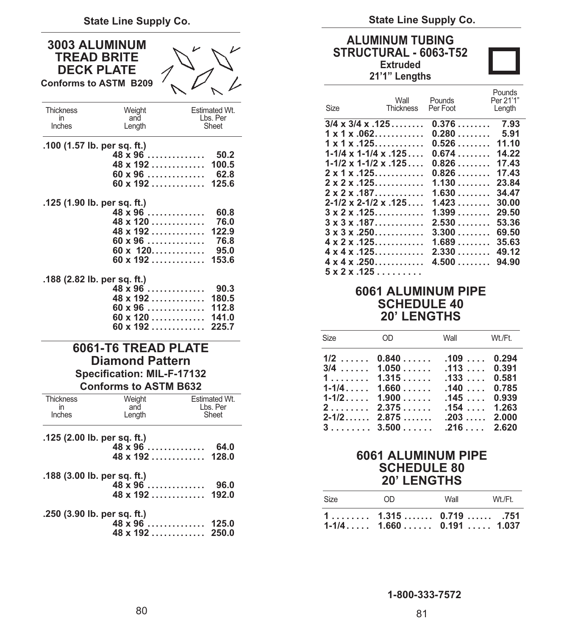| 3003 ALUMINUM<br><b>TREAD BRITE</b><br><b>DECK PLATE</b><br><b>Conforms to ASTM B209</b> |                                                                                                                    |                                                |
|------------------------------------------------------------------------------------------|--------------------------------------------------------------------------------------------------------------------|------------------------------------------------|
| <b>Thickness</b><br>in<br>Inches                                                         | Weight<br>and<br>Length                                                                                            | Estimated Wt.<br>Lbs. Per<br>Sheet             |
| .100 (1.57 lb. per sq. ft.)                                                              | $48 \times 96$<br>$48 \times 192$<br>$60 \times 96$<br>$60 \times 192$                                             | 50.2<br>100.5<br>62.8<br>125.6                 |
| .125 (1.90 lb. per sq. ft.)                                                              | $48 \times 96$<br>48 x 120<br>$48 \times 192 \ldots$<br>$60 \times 96$<br>$60 \times 120$<br>$60 \times 192$       | 60.8<br>76.0<br>122.9<br>76.8<br>95.0<br>153.6 |
| .188 (2.82 lb. per sq. ft.)                                                              | $48 \times 96 \ldots$<br>$48 \times 192$<br>$60 \times 96$<br>$60 \times 120$<br>$60 \times 192$                   | 90.3<br>180.5<br>112.8<br>141.0<br>225.7       |
|                                                                                          | 6061-T6 TREAD PLATE<br><b>Diamond Pattern</b><br><b>Specification: MIL-F-17132</b><br><b>Conforms to ASTM B632</b> |                                                |
| <b>Thickness</b><br>in<br>Inches                                                         | Weight<br>and<br>Length                                                                                            | <b>Estimated Wt.</b><br>Lbs. Per<br>Sheet      |
| .125 (2.00 lb. per sq. ft.)                                                              | $48 \times 96$<br>$48 \times 192 \ldots$                                                                           | 64.0<br>128.0                                  |
| .188 (3.00 lb. per sq. ft.)                                                              | $48 \times 96$<br>48 x 192                                                                                         | 96.0<br>192.0                                  |
| .250 (3.90 lb. per sq. ft.)                                                              |                                                                                                                    |                                                |

| $48 \times 96$ 125.0                              |  |
|---------------------------------------------------|--|
| $48 \times 192 \ldots \ldots \ldots \ldots 250.0$ |  |

State Line Supply Co. **State Line Supply Co.** State Line Supply Co.

### **ALUMINUM TUBING STRUCTURAL - 6063-T52 Extruded**

### **21'1" Lengths**

| Size                                | Wall<br><b>Thickness</b> | Pounds<br>Per Foot |         | Pounds<br>Per 21'1"<br>Length |
|-------------------------------------|--------------------------|--------------------|---------|-------------------------------|
| $3/4 \times 3/4 \times 125 \ldots$  |                          |                    | 0.376   | 7.93                          |
| $1 \times 1 \times .062$            |                          |                    | 0.280   | 5.91                          |
| $1 \times 1 \times .125$            |                          |                    | 0.526   | 11.10                         |
| $1 - 1/4 \times 1 - 1/4 \times 125$ |                          |                    | 0.674   | 14.22                         |
| $1 - 1/2 \times 1 - 1/2 \times 125$ |                          |                    | 0.826   | 17.43                         |
| 2 x 1 x .125.                       |                          |                    | $0.826$ | 17.43                         |
| $2 \times 2 \times .125$            |                          |                    | 1.130   | 23.84                         |
| 2 x 2 x .187.                       |                          |                    | 1.630   | 34.47                         |
| 2-1/2 x 2-1/2 x .125                |                          |                    | 1.423   | 30.00                         |
| $3 \times 2 \times .125$            |                          |                    | 1.399   | 29.50                         |
| $3 \times 3 \times .187$            |                          |                    | 2.530   | 53.36                         |
| $3 \times 3 \times .250$            |                          |                    | 3.300   | 69.50                         |
| $4 \times 2 \times .125$            |                          |                    | 1.689   | 35.63                         |
| $4 \times 4 \times .125$            |                          |                    | 2.330   | 49.12                         |
| 4 x 4 x .250.                       |                          | 4.500              |         | 94.90                         |
| 5 x 2 x .125                        |                          |                    |         |                               |

### **6061 ALUMINUM PIPE SCHEDULE 40 20' LENGTHS**

| $1/2$ 0.840  .109  0.294<br>$3/4$ 1.050  .113  0.391<br>$1, \ldots, 1, 315, \ldots, 133, \ldots, 0.581$<br>$1-1/4$ $1.660$<br>.1400.785<br>$1-1/2$ $1.900$ $.145$ 0.939<br>$2, \ldots, 2.375, \ldots, 154, \ldots, 1.263$<br>$3 \ldots \ldots 3.500 \ldots$ .216 2.620 |  |
|------------------------------------------------------------------------------------------------------------------------------------------------------------------------------------------------------------------------------------------------------------------------|--|

### **6061 ALUMINUM PIPE SCHEDULE 80 20' LENGTHS**

| Size | nn.                                                                                   | Wall | Wt /Ft |
|------|---------------------------------------------------------------------------------------|------|--------|
|      | $1, \ldots, \ldots, 1.315, \ldots, 0.719, \ldots, 751$<br>$1-1/4$ $1.660$ 0.191 1.037 |      |        |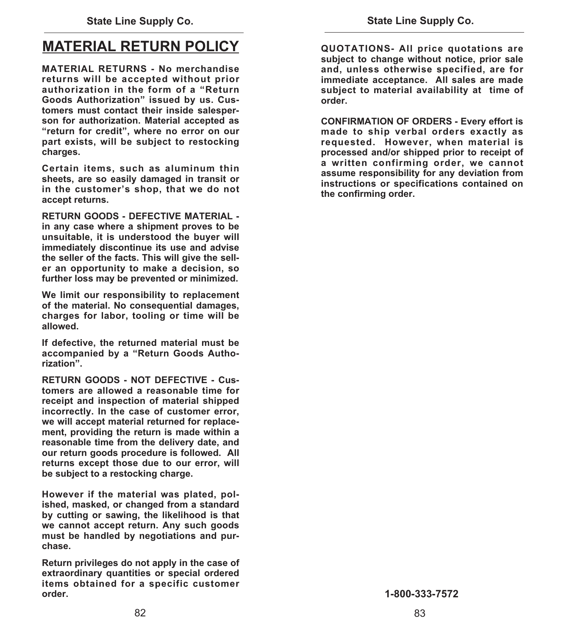### **MATERIAL RETURN POLICY**

**MATERIAL RETURNS - No merchandise returns will be accepted without prior authorization in the form of a "Return Goods Authorization" issued by us. Customers must contact their inside salesperson for authorization. Material accepted as**  "return for credit", where no error on our **part exists, will be subject to restocking charges.** 

**Certain items, such as aluminum thin sheets, are so easily damaged in transit or in the customer's shop, that we do not accept returns.** 

**RETURN GOODS - DEFECTIVE MATERIAL in any case where a shipment proves to be unsuitable, it is understood the buyer will immediately discontinue its use and advise the seller of the facts. This will give the seller an opportunity to make a decision, so further loss may be prevented or minimized.** 

**We limit our responsibility to replacement of the material. No consequential damages, charges for labor, tooling or time will be allowed.** 

**If defective, the returned material must be accompanied by a "Return Goods Authorization".** 

**RETURN GOODS - NOT DEFECTIVE - Customers are allowed a reasonable time for receipt and inspection of material shipped incorrectly. In the case of customer error, we will accept material returned for replacement, providing the return is made within a reasonable time from the delivery date, and our return goods procedure is followed. All returns except those due to our error, will be subject to a restocking charge.** 

**However if the material was plated, polished, masked, or changed from a standard by cutting or sawing, the likelihood is that we cannot accept return. Any such goods must be handled by negotiations and purchase.** 

**Return privileges do not apply in the case of extraordinary quantities or special ordered items obtained for a specific customer order.** 

**QUOTATIONS- All price quotations are subject to change without notice, prior sale and, unless otherwise specified, are for immediate acceptance. All sales are made subject to material availability at time of order.** 

**CONFIRMATION OF ORDERS - Every effort is made to ship verbal orders exactly as requested. However, when material is processed and/or shipped prior to receipt of a written confirming order, we cannot assume responsibility for any deviation from instructions or specifications contained on the confirming order.**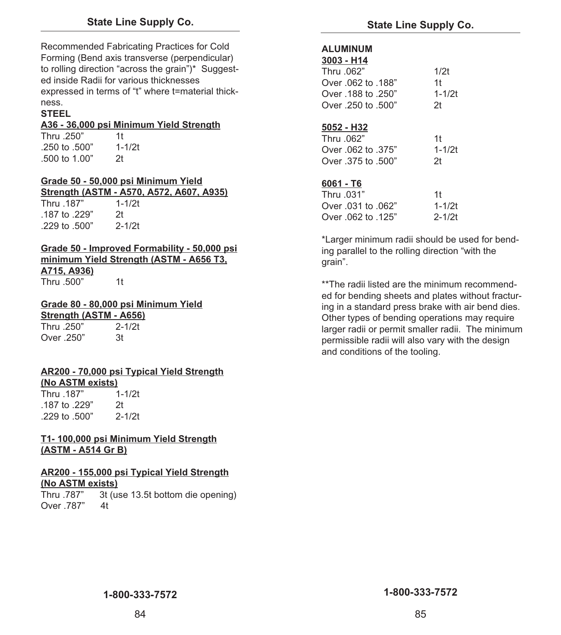Recommended Fabricating Practices for Cold Forming (Bend axis transverse (perpendicular) to rolling direction "across the grain")\* Suggested inside Radii for various thicknesses expressed in terms of "t" where t=material thickness.

### **STEEL**

### **A36 - 36,000 psi Minimum Yield Strength**

Thru .250" 1t .250 to .500" 1-1/2t .500 to 1.00" 2t

### **Grade 50 - 50,000 psi Minimum Yield Strength (ASTM - A570, A572, A607, A935)**

Thru .187" 1-1/2t .187 to .229" 2t .229 to .500" 2-1/2t

### **Grade 50 - Improved Formability - 50,000 psi minimum Yield Strength (ASTM - A656 T3, A715, A936)**

Thru 500" 1t

### **Grade 80 - 80,000 psi Minimum Yield**

**Strength (ASTM - A656)**  Thru .250" 2-1/2t Over 250" 3t

### **AR200 - 70,000 psi Typical Yield Strength (No ASTM exists)**

Thru .187" .187 to .229" 2t .229 to .500" 2-1/2t

### **T1- 100,000 psi Minimum Yield Strength (ASTM - A514 Gr B)**

### **AR200 - 155,000 psi Typical Yield Strength (No ASTM exists)**

Thru .787" 3t (use 13.5t bottom die opening) Over 787" 4t

### **ALUMINUM**

| <b>ALUMINU</b>     |                |
|--------------------|----------------|
| 3003 - H14         |                |
| Thru .062"         | 1/2t           |
| "Over .062 to .188 | 1t             |
| "Over .188 to .250 | $1 - 1/2t$     |
| "Over .250 to .500 | 2 <sub>t</sub> |
|                    |                |
| <u>5052 - H32</u>  |                |
| "Thru .062         | 1t             |
| "375. Over .062 to | $1 - 1/2t$     |
| "Over .375 to .500 | 2 <sub>t</sub> |
|                    |                |
| 6061 - T6          |                |

| $0001 - 10$        |            |
|--------------------|------------|
| Thru .031"         | 1t         |
| Over .031 to .062" | $1 - 1/2t$ |
| Over .062 to .125" | $2 - 1/2t$ |

\*Larger minimum radii should be used for bending parallel to the rolling direction "with the grain".

\*\*The radii listed are the minimum recommended for bending sheets and plates without fracturing in a standard press brake with air bend dies. Other types of bending operations may require larger radii or permit smaller radii. The minimum permissible radii will also vary with the design and conditions of the tooling.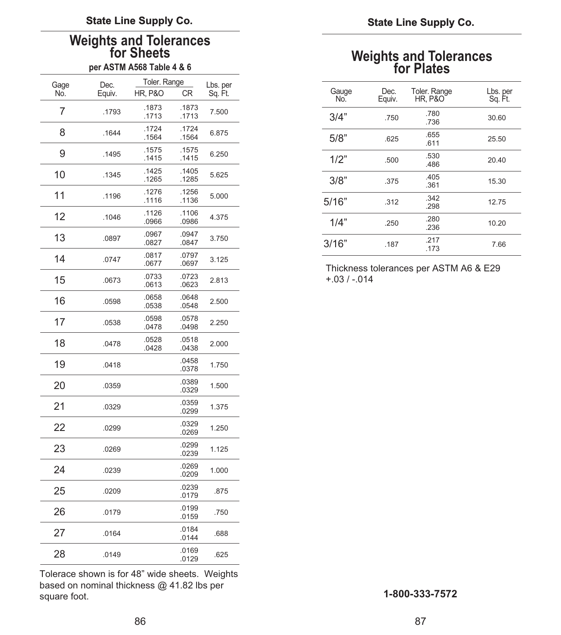# Weights and Tolerances<br>for Sheets<br>per ASTM A568 Table 4 & 6 for Plates **and Tolerances**

|             |                | Toler. Range       |                |                     |
|-------------|----------------|--------------------|----------------|---------------------|
| Gage<br>No. | Dec.<br>Equiv. | <b>HR, P&amp;O</b> | <b>CR</b>      | Lbs. per<br>Sq. Ft. |
| 7           | .1793          | .1873<br>.1713     | .1873<br>.1713 | 7.500               |
| 8           | .1644          | .1724<br>.1564     | .1724<br>.1564 | 6.875               |
| 9           | .1495          | .1575<br>.1415     | .1575<br>.1415 | 6.250               |
| 10          | .1345          | .1425<br>.1265     | .1405<br>.1285 | 5.625               |
| 11          | .1196          | .1276<br>.1116     | .1256<br>.1136 | 5.000               |
| 12          | .1046          | .1126<br>.0966     | .1106<br>.0986 | 4.375               |
| 13          | .0897          | .0967<br>.0827     | .0947<br>.0847 | 3.750               |
| 14          | .0747          | .0817<br>.0677     | .0797<br>.0697 | 3.125               |
| 15          | .0673          | .0733<br>.0613     | .0723<br>.0623 | 2.813               |
| 16          | .0598          | .0658<br>.0538     | .0648<br>.0548 | 2.500               |
| 17          | .0538          | .0598<br>.0478     | .0578<br>.0498 | 2.250               |
| 18          | .0478          | .0528<br>.0428     | .0518<br>.0438 | 2.000               |
| 19          | .0418          |                    | .0458<br>.0378 | 1.750               |
| 20          | .0359          |                    | .0389<br>.0329 | 1.500               |
| 21          | .0329          |                    | .0359<br>.0299 | 1.375               |
| 22          | .0299          |                    | .0329<br>.0269 | 1.250               |
| 23          | .0269          |                    | .0299<br>.0239 | 1.125               |
| 24          | .0239          |                    | .0269<br>.0209 | 1.000               |
| 25          | .0209          |                    | .0239<br>.0179 | .875                |
| 26          | .0179          |                    | .0199<br>.0159 | .750                |
| 27          | .0164          |                    | .0184<br>.0144 | .688                |
| 28          | .0149          |                    | .0169<br>.0129 | .625                |

Tolerace shown is for 48" wide sheets. Weights based on nominal thickness @ 41.82 lbs per square foot.

|             |                | Toler. Range         |                      |                     |
|-------------|----------------|----------------------|----------------------|---------------------|
| Gage<br>No. | Dec.<br>Equiv. | <b>HR. P&amp;O</b>   | CR.                  | Lbs. per<br>Sq. Ft. |
| 7           | .1793          | .1873<br>.1713       | .1873<br>.1713       | 7.500               |
| 8           | .1644          | .1724<br>.1564       | .1724<br>.1564       | 6.875               |
| 9           | .1495          | .1575<br>.1415       | .1575<br>.1415       | 6.250               |
| 10          | .1345          | .1425<br>.1265       | .1405<br>.1285       | 5.625               |
| 11          | .1196          | .1276<br>.1116       | .1256<br>.1136       | 5.000               |
| 12          | .1046          | .1126<br>.0966       | .1106<br>.0986       | 4.375               |
| 13          | .0897          | .0967<br>.0827       | .0947<br>.0847       | 3.750               |
|             |                | $\sim$ $\sim$ $\sim$ | $\sim$ $\sim$ $\sim$ |                     |

Thickness tolerances per ASTM A6 & E29<br> $+0.03 / -0.014$ 

square foot. **1-800-333-7572**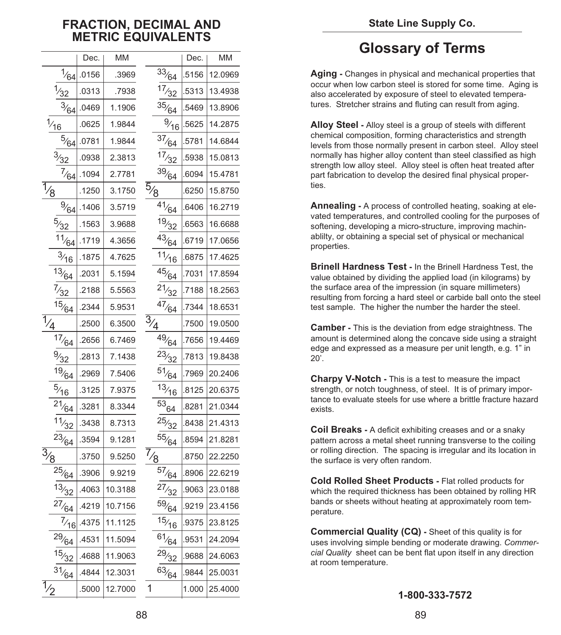### **FRACTION, DECIMAL AND METRIC EQUIVALENTS**

|                  |                                          | Dec.  | МM      |                                |                                | Dec.  | МM      |
|------------------|------------------------------------------|-------|---------|--------------------------------|--------------------------------|-------|---------|
|                  | $\frac{1}{64}$                           | .0156 | .3969   |                                | 33/64                          | .5156 | 12.0969 |
|                  | $\frac{1}{32}$                           | .0313 | .7938   |                                | 17/32                          | .5313 | 13.4938 |
| $\frac{3}{64}$   |                                          | .0469 | 1.1906  |                                | $\frac{35}{64}$                | .5469 | 13.8906 |
|                  |                                          | .0625 | 1.9844  |                                | $\frac{9}{16}$                 | .5625 | 14.2875 |
|                  | $\frac{1}{\frac{1}{16}}$ 5/64            | .0781 | 1.9844  |                                | 37/64                          | .5781 | 14.6844 |
|                  | $\frac{3}{32}$                           | .0938 | 2.3813  |                                | 17/32                          | .5938 | 15.0813 |
|                  | $\frac{7}{64}$                           | .1094 | 2.7781  |                                | $\frac{39}{64}$                | .6094 | 15.4781 |
| $\frac{1}{2}$    |                                          | .1250 | 3.1750  | $\frac{5}{8}$                  |                                | .6250 | 15.8750 |
|                  | $\frac{9}{64}$                           | .1406 | 3.5719  |                                | $\frac{1}{4}$ <sup>1</sup> /64 | .6406 | 16.2719 |
|                  | $\frac{5}{32}$                           | .1563 | 3.9688  |                                | 19/32                          | .6563 | 16.6688 |
|                  | 11/64                                    | .1719 | 4.3656  |                                | 43/64                          | .6719 | 17.0656 |
|                  | $\frac{3}{16}$                           | .1875 | 4.7625  |                                | 11/16                          | .6875 | 17.4625 |
|                  | 13/64                                    | .2031 | 5.1594  |                                | 45/64                          | .7031 | 17.8594 |
|                  | $\frac{7}{32}$                           | .2188 | 5.5563  |                                | 21/32                          | .7188 | 18.2563 |
|                  | 15/64                                    | .2344 | 5.9531  |                                | 47/64                          | .7344 | 18.6531 |
|                  | $\frac{7}{17}\frac{17}{17}\frac{17}{64}$ | .2500 | 6.3500  | $\overline{3}_{\underline{4}}$ |                                | .7500 | 19.0500 |
|                  |                                          | .2656 | 6.7469  |                                | $\frac{1}{49}$ (64             | .7656 | 19.4469 |
|                  | $\frac{9}{32}$                           | .2813 | 7.1438  |                                | $^{23/32}$                     | .7813 | 19.8438 |
|                  | $\frac{19}{64}$                          | .2969 | 7.5406  |                                | $\frac{51}{64}$                | .7969 | 20.2406 |
|                  | $\frac{5}{16}$                           | .3125 | 7.9375  |                                | 13/16                          | .8125 | 20.6375 |
|                  | $^{21}/_{64}$                            | .3281 | 8.3344  |                                | $^{53}64$                      | .8281 | 21.0344 |
|                  | 11/32                                    | .3438 | 8.7313  |                                | 25/32                          | .8438 | 21.4313 |
|                  | $^{23}/_{64}$                            | .3594 | 9.1281  |                                | $\frac{55}{64}$                | .8594 | 21.8281 |
|                  | $\frac{3/8}{25/10}$                      | .3750 | 9.5250  |                                | $\frac{7}{8}$ 57/64            | .8750 | 22.2250 |
|                  |                                          | .3906 | 9.9219  |                                |                                | .8906 | 22.6219 |
|                  | 13/32                                    | .4063 | 10.3188 |                                | 27/32                          | .9063 | 23.0188 |
|                  | 27/64                                    | .4219 | 10.7156 |                                | $\frac{59}{64}$                | .9219 | 23.4156 |
|                  | $\frac{7}{16}$                           | .4375 | 11.1125 |                                | 15/16                          | .9375 | 23.8125 |
|                  | $^{29}/_{64}$                            | .4531 | 11.5094 |                                | $^{61}/_{64}$                  | .9531 | 24.2094 |
|                  | 15/32                                    | .4688 | 11.9063 |                                | $^{29/32}$                     | .9688 | 24.6063 |
|                  | $^{31}/64$                               | .4844 | 12.3031 |                                | $\frac{63}{64}$                | .9844 | 25.0031 |
| $\overline{1}_2$ |                                          | .5000 | 12.7000 | 1                              |                                | 1.000 | 25.4000 |

### **Glossary of Terms**

**Aging -** Changes in physical and mechanical properties that occur when low carbon steel is stored for some time. Aging is also accelerated by exposure of steel to elevated temperatures. Stretcher strains and fluting can result from aging.

**Alloy Steel -** Alloy steel is a group of steels with different chemical composition, forming characteristics and strength levels from those normally present in carbon steel. Alloy steel normally has higher alloy content than steel classified as high strength low alloy steel. Alloy steel is often heat treated after part fabrication to develop the desired final physical properties.

**Annealing -** A process of controlled heating, soaking at elevated temperatures, and controlled cooling for the purposes of softening, developing a micro-structure, improving machinablilty, or obtaining a special set of physical or mechanical properties.

**Brinell Hardness Test -** In the Brinell Hardness Test, the value obtained by dividing the applied load (in kilograms) by the surface area of the impression (in square millimeters) resulting from forcing a hard steel or carbide ball onto the steel test sample. The higher the number the harder the steel.

**Camber -** This is the deviation from edge straightness. The amount is determined along the concave side using a straight edge and expressed as a measure per unit length, e.g. 1" in  $20'$ .

**Charpy V-Notch -** This is a test to measure the impact strength, or notch toughness, of steel. It is of primary importance to evaluate steels for use where a brittle fracture hazard exists.

**Coil Breaks -** A deficit exhibiting creases and or a snaky pattern across a metal sheet running transverse to the coiling or rolling direction. The spacing is irregular and its location in the surface is very often random.

**Cold Rolled Sheet Products -** Flat rolled products for which the required thickness has been obtained by rolling HR bands or sheets without heating at approximately room temperature.

**Commercial Quality (CQ) -** Sheet of this quality is for uses involving simple bending or moderate drawing. *Commercial Quality* sheet can be bent flat upon itself in any direction at room temperature.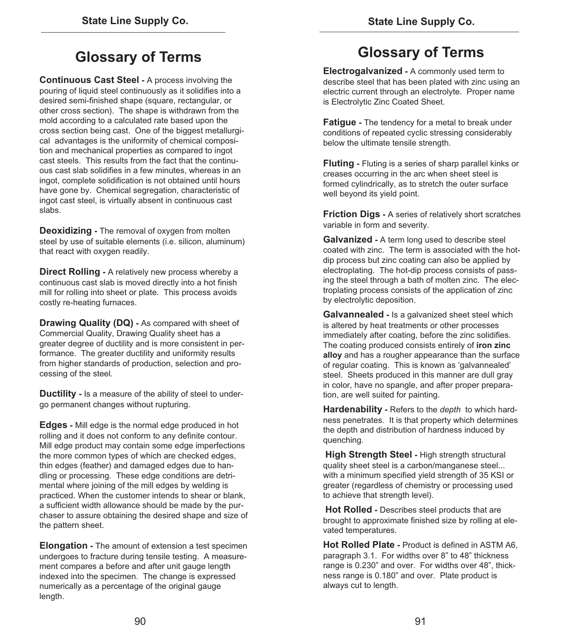### **Glossary of Terms**

**Continuous Cast Steel -** A process involving the pouring of liquid steel continuously as it solidifies into a desired semi-finished shape (square, rectangular, or other cross section). The shape is withdrawn from the mold according to a calculated rate based upon the cross section being cast. One of the biggest metallurgical advantages is the uniformity of chemical composition and mechanical properties as compared to ingot cast steels. This results from the fact that the continuous cast slab solidifies in a few minutes, whereas in an ingot, complete solidification is not obtained until hours have gone by. Chemical segregation, characteristic of ingot cast steel, is virtually absent in continuous cast slabs.

**Deoxidizing -** The removal of oxygen from molten steel by use of suitable elements (i.e. silicon, aluminum) that react with oxygen readily.

**Direct Rolling -** A relatively new process whereby a continuous cast slab is moved directly into a hot finish mill for rolling into sheet or plate. This process avoids costly re-heating furnaces.

**Drawing Quality (DQ) -** As compared with sheet of Commercial Quality, Drawing Quality sheet has a greater degree of ductility and is more consistent in performance. The greater ductility and uniformity results from higher standards of production, selection and processing of the steel.

**Ductility -** Is a measure of the ability of steel to undergo permanent changes without rupturing.

**Edges -** Mill edge is the normal edge produced in hot rolling and it does not conform to any definite contour. Mill edge product may contain some edge imperfections the more common types of which are checked edges, thin edges (feather) and damaged edges due to handling or processing. These edge conditions are detrimental where joining of the mill edges by welding is practiced. When the customer intends to shear or blank, a sufficient width allowance should be made by the purchaser to assure obtaining the desired shape and size of the pattern sheet.

**Elongation -** The amount of extension a test specimen undergoes to fracture during tensile testing. A measurement compares a before and after unit gauge length indexed into the specimen. The change is expressed numerically as a percentage of the original gauge length.

### **Glossary of Terms**

**Electrogalvanized -** A commonly used term to describe steel that has been plated with zinc using an electric current through an electrolyte. Proper name is Electrolytic Zinc Coated Sheet.

**Fatigue -** The tendency for a metal to break under conditions of repeated cyclic stressing considerably below the ultimate tensile strength.

**Fluting -** Fluting is a series of sharp parallel kinks or creases occurring in the arc when sheet steel is formed cylindrically, as to stretch the outer surface well beyond its yield point.

**Friction Digs -** A series of relatively short scratches variable in form and severity.

**Galvanized -** A term long used to describe steel coated with zinc. The term is associated with the hotdip process but zinc coating can also be applied by electroplating. The hot-dip process consists of passing the steel through a bath of molten zinc. The electroplating process consists of the application of zinc by electrolytic deposition.

**Galvannealed -** Is a galvanized sheet steel which is altered by heat treatments or other processes immediately after coating, before the zinc solidifies. The coating produced consists entirely of **iron zinc alloy** and has a rougher appearance than the surface of regular coating. This is known as 'galvannealed' steel. Sheets produced in this manner are dull gray in color, have no spangle, and after proper preparation, are well suited for painting.

**Hardenability -** Refers to the *depth* to which hardness penetrates. It is that property which determines the depth and distribution of hardness induced by quenching.

**High Strength Steel -** High strength structural quality sheet steel is a carbon/manganese steel... with a minimum specified yield strength of 35 KSI or greater (regardless of chemistry or processing used to achieve that strength level).

**Hot Rolled -** Describes steel products that are brought to approximate finished size by rolling at elevated temperatures.

**Hot Rolled Plate -** Product is defined in ASTM A6, paragraph 3.1. For widths over 8" to 48" thickness range is 0.230" and over. For widths over 48", thickness range is 0.180" and over. Plate product is always cut to length.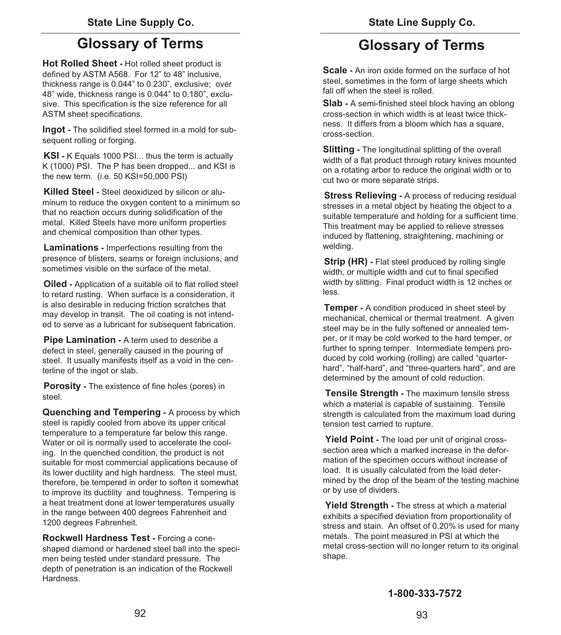### **Glossary of Terms Glossary of Terms**

**Hot Rolled Sheet -** Hot rolled sheet product is defined by ASTM A568. For 12" to 48" inclusive, thickness range is 0.044" to 0.230", exclusive; over 48" wide, thickness range is 0.044" to 0.180", exclusive. This specification is the size reference for all ASTM sheet specifications.

**Ingot -** The solidified steel formed in a mold for subsequent rolling or forging.

**KSI -** K Equals 1000 PSI... thus the term is actually K (1000) PSI. The P has been dropped... and KSI is the new term. (i.e. 50 KSI=50,000 PSI)

**Killed Steel -** Steel deoxidized by silicon or aluminum to reduce the oxygen content to a minimum so that no reaction occurs during solidification of the metal. Killed Steels have more uniform properties and chemical composition than other types.

**Laminations -** Imperfections resulting from the presence of blisters, seams or foreign inclusions, and sometimes visible on the surface of the metal.

**Oiled -** Application of a suitable oil to flat rolled steel to retard rusting. When surface is a consideration, it is also desirable in reducing friction scratches that may develop in transit. The oil coating is not intended to serve as a lubricant for subsequent fabrication.

**Pipe Lamination -** A term used to describe a defect in steel, generally caused in the pouring of steel. It usually manifests itself as a void in the centerline of the ingot or slab.

**Porosity -** The existence of fine holes (pores) in steel.

**Quenching and Tempering -** A process by which steel is rapidly cooled from above its upper critical temperature to a temperature far below this range. Water or oil is normally used to accelerate the cooling. In the quenched condition, the product is not suitable for most commercial applications because of its lower ductility and high hardness. The steel must, therefore, be tempered in order to soften it somewhat to improve its ductility and toughness. Tempering is a heat treatment done at lower temperatures usually in the range between 400 degrees Fahrenheit and 1200 degrees Fahrenheit.

**Rockwell Hardness Test -** Forcing a coneshaped diamond or hardened steel ball into the specimen being tested under standard pressure. The depth of penetration is an indication of the Rockwell Hardness.

**Scale -** An iron oxide formed on the surface of hot steel, sometimes in the form of large sheets which fall off when the steel is rolled.

**Slab -** A semi-finished steel block having an oblong cross-section in which width is at least twice thickness. It differs from a bloom which has a square, cross-section.

**Slitting -** The longitudinal splitting of the overall width of a flat product through rotary knives mounted on a rotating arbor to reduce the original width or to cut two or more separate strips.

**Stress Relieving -** A process of reducing residual stresses in a metal object by heating the object to a suitable temperature and holding for a sufficient time. This treatment may be applied to relieve stresses induced by flattening, straightening, machining or welding.

**Strip (HR) -** Flat steel produced by rolling single width, or multiple width and cut to final specified width by slitting. Final product width is 12 inches or less.

**Temper -** A condition produced in sheet steel by mechanical, chemical or thermal treatment. A given steel may be in the fully softened or annealed temper, or it may be cold worked to the hard temper, or further to spring temper. Intermediate tempers produced by cold working (rolling) are called "quarterhard", "half-hard", and "three-quarters hard", and are determined by the amount of cold reduction.

**Tensile Strength -** The maximum tensile stress which a material is capable of sustaining. Tensile strength is calculated from the maximum load during tension test carried to rupture.

**Yield Point -** The load per unit of original crosssection area which a marked increase in the deformation of the specimen occurs without increase of load. It is usually calculated from the load determined by the drop of the beam of the testing machine or by use of dividers.

**Yield Strength -** The stress at which a material exhibits a specified deviation from proportionality of stress and stain. An offset of 0.20% is used for many metals. The point measured in PSI at which the metal cross-section will no longer return to its original shape.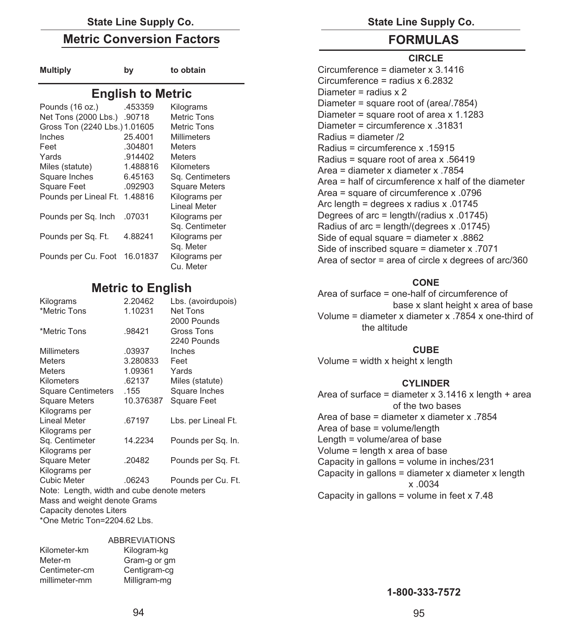### State Line Supply Co. **State Line Supply Co.** State Line Supply Co.

### **Metric Conversion Factors**

| <b>Multiply</b> | by |
|-----------------|----|
|-----------------|----|

to obtain

### **English to Metric**

| Pounds (16 oz.)               | .453359  | Kilograms            |
|-------------------------------|----------|----------------------|
| Net Tons (2000 Lbs.)          | .90718   | <b>Metric Tons</b>   |
| Gross Ton (2240 Lbs.) 1.01605 |          | <b>Metric Tons</b>   |
| Inches                        | 25.4001  | <b>Millimeters</b>   |
| Feet                          | .304801  | <b>Meters</b>        |
| Yards                         | .914402  | <b>Meters</b>        |
| Miles (statute)               | 1.488816 | Kilometers           |
| Square Inches                 | 6.45163  | Sq. Centimeters      |
| <b>Square Feet</b>            | .092903  | <b>Square Meters</b> |
| Pounds per Lineal Ft.         | 1.48816  | Kilograms per        |
|                               |          | <b>Lineal Meter</b>  |
| Pounds per Sq. Inch           | .07031   | Kilograms per        |
|                               |          | Sq. Centimeter       |
| Pounds per Sq. Ft.            | 4.88241  | Kilograms per        |
|                               |          | Sq. Meter            |
| Pounds per Cu. Foot 16.01837  |          | Kilograms per        |
|                               |          | Cu. Meter            |

### **Metric to English**

| Kilograms                                  | 2.20462   | Lbs. (avoirdupois)  |  |  |
|--------------------------------------------|-----------|---------------------|--|--|
| *Metric Tons                               | 1.10231   | Net Tons            |  |  |
|                                            |           | 2000 Pounds         |  |  |
| *Metric Tons                               | .98421    | Gross Tons          |  |  |
|                                            |           | 2240 Pounds         |  |  |
| <b>Millimeters</b>                         | .03937    | Inches              |  |  |
| <b>Meters</b>                              | 3.280833  | Feet                |  |  |
| <b>Meters</b>                              | 1.09361   | Yards               |  |  |
| Kilometers                                 | .62137    | Miles (statute)     |  |  |
| <b>Square Centimeters</b>                  | .155      | Square Inches       |  |  |
| <b>Square Meters</b>                       | 10.376387 | <b>Square Feet</b>  |  |  |
| Kilograms per                              |           |                     |  |  |
| Lineal Meter                               | .67197    | Lbs. per Lineal Ft. |  |  |
| Kilograms per                              |           |                     |  |  |
| Sq. Centimeter                             | 14.2234   | Pounds per Sq. In.  |  |  |
| Kilograms per                              |           |                     |  |  |
| Square Meter                               | .20482    | Pounds per Sq. Ft.  |  |  |
| Kilograms per                              |           |                     |  |  |
| <b>Cubic Meter</b>                         | .06243    | Pounds per Cu. Ft.  |  |  |
| Note: Length, width and cube denote meters |           |                     |  |  |
| Mass and weight denote Grams               |           |                     |  |  |
| Capacity denotes Liters                    |           |                     |  |  |
| *One Metric Ton=2204.62 Lbs.               |           |                     |  |  |

### ABBREVIATIONS

| Kilometer-km  | Kilogram-kg  |
|---------------|--------------|
| Meter-m       | Gram-g or gm |
| Centimeter-cm | Centigram-cg |
| millimeter-mm | Milligram-mg |

### **FORMULAS**

### **CIRCLE**

Circumference = diameter x 3.1416 Circumference = radius x 6.2832 Diameter = radius  $x$  2 Diameter = square root of (area/.7854) Diameter = square root of area x 1.1283 Diameter = circumference x .31831 Radius = diameter /2 Radius = circumference x .15915 Radius = square root of area x .56419 Area = diameter x diameter x .7854 Area = half of circumference x half of the diameter Area = square of circumference x .0796 Arc length = degrees x radius x .01745 Degrees of arc = length/(radius x .01745) Radius of arc = length/(degrees x .01745) Side of equal square = diameter x .8862 Side of inscribed square = diameter x .7071 Area of sector = area of circle x degrees of arc/360

### **CONE**

Area of surface = one-half of circumference of base x slant height x area of base Volume = diameter x diameter x .7854 x one-third of the altitude

### **CUBE**

Volume = width x height x length

### **CYLINDER**

| Area of surface = diameter $x$ 3.1416 x length + area |
|-------------------------------------------------------|
| of the two bases                                      |
| Area of base = diameter x diameter x .7854            |
| Area of base = volume/length                          |
| Length = volume/area of base                          |
| Volume = length x area of base                        |
| Capacity in gallons = volume in inches/231            |
| Capacity in gallons = diameter x diameter x length    |
| $x_{.0034}$                                           |
| Capacity in gallons = volume in feet $\times$ 7.48    |

**1-800-333-7572**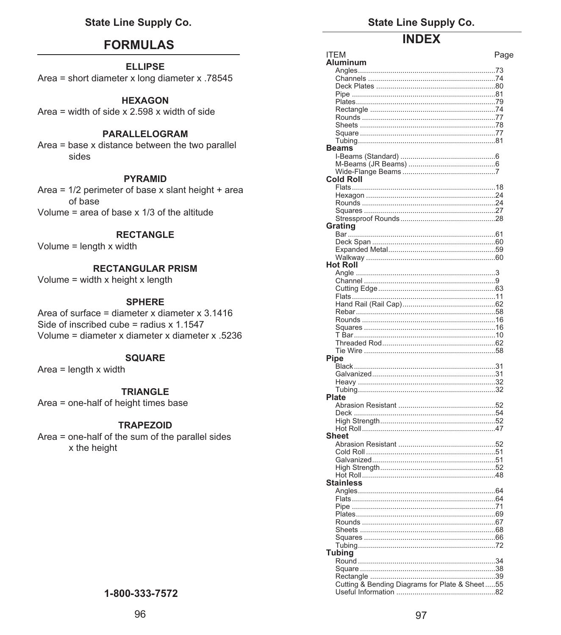### **FORMULAS**

**ELLIPSE** Area = short diameter x long diameter x .78545

### **HEXAGON**

Area = width of side  $x$  2.598  $x$  width of side

### PARALLELOGRAM

Area = base x distance between the two parallel sides

### **PYRAMID**

Area =  $1/2$  perimeter of base x slant height + area of base Volume = area of base  $\times$  1/3 of the altitude

### **RECTANGLE**

Volume =  $length x width$ 

### **RECTANGULAR PRISM**

Volume = width  $x$  height  $x$  length

### **SPHERE**

Area of surface = diameter x diameter x  $3.1416$ Side of inscribed cube = radius  $x$  1.1547 Volume = diameter x diameter x diameter x .5236

### **SOUARE**

Area =  $length x width$ 

### **TRIANGLE**

Area = one-half of height times base

### **TRAPEZOID**

Area = one-half of the sum of the parallel sides x the height

### 1-800-333-7572

**State Line Supply Co.** 

### **INDEY**

| ITEM                                           | Page |
|------------------------------------------------|------|
| Aluminum                                       |      |
|                                                |      |
|                                                |      |
|                                                |      |
|                                                |      |
|                                                |      |
|                                                |      |
|                                                |      |
|                                                |      |
|                                                |      |
|                                                |      |
|                                                |      |
| <b>Beams</b>                                   |      |
|                                                |      |
|                                                |      |
|                                                |      |
| <b>Cold Roll</b>                               |      |
|                                                |      |
|                                                |      |
|                                                |      |
|                                                |      |
|                                                |      |
|                                                |      |
| Grating                                        |      |
|                                                |      |
|                                                |      |
|                                                |      |
|                                                |      |
| <b>Hot Roll</b>                                |      |
|                                                |      |
|                                                |      |
|                                                |      |
|                                                |      |
|                                                |      |
|                                                |      |
|                                                |      |
|                                                |      |
|                                                |      |
|                                                |      |
|                                                |      |
|                                                |      |
| Pipe                                           |      |
|                                                |      |
|                                                |      |
|                                                |      |
|                                                |      |
| Plate                                          |      |
|                                                |      |
|                                                |      |
|                                                |      |
|                                                |      |
| <b>Sheet</b>                                   |      |
|                                                |      |
|                                                |      |
|                                                |      |
|                                                |      |
|                                                |      |
|                                                |      |
| <b>Stainless</b>                               |      |
|                                                |      |
|                                                |      |
| Pine                                           | . 71 |
|                                                |      |
|                                                |      |
|                                                |      |
|                                                |      |
|                                                |      |
| Tubina                                         |      |
|                                                |      |
|                                                |      |
|                                                |      |
|                                                |      |
| Cutting & Bending Diagrams for Plate & Sheet55 |      |
|                                                |      |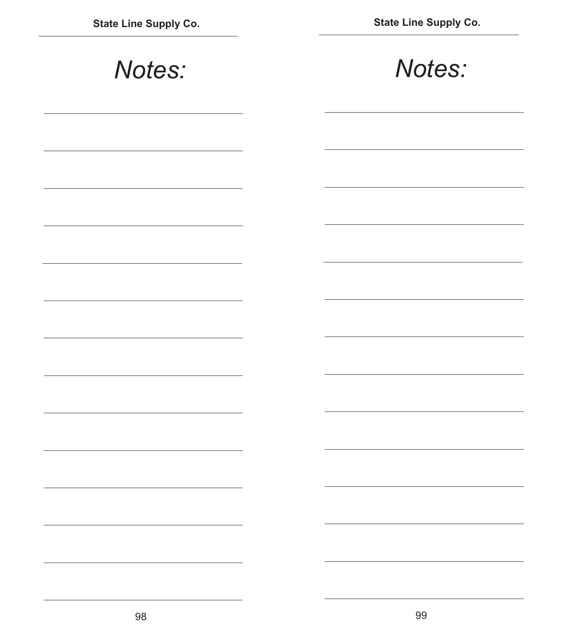| Notes: | Notes: |
|--------|--------|
|        |        |
|        |        |
|        |        |
|        |        |
|        |        |
|        |        |
|        |        |
|        |        |
|        |        |